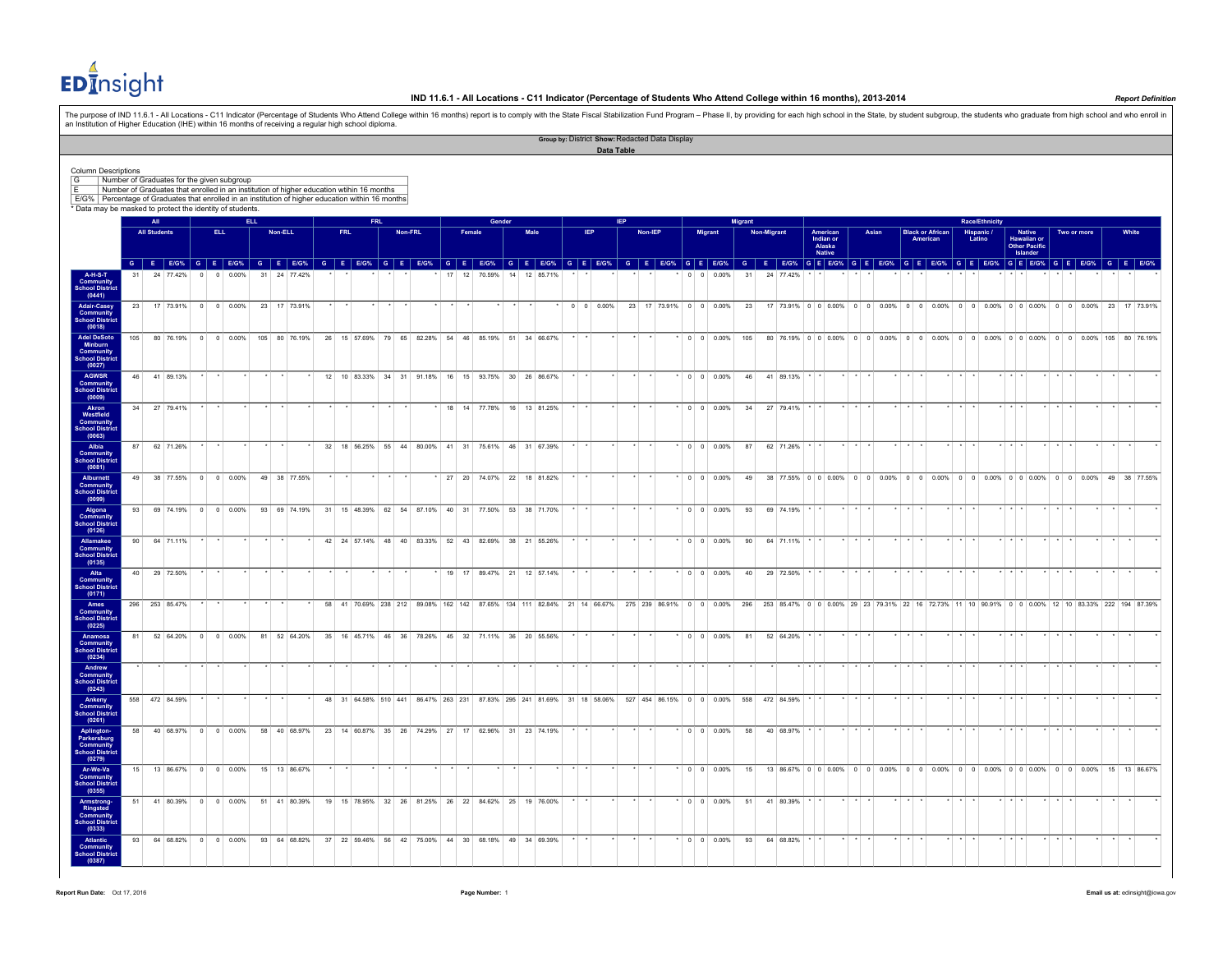

The purpose of IND 11.5.1 - All Locations - C11 Indicator (Percentage of Students Who Attend College within 16 months) report is to comply with the State Fiscal Stabilization Fund Program – Phase II, by providing for each

|                                                                                                        |                                                                                          |                |                     |                                     |         |                                  |  |               |         |            |  |         |    |        |                                                                  |        |      |           |            |                    | Data Table |         | Group by: District Show: Redacted Data Display |                |                          |                                                                                                                |                 |             |              |                         |         |       |         |                                     |                 |        |                       |             |                                        |             |                                                                                                                                                                                                                                |          |  |
|--------------------------------------------------------------------------------------------------------|------------------------------------------------------------------------------------------|----------------|---------------------|-------------------------------------|---------|----------------------------------|--|---------------|---------|------------|--|---------|----|--------|------------------------------------------------------------------|--------|------|-----------|------------|--------------------|------------|---------|------------------------------------------------|----------------|--------------------------|----------------------------------------------------------------------------------------------------------------|-----------------|-------------|--------------|-------------------------|---------|-------|---------|-------------------------------------|-----------------|--------|-----------------------|-------------|----------------------------------------|-------------|--------------------------------------------------------------------------------------------------------------------------------------------------------------------------------------------------------------------------------|----------|--|
| <b>Column Descriptions</b>                                                                             |                                                                                          |                |                     |                                     |         |                                  |  |               |         |            |  |         |    |        |                                                                  |        |      |           |            |                    |            |         |                                                |                |                          |                                                                                                                |                 |             |              |                         |         |       |         |                                     |                 |        |                       |             |                                        |             |                                                                                                                                                                                                                                |          |  |
| G                                                                                                      | Number of Graduates for the given subgroup                                               |                |                     |                                     |         |                                  |  |               |         |            |  |         |    |        |                                                                  |        |      |           |            |                    |            |         |                                                |                |                          |                                                                                                                |                 |             |              |                         |         |       |         |                                     |                 |        |                       |             |                                        |             |                                                                                                                                                                                                                                |          |  |
| E<br>E/G% Percentage of Graduates that enrolled in an institution of higher education within 16 months | Number of Graduates that enrolled in an institution of higher education wtihin 16 months |                |                     |                                     |         |                                  |  |               |         |            |  |         |    |        |                                                                  |        |      |           |            |                    |            |         |                                                |                |                          |                                                                                                                |                 |             |              |                         |         |       |         |                                     |                 |        |                       |             |                                        |             |                                                                                                                                                                                                                                |          |  |
| * Data may be masked to protect the identity of students.                                              |                                                                                          |                |                     |                                     |         |                                  |  |               |         |            |  |         |    |        |                                                                  |        |      |           |            |                    |            |         |                                                |                |                          |                                                                                                                |                 |             |              |                         |         |       |         |                                     |                 |        |                       |             |                                        |             |                                                                                                                                                                                                                                |          |  |
|                                                                                                        |                                                                                          |                | All                 |                                     |         |                                  |  |               |         |            |  |         |    |        |                                                                  | Gender |      |           |            |                    |            |         |                                                |                |                          |                                                                                                                | <b>Migrant</b>  |             |              |                         |         |       |         |                                     |                 |        | <b>Race/Ethnicity</b> |             |                                        |             |                                                                                                                                                                                                                                |          |  |
|                                                                                                        |                                                                                          |                | <b>All Students</b> |                                     |         | ELL.                             |  | Non-ELL       |         | <b>FRL</b> |  | Non-FRL |    | Female |                                                                  |        | Male |           | <b>IEP</b> |                    |            | Non-IEP |                                                |                | <b>Migrant</b>           |                                                                                                                |                 | Non-Migrant |              | American<br>Indian or   |         | Asian |         | <b>Black or African</b><br>American |                 | Latino | Hispanic /            |             | Native<br>Hawaiian or<br>Other Pacific | Two or more |                                                                                                                                                                                                                                | White    |  |
|                                                                                                        |                                                                                          |                |                     |                                     |         |                                  |  |               |         |            |  |         |    |        |                                                                  |        |      |           |            |                    |            |         |                                                |                |                          |                                                                                                                |                 |             |              | Alaska<br><b>Native</b> |         |       |         |                                     |                 |        |                       |             | Islander                               |             |                                                                                                                                                                                                                                |          |  |
|                                                                                                        |                                                                                          |                |                     |                                     |         |                                  |  |               |         |            |  |         |    |        |                                                                  |        |      |           |            |                    |            |         |                                                |                |                          |                                                                                                                |                 |             |              |                         |         |       |         |                                     |                 |        |                       |             |                                        |             | G E EIGN G E EIGN G E EIGN G E EIGN G E EIGN G E EIGN G E EIGN G E EIGN G E EIGN G E EIGN G E EIGN G E EIGN G E EIGN G E EIGN G E EIGN G E EIGN G E EIGN G E EIGN G E EIGN G E EIGN G E EIGN G E EIGN G E EIGN G E EIGN G E EI |          |  |
| <b>A-H-S-T</b><br><b>Community</b><br>School Distric<br>(0441)                                         |                                                                                          | 31             |                     | 24 77.42%                           |         | 0.00%<br>$\overline{\mathbf{0}}$ |  | 31 24 77.42%  |         |            |  |         | 17 |        | 12 70.59%                                                        | 14     |      | 12 85.71% |            |                    |            |         |                                                | $\overline{0}$ | $\overline{\phantom{0}}$ | 0.00%                                                                                                          | 31              |             | 24 77.42%    |                         |         |       |         |                                     |                 |        |                       |             |                                        |             |                                                                                                                                                                                                                                |          |  |
| <b>Adair-Casey</b><br><b>Community</b><br>School District                                              |                                                                                          |                |                     | 23 17 73.91% 0 0 0.00% 23 17 73.91% |         |                                  |  |               | $\star$ |            |  |         |    |        |                                                                  |        |      |           |            | $0 \t 0 \t 0.00\%$ |            |         |                                                |                |                          | 23 17 73.91% 0 0 0.00%                                                                                         |                 |             |              |                         |         |       |         |                                     |                 |        |                       |             |                                        |             | 23 17 73.91% 0 0 0.00% 0 0 0.00% 0 0 0.00% 0 0 0.00% 0 0 0.00% 0 0 0.00% 23 17 73.91%                                                                                                                                          |          |  |
| (0018)<br><b>Adel DeSoto</b><br>Minburn                                                                |                                                                                          |                |                     | 105 80 76.19% 0 0 0.00%             |         |                                  |  | 105 80 76.19% |         |            |  |         |    |        | 26 15 57.69% 79 65 82.28% 54 46 85.19% 51 34 66.67%              |        |      |           |            |                    |            |         |                                                |                |                          | $*$ 0 0 0.00%                                                                                                  | 105             |             |              |                         |         |       |         |                                     |                 |        |                       |             |                                        |             | 80 76.19% 0 0 0.00% 0 0 0.00% 0 0 0.00% 0 0 0.00% 0 0 0.00% 0 0 0.00% 105 80 76.19%                                                                                                                                            |          |  |
| <b>Community</b><br>School District<br>(0027)<br>AGWSR                                                 |                                                                                          | 46 41 89.13%   |                     |                                     |         |                                  |  |               |         |            |  |         |    |        | 12 10 83.33% 34 31 91.18% 16 15 93.75% 30 26 86.67%              |        |      |           |            |                    |            |         |                                                |                |                          | $\cdot$ 0 0 0.00%                                                                                              |                 |             | 46 41 89.13% |                         |         |       |         |                                     |                 |        |                       |             |                                        |             |                                                                                                                                                                                                                                |          |  |
| <b>Community</b><br>School District<br>(0009)                                                          |                                                                                          |                |                     |                                     |         |                                  |  |               |         |            |  |         |    |        |                                                                  |        |      |           |            |                    |            |         |                                                |                |                          |                                                                                                                |                 |             |              |                         |         |       |         |                                     |                 |        |                       |             |                                        |             |                                                                                                                                                                                                                                |          |  |
| Akron<br>Westfield<br>Community<br><b>School District</b><br>(0063)                                    |                                                                                          | 34 27 79.41%   |                     |                                     |         |                                  |  |               |         |            |  |         |    |        | 18 14 77.78% 16 13 81.25%                                        |        |      |           |            |                    |            |         |                                                |                |                          | $0 \quad 0 \quad 0.00\%$                                                                                       | 34              |             | 27 79.41%    |                         |         |       |         |                                     |                 |        |                       |             |                                        |             |                                                                                                                                                                                                                                |          |  |
| Albia<br><b>Community</b><br><b>School District</b>                                                    |                                                                                          | 87 62 71.26%   |                     |                                     |         |                                  |  |               |         |            |  |         |    |        | 32 18 56.25% 55 44 80.00% 41 31 75.61% 46 31 67.39%              |        |      |           |            |                    |            |         |                                                |                |                          | $ 0 0 0.00\%$                                                                                                  | 87              |             | 62 71.26%    |                         |         |       |         |                                     |                 |        |                       |             |                                        |             |                                                                                                                                                                                                                                |          |  |
| (0081)<br>Alburnett<br><b>Community</b><br>School District                                             |                                                                                          | 49             |                     | 38 77.55% 0 0 0.00%                 |         |                                  |  | 49 38 77 55%  |         |            |  |         |    |        | 27 20 74.07% 22 18 81.82%                                        |        |      |           |            |                    |            |         |                                                |                |                          | $0 \quad 0 \quad 0.00\%$                                                                                       | 49              |             |              |                         |         |       |         |                                     |                 |        |                       |             |                                        |             | 38. 77.55% 0.000% 0.00% 0.00% 0.00% 0.00% 0.00% 0.00% 0.00% 0.00% 49.38.77.55%                                                                                                                                                 |          |  |
| (0099)<br>Algona<br>Community<br>School Distric                                                        |                                                                                          | 93             |                     | 69 74.19% 0 0 0.00%                 |         |                                  |  | 93 69 74.19%  |         |            |  |         |    |        | 31 15 48.39% 62 54 87.10% 40 31 77.50% 53 38 71.70%              |        |      |           |            |                    |            |         |                                                |                |                          | $*$ 0 0 0.00%                                                                                                  | 93              |             | 69 74.19%    |                         |         |       |         |                                     |                 |        |                       |             |                                        |             |                                                                                                                                                                                                                                |          |  |
| (0126)<br>Allamakee                                                                                    |                                                                                          | 90             |                     | 64 71.11%                           |         |                                  |  |               |         |            |  |         |    |        | 42 24 57.14% 48 40 83.33% 52 43 82.69% 38 21 55.26%              |        |      |           |            |                    |            |         |                                                |                |                          | $0 \quad 0 \quad 0.00\%$                                                                                       | 90 <sup>°</sup> |             | 64 71.11%    |                         |         |       |         |                                     |                 |        |                       |             |                                        |             |                                                                                                                                                                                                                                |          |  |
| <b>Community</b><br><b>School District</b><br>(0135)<br>Alta                                           |                                                                                          | 40 29 72.50%   |                     |                                     |         |                                  |  |               |         |            |  |         |    |        | 19 17 89.47% 21 12 57.14%                                        |        |      |           |            |                    |            | $\star$ |                                                |                |                          | * 0 0 0.00%                                                                                                    | 40              |             | 29 72.50%    |                         |         |       |         |                                     |                 |        |                       |             |                                        |             |                                                                                                                                                                                                                                |          |  |
| <b>Community</b><br><b>School District</b><br>(0171)                                                   |                                                                                          |                |                     |                                     |         |                                  |  |               |         |            |  |         |    |        |                                                                  |        |      |           |            |                    |            |         |                                                |                |                          |                                                                                                                |                 |             |              |                         |         |       |         |                                     |                 |        |                       |             |                                        |             |                                                                                                                                                                                                                                |          |  |
| Ames<br>Community<br><b>School Distric</b><br>(0225)                                                   |                                                                                          | 296 253 85.47% |                     |                                     |         |                                  |  |               |         |            |  |         |    |        |                                                                  |        |      |           |            |                    |            |         |                                                |                |                          | 58 41 70.69% 238 212 89.08% 162 142 87.65% 134 111 82.84% 21 14 66.67% 275 239 86.91% 0 0 0.00%                | 296             |             |              |                         |         |       |         |                                     |                 |        |                       |             |                                        |             | 253 85.47% 0 0 0.00% 29 23 79.31% 22 16 72.73% 11 10 90.91% 0 0 0.00% 12 10 83.33% 222 194 87.39%                                                                                                                              |          |  |
| Anamosa<br><b>Community</b><br>School Distric<br>(0234)                                                |                                                                                          | 81             |                     | 52 64.20% 0 0 0.00%                 |         |                                  |  | 81 52 64 20%  |         |            |  |         |    |        | 35 16 45.71% 46 36 78.26% 45 32 71.11% 36 20 55.56%              |        |      |           |            |                    |            |         |                                                |                |                          | $*$ 0 0 0.00%                                                                                                  | 81              |             | 52 64.20%    |                         |         |       |         |                                     |                 |        |                       |             |                                        |             |                                                                                                                                                                                                                                |          |  |
| Andrew<br><b>Community</b><br>School Distric<br>(0243)                                                 |                                                                                          |                |                     |                                     |         |                                  |  |               |         |            |  |         |    |        |                                                                  |        |      |           |            |                    |            |         |                                                |                |                          |                                                                                                                |                 |             |              |                         |         |       |         |                                     | $\cdot$ $\cdot$ |        |                       |             |                                        |             |                                                                                                                                                                                                                                |          |  |
| Ankeny<br><b>Community</b><br>School Distric<br>(0261)                                                 |                                                                                          |                |                     | 558 472 84.59%                      | $\star$ |                                  |  |               |         |            |  |         |    |        |                                                                  |        |      |           |            |                    |            |         |                                                |                |                          | 48 31 64.58% 510 441 86.47% 263 231 87.83% 295 241 81.69% 31 18 58.06% 527 454 86.15% 0 0 0.00% 558 472 84.59% |                 |             |              |                         | $*$ $*$ |       | $*$ $*$ |                                     | $*$ $*$ $*$     |        |                       | $*$ $*$ $*$ |                                        |             |                                                                                                                                                                                                                                | $\cdots$ |  |
| Aplington-<br>Parkersburg<br><b>Community</b><br>School District                                       |                                                                                          | 58             |                     | 40 68.97% 0 0 0.00%                 |         |                                  |  | 58 40 68.97%  |         |            |  |         |    |        | 23 14 60.87% 35 26 74.29% 27 17 62.96% 31 23 74.19%              |        |      |           |            |                    |            |         |                                                |                |                          | $0 \t 0 \t 0.00\%$                                                                                             | 58              |             | 40 68.97%    |                         |         |       |         |                                     |                 |        |                       |             |                                        |             |                                                                                                                                                                                                                                |          |  |
| (0279)<br>Ar-We-Va<br><b>Community</b><br>School District                                              |                                                                                          |                |                     | 15 13 86.67% 0 0 0.00%              |         |                                  |  | 15 13 86.67%  |         |            |  |         |    |        |                                                                  |        |      |           |            |                    |            |         |                                                |                |                          | $\cdot$ 0 0 0.00%                                                                                              | 15              |             |              |                         |         |       |         |                                     |                 |        |                       |             |                                        |             | 13   86.67%   0   0   0.00%   0   0.00%   0   0   0.00%   0   0   0.00%   0   0   0.00%   0   0   0.00%   15   13   86.67%                                                                                                     |          |  |
| (0355)<br>Armstrong-<br>Ringsted                                                                       |                                                                                          | 51             |                     | 41 80.39% 0 0 0.00%                 |         |                                  |  | 51 41 80.39%  |         |            |  |         |    |        | 19 15 78.95% 32 26 81.25% 26 22 84.62% 25 19 76.00%              |        |      |           |            |                    |            |         |                                                |                |                          | $*$ 0 0 0.00%                                                                                                  | 51              |             | 41 80.39%    |                         |         |       |         |                                     |                 |        |                       |             |                                        |             |                                                                                                                                                                                                                                |          |  |
| <b>Community</b><br>School District<br>(0333)                                                          |                                                                                          |                |                     |                                     |         |                                  |  |               |         |            |  |         |    |        |                                                                  |        |      |           |            |                    |            |         |                                                |                |                          |                                                                                                                |                 |             |              |                         |         |       |         |                                     |                 |        |                       |             |                                        |             |                                                                                                                                                                                                                                |          |  |
| Atlantic<br><b>Community</b><br><b>School District</b><br>(0387)                                       |                                                                                          | 93             |                     | 64 68.82% 0 0 0.00%                 |         |                                  |  |               |         |            |  |         |    |        | 93 64 68.82% 37 22 59.46% 56 42 75.00% 44 30 68.18% 49 34 69.39% |        |      |           |            |                    |            |         |                                                |                |                          | $\vert 0 \vert 0 \vert 0.00\%$                                                                                 | 93              |             | 64 68.82%    |                         |         |       |         |                                     |                 |        |                       |             |                                        |             |                                                                                                                                                                                                                                |          |  |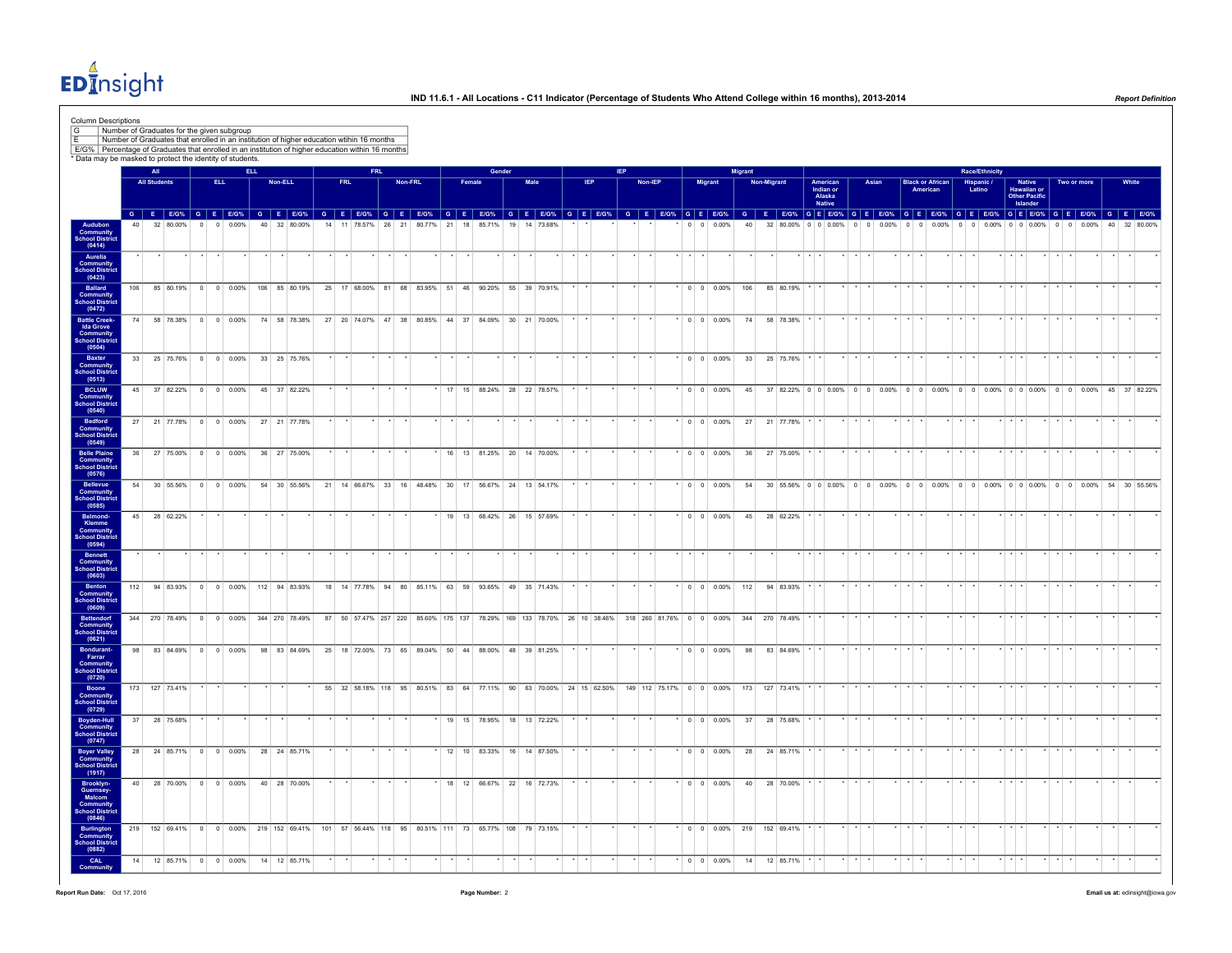$ED<sub>1</sub><sup>4</sup>$ nsight

| G<br>Number of Graduates for the given subgroup                                                                                                                  |     |                            |                |      |                        |            |         | Number of Graduates that enrolled in an institution of higher education wtihin 16 months        |      |  |         |                                                     |        |                             |        |              |      |  |            |  |         |                    |         |                    |                |                                                                                                                                                                                                                                |                                                  |         |             |       |                 |                                     |         |                       |                                                    |                 |                    |         |       |
|------------------------------------------------------------------------------------------------------------------------------------------------------------------|-----|----------------------------|----------------|------|------------------------|------------|---------|-------------------------------------------------------------------------------------------------|------|--|---------|-----------------------------------------------------|--------|-----------------------------|--------|--------------|------|--|------------|--|---------|--------------------|---------|--------------------|----------------|--------------------------------------------------------------------------------------------------------------------------------------------------------------------------------------------------------------------------------|--------------------------------------------------|---------|-------------|-------|-----------------|-------------------------------------|---------|-----------------------|----------------------------------------------------|-----------------|--------------------|---------|-------|
| E/G%   Percentage of Graduates that enrolled in an institution of higher education within 16 months<br>* Data may be masked to protect the identity of students. |     |                            |                |      |                        |            |         |                                                                                                 |      |  |         |                                                     |        |                             |        |              |      |  |            |  |         |                    |         |                    |                |                                                                                                                                                                                                                                |                                                  |         |             |       |                 |                                     |         |                       |                                                    |                 |                    |         |       |
|                                                                                                                                                                  |     | All<br><b>All Students</b> |                |      |                        | <b>ELL</b> |         |                                                                                                 |      |  |         |                                                     | Female |                             | Gender |              |      |  | <b>IEP</b> |  |         |                    |         |                    | <b>Migrant</b> |                                                                                                                                                                                                                                |                                                  |         |             |       |                 |                                     |         | <b>Race/Ethnicity</b> |                                                    |                 |                    |         | White |
|                                                                                                                                                                  |     |                            |                | ELL. |                        |            | Non-ELL |                                                                                                 | FRL. |  | Non-FRL |                                                     |        |                             |        |              | Male |  |            |  | Non-IEP |                    | Migrant |                    |                | Non-Migrant                                                                                                                                                                                                                    | American<br>Indian or<br>Alaska<br><b>Native</b> |         | Asian       |       |                 | <b>Black or African</b><br>American |         | Hispanic /<br>Latino  | Native<br>Hawaiian or<br>Other Pacific<br>Islander |                 | Two or more        |         |       |
|                                                                                                                                                                  |     |                            |                |      |                        |            |         |                                                                                                 |      |  |         |                                                     |        |                             |        |              |      |  |            |  |         |                    |         |                    |                | G E EIGN G E EIGN G E EIGN G E EIGN G E EIGN G E EIGN G E EIGN G E EIGN G E EIGN G E EIGN G E EIGN G E EIGN G E EIGN G E EIGN G E EIGN G E EIGN G E EIGN G E EIGN G E EIGN G E EIGN G E EIGN G E EIGN G E EIGN G E EIGN G E EI |                                                  |         |             |       |                 |                                     |         |                       |                                                    |                 |                    |         |       |
| Audubon<br>Community<br>School District<br>(0414)                                                                                                                |     |                            | 32 80.00%      |      | 0 0.00%                |            |         | 40 32 80.00%                                                                                    |      |  |         | 14 11 78.57% 26 21 80.77% 21 18 85.71%              |        |                             |        | 19 14 73.68% |      |  |            |  |         |                    |         | $0 \t 0 \t 0.00\%$ | 40             | 32 80.00% 0 0 0.00%                                                                                                                                                                                                            |                                                  |         | $0 \quad 0$ | 0.00% |                 | $0 \t 0 \t 0.00\%$                  |         | $0 \t 0 \t 0.00\%$    | $0 \t 0 \t 0.00\%$                                 |                 | $0 \t 0 \t 0.00\%$ |         |       |
| Aurelia<br>Community<br>School District<br>(0423)                                                                                                                |     |                            |                |      |                        |            |         |                                                                                                 |      |  |         |                                                     |        |                             |        |              |      |  |            |  |         |                    |         |                    |                |                                                                                                                                                                                                                                |                                                  |         |             |       |                 |                                     |         |                       |                                                    |                 |                    |         |       |
| Ballard<br>Community<br>School District<br>(0472)                                                                                                                | 106 |                            |                |      |                        |            |         | 85 80.19% 0 0 0.00% 106 85 80.19%                                                               |      |  |         | 25 17 68.00% 81 68 83.95% 51 46 90.20% 55 39 70.91% |        |                             |        |              |      |  |            |  |         |                    |         |                    |                | $*$ 0 0 0.00% 106 85 80.19%                                                                                                                                                                                                    |                                                  |         |             |       |                 |                                     |         |                       |                                                    |                 |                    |         |       |
| <b>Battle Creek-</b>                                                                                                                                             |     |                            |                |      |                        |            |         | 74 58 78.38% 0 0 0.00% 74 58 78.38% 27 20 74.07% 47 38 80.85% 44 37 84.09% 30 21 70.00%         |      |  |         |                                                     |        |                             |        |              |      |  |            |  |         |                    |         | $0 \t 0 \t 0.00\%$ |                | 74 58 78.38%                                                                                                                                                                                                                   |                                                  |         |             |       |                 |                                     |         |                       |                                                    |                 |                    |         |       |
| Eattle Creek-<br>Ida Grove<br>Community<br>School District<br>(0504)                                                                                             | 33  |                            |                |      |                        |            |         | 25 75.76% 0 0 0.00% 33 25 75.76%                                                                |      |  |         |                                                     |        |                             |        |              |      |  |            |  |         |                    |         | $0 \t0 \t0.00\%$   |                | 33 25 75.76%                                                                                                                                                                                                                   |                                                  |         |             |       |                 |                                     |         |                       |                                                    |                 |                    |         |       |
| Baxter<br>Community<br>School District<br>(0513)                                                                                                                 |     |                            |                |      |                        |            |         |                                                                                                 |      |  |         |                                                     |        |                             |        |              |      |  |            |  |         |                    |         |                    |                |                                                                                                                                                                                                                                |                                                  |         |             |       |                 |                                     |         |                       |                                                    |                 |                    |         |       |
| <b>BCLUW</b><br><b>Community</b><br>School District<br>(0540)                                                                                                    |     |                            |                |      | 45 37 82.22% 0 0 0.00% |            |         | 45 37 82.22%                                                                                    |      |  |         |                                                     |        | * 17 15 88.24% 28 22 78.57% |        |              |      |  |            |  |         |                    |         | $^*$ 0 0 0.00%     |                | 45 37 82.22% 0 0 0.00% 0 0 0.00% 0 0 0.00% 0 0 0.00% 0 0 0.00% 0 0 0.00% 0 1 0.00% 45 37 82.22%                                                                                                                                |                                                  |         |             |       |                 |                                     |         |                       |                                                    |                 |                    |         |       |
| Bedford<br>Community<br>School District                                                                                                                          |     |                            |                |      |                        |            |         | 27 21 77.78% 0 0 0.00% 27 21 77.78%                                                             |      |  |         |                                                     |        |                             |        |              |      |  |            |  |         |                    |         |                    |                | $\vert 0 \vert 0 \vert 0.00\% 27 21 77.78\%$                                                                                                                                                                                   |                                                  |         |             |       |                 |                                     |         |                       |                                                    |                 |                    |         |       |
| (0549)<br><b>Belle Plaine</b><br><b>Community</b><br>School District                                                                                             | 36  |                            |                |      | 27 75.00% 0 0 0.00%    |            |         | 36 27 75.00%                                                                                    |      |  |         |                                                     |        | 16 13 81.25% 20 14 70.00%   |        |              |      |  |            |  |         |                    |         | $0 \t 0 \t 0.00\%$ |                | 36 27 75.00%                                                                                                                                                                                                                   |                                                  |         |             |       |                 |                                     |         |                       |                                                    |                 |                    |         |       |
| (0576)<br>Bellevue<br>Community<br>School District                                                                                                               |     |                            |                |      | 54 30 55.56% 0 0 0.00% |            |         | 54 30 55.56%                                                                                    |      |  |         | 21 14 66.67% 33 16 48.48% 30 17 56.67% 24 13 54.17% |        |                             |        |              |      |  |            |  |         |                    |         | $\vert$ 0 0 0.00%  |                | 54 30 55.56% 0 0 0.00% 0 0 0.00% 0 0 0.00% 0 0 0.00% 0 0 0.00% 0 0 0.00% 6 0 0.00% 54 30 55.56%                                                                                                                                |                                                  |         |             |       |                 |                                     |         |                       |                                                    |                 |                    |         |       |
| (0585)<br>Belmond-<br>Klemme                                                                                                                                     |     |                            | 45 28 62.22%   |      |                        |            |         |                                                                                                 |      |  |         |                                                     |        | 19 13 68.42% 26 15 57.69%   |        |              |      |  |            |  |         |                    |         | $*$ 0 0 0.00%      |                | 45 28 62.22%                                                                                                                                                                                                                   |                                                  |         |             |       |                 |                                     |         |                       |                                                    |                 |                    |         |       |
| <b>Community</b><br>School District<br>(0594)                                                                                                                    |     |                            |                |      |                        |            |         |                                                                                                 |      |  |         |                                                     |        |                             |        |              |      |  |            |  |         |                    |         |                    |                |                                                                                                                                                                                                                                |                                                  |         |             |       |                 |                                     |         |                       |                                                    |                 |                    |         |       |
| <b>Bennett</b><br>Community<br>School District<br>(0603)                                                                                                         |     |                            |                |      |                        |            |         |                                                                                                 |      |  |         |                                                     |        |                             |        |              |      |  |            |  |         |                    |         |                    |                |                                                                                                                                                                                                                                |                                                  |         |             |       |                 |                                     |         |                       |                                                    |                 |                    |         |       |
| Benton<br>Community<br>School District<br>(0609)                                                                                                                 |     |                            |                |      |                        |            |         | 112 94 83.93% 0 0 0.00% 112 94 83.93% 18 14 77.78% 94 80 85.11% 63 59 93.65% 49 35 71.43%       |      |  |         |                                                     |        |                             |        |              |      |  |            |  |         |                    |         |                    |                | * 0 0 0.00% 112 94 83.93% * *                                                                                                                                                                                                  |                                                  | $*$ $*$ |             |       | $\cdot$ $\cdot$ |                                     |         |                       | $*$ $*$ $*$                                        |                 |                    |         |       |
| Bettendorf<br>Community<br>School Distric                                                                                                                        |     |                            |                |      |                        |            |         |                                                                                                 |      |  |         |                                                     |        |                             |        |              |      |  |            |  |         |                    |         |                    |                | 344 270 78.49% 0 0 0.00% 344 270 78.49% 87 50 57.47% 257 220 85.60% 175 137 78.29% 169 133 78.70% 26 10 38.46% 318 260 81.76% 0 0 0.00% 344 270 78.49%                                                                         |                                                  |         |             |       |                 |                                     |         |                       |                                                    |                 |                    |         |       |
| (0621)<br>Bondurant-<br>Farrar<br>Community<br>School District                                                                                                   | 98  |                            | 83 84.69% 0    |      | $0 0.00\%$             |            |         | 98 83 84.69%                                                                                    | 25   |  |         | 18 72.00% 73 65 89.04% 50 44 88.00%                 |        |                             |        | 48 39 81.25% |      |  |            |  |         | $0 \t 0 \t 0.00\%$ |         |                    | 98             | 83 84.69%                                                                                                                                                                                                                      |                                                  |         |             |       |                 |                                     |         |                       |                                                    |                 |                    |         |       |
| (0720)<br>Boone                                                                                                                                                  |     |                            | 173 127 73.41% |      |                        |            |         |                                                                                                 |      |  |         |                                                     |        |                             |        |              |      |  |            |  |         |                    |         |                    |                | 55 32 58.18% 118 95 80.51% 83 64 77.11% 90 63 70.00% 24 15 62.50% 149 112 75.17% 0 0 0.00% 173 127 73.41%                                                                                                                      |                                                  |         |             |       | $*$ $*$ $*$     |                                     | $*$ $*$ |                       | $*$ $*$ $*$                                        |                 |                    | $\star$ |       |
| Community<br>School District<br>(0729)                                                                                                                           |     |                            |                |      |                        |            |         |                                                                                                 |      |  |         |                                                     |        |                             |        |              |      |  |            |  |         |                    |         |                    |                |                                                                                                                                                                                                                                |                                                  |         |             |       |                 |                                     |         |                       |                                                    |                 |                    |         |       |
| <b>Boyden-Hull</b><br>Community<br><b>School District</b><br>(0747)                                                                                              |     |                            | 37 28 75.68%   |      |                        |            |         |                                                                                                 |      |  |         |                                                     |        | 19 15 78.95% 18 13 72.22%   |        |              |      |  |            |  |         |                    |         | $0 \t0 \t0.00\%$   |                | 37 28 75.68%                                                                                                                                                                                                                   |                                                  |         |             |       |                 |                                     |         |                       |                                                    |                 |                    |         |       |
| Boyer Valley<br>Community<br>School District<br>(1917)                                                                                                           |     |                            |                |      | 28 24 85.71% 0 0 0.00% |            |         | 28 24 85.71%                                                                                    |      |  |         |                                                     |        | 12 10 83.33% 16 14 87.50%   |        |              |      |  |            |  |         |                    |         | $0 \t 0 \t 0.00\%$ | 28             | 24 85.71%                                                                                                                                                                                                                      |                                                  |         |             |       |                 |                                     |         |                       |                                                    |                 |                    |         |       |
| Brooklyn-<br>Guernsey-<br>Malcom                                                                                                                                 | 40  |                            |                |      | 28 70.00% 0 0 0.00%    |            |         | 40 28 70.00%                                                                                    |      |  |         |                                                     |        | 18 12 66.67% 22 16 72.73%   |        |              |      |  |            |  |         |                    |         | $0 \t 0 \t 0.00\%$ |                | 40 28 70.00%                                                                                                                                                                                                                   |                                                  |         |             |       |                 |                                     |         |                       |                                                    |                 |                    |         |       |
| <b>Community</b><br>School District<br>(0846)                                                                                                                    |     |                            |                |      |                        |            |         | 219 152 69.41% 0 0 0.00% 219 152 69.41% 101 57 56.44% 118 95 80.51% 111 73 65.77% 108 79 73.15% |      |  |         |                                                     |        |                             |        |              |      |  |            |  |         |                    |         |                    |                | $*$ 0 0 0.00% 219 152 69.41%                                                                                                                                                                                                   |                                                  |         |             |       |                 |                                     |         |                       |                                                    |                 |                    |         |       |
| <b>Burlington</b><br>Community<br><b>School Distric</b><br>(0882)                                                                                                |     |                            |                |      |                        |            |         |                                                                                                 |      |  |         |                                                     |        |                             |        |              |      |  |            |  |         |                    |         |                    |                |                                                                                                                                                                                                                                |                                                  |         |             |       |                 |                                     |         |                       |                                                    |                 |                    |         |       |
| CAL<br>Community                                                                                                                                                 |     |                            |                |      |                        |            |         | 14 12 85.71% 0 0 0.00% 14 12 85.71%                                                             |      |  |         |                                                     |        |                             |        |              |      |  |            |  |         |                    |         | $\cdot$ 0 0 0.00%  | 14             | 12 85.71%                                                                                                                                                                                                                      |                                                  |         |             |       |                 |                                     |         |                       | $\star$ $\star$ $\star$                            | $\star$ $\star$ |                    | $\star$ |       |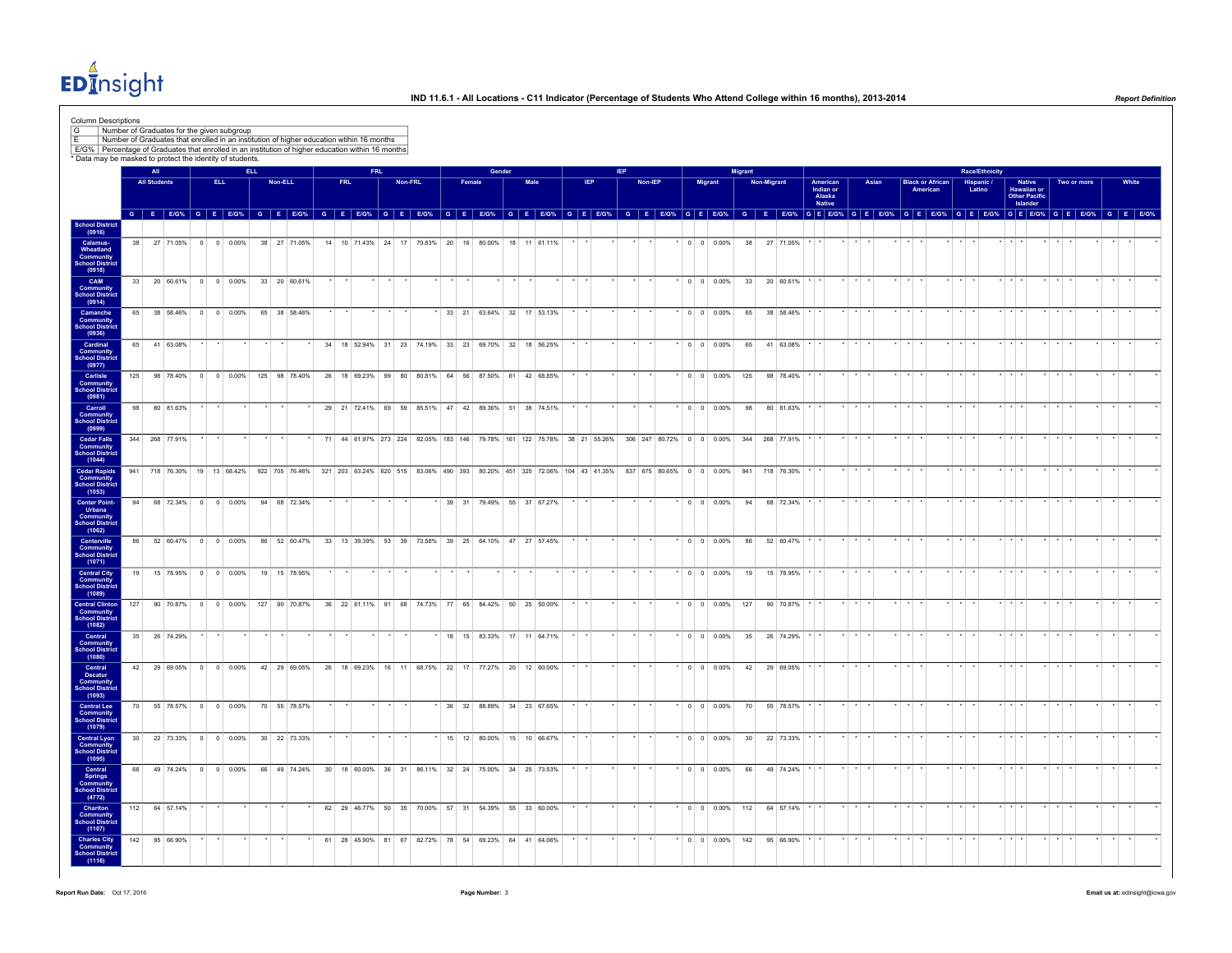$ED<sub>II</sub><sup>4</sup>$ nsight

| Column Descriptions<br>G<br>E/G% Percentage of Graduates that enrolled in an institution of higher education within 16 months<br>* Data may be masked to protect the identity of students. |                 |                     |               |                         | Number of Graduates for the given subgroup |     | Number of Graduates that enrolled in an institution of higher education wtihin 16 months                                                                                                                                      |    |            |         |         |                                                                        |        |                           |      |         |                 |      |         |         |                          |                                   |                 |                    |           |                                           |                 |       |         |                                     |                 |                         |                       |             |                                               |                         |                  |         |       |  |
|--------------------------------------------------------------------------------------------------------------------------------------------------------------------------------------------|-----------------|---------------------|---------------|-------------------------|--------------------------------------------|-----|-------------------------------------------------------------------------------------------------------------------------------------------------------------------------------------------------------------------------------|----|------------|---------|---------|------------------------------------------------------------------------|--------|---------------------------|------|---------|-----------------|------|---------|---------|--------------------------|-----------------------------------|-----------------|--------------------|-----------|-------------------------------------------|-----------------|-------|---------|-------------------------------------|-----------------|-------------------------|-----------------------|-------------|-----------------------------------------------|-------------------------|------------------|---------|-------|--|
|                                                                                                                                                                                            |                 | All                 |               |                         |                                            |     |                                                                                                                                                                                                                               |    |            |         |         |                                                                        |        | Gender                    |      |         |                 |      |         |         |                          |                                   |                 |                    |           |                                           |                 |       |         |                                     |                 |                         | <b>Race/Ethnicity</b> |             |                                               |                         |                  |         |       |  |
|                                                                                                                                                                                            |                 | <b>All Students</b> |               |                         | <b>ELL</b>                                 |     | Non-ELL                                                                                                                                                                                                                       |    | <b>FRL</b> |         | Non-FRL |                                                                        | Female |                           | Male |         |                 | IEP. |         | Non-IEP |                          | Migrant                           |                 | <b>Non-Migrant</b> |           | American<br>Indian or<br>Alaska<br>Native |                 | Asian |         | <b>Black or African</b><br>American |                 |                         | Hispanic /<br>Latino  |             | <b>Native</b><br>Hawaiian or<br>Other Pacific |                         | Two or more      |         | White |  |
|                                                                                                                                                                                            |                 |                     |               |                         |                                            |     | G E EIGY, G E EIGY, G E EIGY, G E EIGY, G E EIGY, G E EIGY, G E EIGY, G E EIGY, G E EIGY, G E EIGY, G E EIGY, G E EIGY, G E EIGY, G E EIGY, G E EIGY, G E EIGY, G E EIGY, G E EIGY, G E EIGY, G E EIGY, G E EIGY, G E EIGY, G |    |            |         |         |                                                                        |        |                           |      |         |                 |      |         |         |                          |                                   |                 |                    |           |                                           |                 |       |         |                                     |                 |                         |                       |             | Islander                                      |                         | GEEG% GEEG% GEEG |         |       |  |
| School District<br>(0916)                                                                                                                                                                  |                 |                     |               |                         |                                            |     |                                                                                                                                                                                                                               |    |            |         |         |                                                                        |        |                           |      |         |                 |      |         |         |                          |                                   |                 |                    |           |                                           |                 |       |         |                                     |                 |                         |                       |             |                                               |                         |                  |         |       |  |
| Calamus-<br>Wheatland<br>Community                                                                                                                                                         | 38              |                     |               |                         | 27 71 05% 0 0 0 000%                       |     | 38 27 71.05%                                                                                                                                                                                                                  |    |            |         |         | 14 10 71 43% 24 17 70 83% 20 16 80 00% 18 11 61 11%                    |        |                           |      |         |                 |      |         |         |                          | $\sqrt{0}$ 0 0 0 0 0 0 $\sqrt{0}$ | 38              |                    | 27 71 05% |                                           |                 |       |         |                                     |                 |                         |                       |             |                                               |                         |                  |         |       |  |
| School District<br>(0918)<br>CAM<br><b>Community</b><br>School District                                                                                                                    |                 |                     |               |                         |                                            |     | 33 20 60.61% 0 0 0.00% 33 20 60.61%                                                                                                                                                                                           |    |            | $\star$ |         |                                                                        |        |                           |      | $\star$ | $\star$ $\star$ |      | $\star$ |         |                          | * 0 0 0.00%                       |                 | 33 20 60.61%       |           |                                           | $\star$ $\star$ |       | $*$ $*$ |                                     |                 | $\star$ $\star$ $\star$ |                       | $*$ $*$ $*$ |                                               | $\cdot$ $\cdot$ $\cdot$ | $\star$          | $\cdot$ |       |  |
| (0914)<br>Camanche<br>Community                                                                                                                                                            | 65              |                     | 38 58.46%     |                         | $0 \quad 0 \quad 0.00\%$                   |     | 65 38 58.46%                                                                                                                                                                                                                  |    |            |         |         |                                                                        |        | 33 21 63.64% 32 17 53.13% |      |         |                 |      |         |         |                          | $0 \t 0 \t 0.00\%$                | 65              |                    | 38 58.46% |                                           |                 |       |         |                                     |                 |                         |                       |             |                                               |                         |                  |         |       |  |
| <b>School District</b><br>(0936)<br>Cardinal                                                                                                                                               | 65              |                     | 41 63.08%     |                         |                                            |     |                                                                                                                                                                                                                               | 34 |            |         |         | 18 52.94% 31 23 74.19% 33 23 69.70% 32 18 56.25%                       |        |                           |      |         |                 |      |         |         |                          | $0 \quad 0 \quad 0.00\%$          | 65              |                    | 41 63.08% |                                           |                 |       |         |                                     |                 |                         |                       |             |                                               |                         |                  |         |       |  |
| <b>Community</b><br>School District<br>(0977)                                                                                                                                              |                 |                     |               |                         |                                            |     |                                                                                                                                                                                                                               |    |            |         |         |                                                                        |        |                           |      |         |                 |      |         |         |                          |                                   |                 |                    |           |                                           |                 |       |         |                                     |                 |                         |                       |             |                                               |                         |                  |         |       |  |
| Carlisle<br><b>Community</b><br>School District<br>(0981)                                                                                                                                  | 125             |                     | 98 78.40%     | $\overline{\mathbf{0}}$ | $0 0.00\%$                                 |     | 125 98 78.40%                                                                                                                                                                                                                 |    |            |         |         | 26 18 69.23% 99 80 80.81% 64 56 87.50% 61 42 68.85%                    |        |                           |      |         |                 |      |         |         |                          | $*$ 0 0 0.00%                     | 125             |                    | 98 78.40% |                                           |                 |       |         |                                     |                 |                         |                       |             |                                               |                         |                  |         |       |  |
| Carroll<br><b>Community</b><br>School District<br>(0999)                                                                                                                                   | 98              |                     | 80 81.63%     |                         |                                            |     |                                                                                                                                                                                                                               |    |            |         |         | 29 21 72.41% 69 59 85.51% 47 42 89.36% 51 38 74.51%                    |        |                           |      |         |                 |      |         |         |                          | $0 0 0.00\%$                      | 98              |                    | 80 81.63% |                                           |                 |       |         |                                     |                 |                         |                       |             |                                               |                         |                  |         |       |  |
| <b>Cedar Falls</b><br>Community<br>School District<br>(1044)                                                                                                                               | 344             |                     | 268 77.91%    |                         |                                            |     |                                                                                                                                                                                                                               |    |            |         |         | 71 44 61.97% 273 224 82.05% 183 146 79.78% 161 122 75.78% 38 21 55.26% |        |                           |      |         |                 |      |         |         | 306 247 80.72% 0 0 0.00% |                                   | 344             | 268 77.91%         |           |                                           |                 |       |         |                                     |                 |                         |                       |             |                                               |                         |                  |         |       |  |
| <b>Cedar Rapids</b><br><b>Community</b><br>School District                                                                                                                                 |                 |                     |               |                         |                                            |     | 941 718 76.30% 19 13 68.42% 922 705 76.46% 321 203 63.24% 620 515 83.06% 490 393 80.20% 451 325 72.06% 104 43 41.35% 837 675 80.65% 0 0 0.00% 941 718 76.30%                                                                  |    |            |         |         |                                                                        |        |                           |      |         |                 |      |         |         |                          |                                   |                 |                    |           |                                           |                 |       |         |                                     | $*$ $*$         |                         |                       |             |                                               |                         |                  |         |       |  |
| (1053)<br><b>Center Point-</b><br>Urbana                                                                                                                                                   | 94              |                     | 68 72.34%     |                         | $0 \t 0 \t 0.00\%$                         |     | 94 68 72.34%                                                                                                                                                                                                                  |    |            |         |         |                                                                        |        | 39 31 79.49% 55 37 67.27% |      |         |                 |      |         |         |                          |                                   | 94              |                    | 68 72.34% |                                           |                 |       |         |                                     |                 |                         |                       |             |                                               |                         |                  |         |       |  |
| Community<br>School Distric<br>(1062)                                                                                                                                                      |                 |                     |               |                         |                                            |     |                                                                                                                                                                                                                               |    |            |         |         |                                                                        |        |                           |      |         |                 |      |         |         |                          |                                   |                 |                    |           |                                           |                 |       |         |                                     |                 |                         |                       |             |                                               |                         |                  |         |       |  |
| Centerville<br><b>Community</b><br>School District<br>(1071)                                                                                                                               | 86              |                     |               |                         | 52 60.47% 0 0 0.00%                        |     | 86 52 60.47%                                                                                                                                                                                                                  |    |            |         |         | 33 13 39.39% 53 39 73.58% 39 25 64.10% 47 27 57.45%                    |        |                           |      |         |                 |      | $\star$ |         |                          | * 0 0 0.00%                       | 86              |                    | 52 60.47% |                                           | $*$ $*$ $*$     |       | $*$ $*$ |                                     |                 | $*$ $*$ $*$             |                       | $*$ $*$ $*$ |                                               | $*$ $*$ $*$             |                  | $\star$ |       |  |
| <b>Central City<br/>Community<br/>School District</b><br>(1089)                                                                                                                            | 19              |                     | 15 78.95%     |                         | $0 \t 0 \t 0.00\%$                         |     | 19 15 78.95%                                                                                                                                                                                                                  |    |            |         |         |                                                                        |        |                           |      |         |                 |      |         |         |                          | $ 0 00.00\%$                      | 19              |                    | 15 78.95% |                                           |                 |       |         |                                     |                 |                         |                       |             |                                               |                         |                  |         |       |  |
| <b>Central Clinton</b><br>Community<br><b>School District</b>                                                                                                                              | 127             |                     | 90 70.87%     | $\overline{0}$          | 0 0.00%                                    | 127 | 90 70.87%                                                                                                                                                                                                                     |    |            |         |         | 36 22 61.11% 91 68 74.73%                                              |        | 77 65 84.42% 50 25 50.00% |      |         |                 |      |         |         |                          | $0 \quad 0 \quad 0.00\%$          | 127             |                    | 90 70.87% |                                           |                 |       |         |                                     |                 |                         |                       |             |                                               |                         |                  |         |       |  |
| (1082)<br>Central<br><b>Community</b><br>School District                                                                                                                                   | 35              |                     | 26 74.29%     |                         |                                            |     |                                                                                                                                                                                                                               |    |            |         |         |                                                                        |        | 18 15 83.33% 17 11 64.71% |      |         |                 |      |         |         |                          | $*$ 0 0 0.00%                     | 35              |                    | 26 74.29% |                                           |                 |       |         |                                     |                 |                         |                       |             |                                               |                         |                  |         |       |  |
| (1080)<br>Central<br>Decatur                                                                                                                                                               | 42 <sup>1</sup> |                     |               |                         | 29 69 05% 0 0 0 00%                        |     | 42 29 69.05%                                                                                                                                                                                                                  |    |            |         |         | 26 18 69.23% 16 11 68.75% 22 17 77.27% 20 12 60.00%                    |        |                           |      |         |                 |      |         |         |                          | $0 \quad 0 \quad 0.00\%$          | 42              |                    | 29 69.05% |                                           |                 |       |         |                                     |                 |                         |                       |             |                                               |                         |                  |         |       |  |
| <b>Community</b><br>School Distric<br>(1093)                                                                                                                                               |                 |                     |               |                         |                                            |     |                                                                                                                                                                                                                               |    |            |         |         |                                                                        |        |                           |      |         |                 |      |         |         |                          |                                   |                 |                    |           |                                           |                 |       |         |                                     |                 |                         |                       |             |                                               |                         |                  |         |       |  |
| <b>Central Lee</b><br><b>Community</b><br>School District<br>(1079)                                                                                                                        | 70              |                     |               |                         | 55 78.57% 0 0 0.00%                        |     | 70 55 78.57%                                                                                                                                                                                                                  |    |            |         |         |                                                                        |        | 36 32 88.89% 34 23 67.65% |      |         |                 |      |         |         |                          | $*$ 0 0 0.00%                     | 70              |                    | 55 78.57% |                                           |                 |       |         |                                     | $\cdot$ $\cdot$ |                         |                       |             |                                               |                         |                  |         |       |  |
| <b>Central Lyon</b><br>Community<br><b>School District</b>                                                                                                                                 |                 |                     |               |                         | 30 22 73.33% 0 0 0.00%                     |     | 30 22 73.33%                                                                                                                                                                                                                  |    |            |         |         |                                                                        |        | 15 12 80.00% 15 10 66.67% |      |         |                 |      |         |         |                          | $^*$ 0 0 0.00%                    | 30 <sup>1</sup> |                    | 22 73.33% |                                           |                 |       |         |                                     |                 |                         |                       |             |                                               |                         |                  |         |       |  |
| (1095)<br>Central<br><b>Springs</b>                                                                                                                                                        | 66              |                     | 49 74.24%     |                         | $0 \t 0 \t 0.00\%$                         |     | 66 49 74.24%                                                                                                                                                                                                                  |    |            |         |         | 30 18 60.00% 36 31 86.11% 32 24 75.00% 34 25 73.53%                    |        |                           |      |         |                 |      |         |         |                          | $0 \t 0 \t 0.00\%$                | 66              |                    | 49 74.24% |                                           |                 |       |         |                                     |                 |                         |                       |             |                                               |                         |                  |         |       |  |
| <b>Community</b><br><b>School District</b><br>(4772)<br>Chariton                                                                                                                           |                 |                     | 112 64 57.14% |                         |                                            |     |                                                                                                                                                                                                                               |    |            |         |         | 62 29 46.77% 50 35 70.00% 57 31 54.39% 55 33 60.00%                    |        |                           |      |         |                 |      |         |         |                          | $ 0 000\%$ 112                    |                 |                    | 64 57.14% |                                           |                 |       |         |                                     |                 |                         |                       |             |                                               |                         |                  |         |       |  |
| <b>Community</b><br>School District<br>(1107)<br><b>Charles City</b>                                                                                                                       | 142             |                     | 95 66.90%     |                         |                                            |     |                                                                                                                                                                                                                               |    |            |         |         | 61 28 45.90% 81 67 82.72% 78 54 69.23% 64 41 64.06%                    |        |                           |      |         |                 |      |         |         |                          | $0 \quad 0 \quad 0.00\%$          | 142             |                    | 95 66.90% |                                           |                 |       |         |                                     |                 |                         |                       |             |                                               |                         |                  |         |       |  |
| <b>Community</b><br><b>School District</b><br>(1116)                                                                                                                                       |                 |                     |               |                         |                                            |     |                                                                                                                                                                                                                               |    |            |         |         |                                                                        |        |                           |      |         |                 |      |         |         |                          |                                   |                 |                    |           |                                           |                 |       |         |                                     |                 |                         |                       |             |                                               |                         |                  |         |       |  |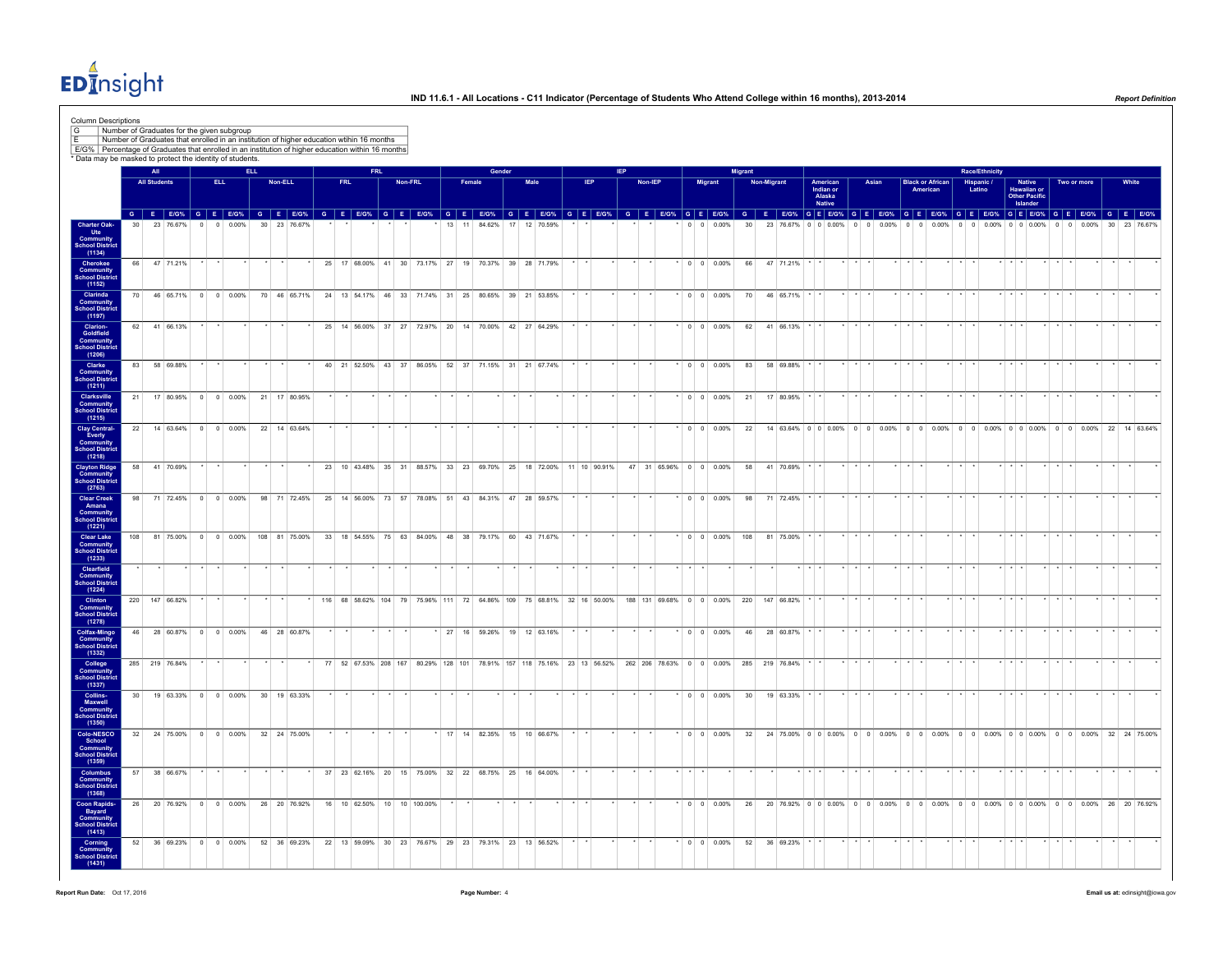$ED<sub>II</sub><sup>4</sup>$ nsight

|                                                                       | Column Descriptions |                            |                |                |      | Number of Graduates for the given subgroup                |         | Number of Graduates that enrolled in an institution of higher education wtihin 16 months           |            |                                                                                                 |         |  |                             |        |        |              |           |  |            |         |  |                |                                      |                 |                    |                                                                                                              |                               |          |          |       |                                     |          |                                        |       |                         |                                               |          |                   |                 |         |           |
|-----------------------------------------------------------------------|---------------------|----------------------------|----------------|----------------|------|-----------------------------------------------------------|---------|----------------------------------------------------------------------------------------------------|------------|-------------------------------------------------------------------------------------------------|---------|--|-----------------------------|--------|--------|--------------|-----------|--|------------|---------|--|----------------|--------------------------------------|-----------------|--------------------|--------------------------------------------------------------------------------------------------------------|-------------------------------|----------|----------|-------|-------------------------------------|----------|----------------------------------------|-------|-------------------------|-----------------------------------------------|----------|-------------------|-----------------|---------|-----------|
|                                                                       |                     |                            |                |                |      | * Data may be masked to protect the identity of students. |         | E/G% Percentage of Graduates that enrolled in an institution of higher education within 16 months  |            |                                                                                                 |         |  |                             |        |        |              |           |  |            |         |  |                |                                      |                 |                    |                                                                                                              |                               |          |          |       |                                     |          |                                        |       |                         |                                               |          |                   |                 |         |           |
|                                                                       |                     | All<br><b>All Students</b> |                |                | ELL. |                                                           | Non-ELL |                                                                                                    | <b>FRL</b> |                                                                                                 | Non-FRL |  | Female                      |        | Gender |              | Male      |  | <b>IEP</b> | Non-IEP |  | <b>Migrant</b> |                                      | <b>Migrant</b>  | <b>Non-Migrant</b> |                                                                                                              | American                      |          | Asian    |       | <b>Black or African</b><br>American |          | Race/Ethnicity<br>Hispanic /<br>Latino |       |                         | <b>Native</b><br>Hawaiian or<br>Other Pacific |          | Two or more       |                 |         | White     |
|                                                                       |                     |                            |                |                |      |                                                           |         | G E EIG% G E EIG% G E EIG% G E EIG% G E EIG% G E EIG% G E EIG% G E EIG% G E EIG% G E EIG% G E EIG% |            |                                                                                                 |         |  |                             |        |        |              |           |  |            |         |  |                |                                      |                 |                    | G E EIG% G E EIG% G E EIG% G E EIG% G E EIG% G E EIG% G E EIG% G E EIG% G E EIG% G E EIG%                    | Indian or<br>Alaska<br>Native |          |          |       |                                     |          |                                        |       | Islander                |                                               |          |                   |                 |         |           |
| <b>Charter Oak-<br/>Ute<br/>Community<br/>School District</b>         |                     |                            | 23 76.67%      |                |      | $0 0.00\%$                                                |         | 30 23 76.67%                                                                                       |            |                                                                                                 |         |  | 11<br>13                    | 84.62% |        | 17           | 12 70.59% |  |            |         |  |                | $0 \t 0 \t 0.00\%$                   | 30              |                    | 23 76.67%                                                                                                    | 0 0 0.00%                     | $\Omega$ | $\Omega$ | 0.00% | $0 \t 0 \t 0.00\%$                  | $\Omega$ | $\Omega$                               | 0.00% |                         | $0 \t0 \t0.00\%$                              | $\Omega$ | 0.00%<br>$\Omega$ | 30 <sup>1</sup> |         | 23 76 679 |
| (1134)                                                                |                     |                            |                |                |      |                                                           |         |                                                                                                    |            |                                                                                                 |         |  |                             |        |        |              |           |  |            |         |  |                |                                      |                 |                    |                                                                                                              |                               |          |          |       |                                     |          |                                        |       |                         |                                               |          |                   |                 |         |           |
| Cherokee<br><b>Community</b><br><b>School Distric</b><br>(1152)       | 66                  |                            | 47 71.21%      |                |      |                                                           |         |                                                                                                    |            | 25 17 68.00% 41 30 73.17% 27 19 70.37% 39 28 71.79%                                             |         |  |                             |        |        |              |           |  |            |         |  |                | $*$ 0 0 0.00%                        |                 |                    | 66 47 71.21%                                                                                                 |                               |          |          |       |                                     |          |                                        |       |                         |                                               |          |                   |                 |         |           |
| Clarinda<br><b>Community</b><br>School Distric                        | 70                  |                            | 46 65.71%      | $\overline{0}$ |      | $0 \ 0.00\%$                                              |         | 70 46 65.71%                                                                                       |            | 24 13 54.17% 46 33 71.74% 31 25 80.65% 39 21 53.85%                                             |         |  |                             |        |        |              |           |  |            |         |  |                | $0 \t 0 \t 0.00\%$                   | 70              |                    | 46 65.71%                                                                                                    |                               |          |          |       |                                     |          |                                        |       |                         |                                               |          |                   |                 |         |           |
| (1197)<br>Clarion-<br>Goldfield<br>Community<br>School Distric        |                     |                            | 62 41 66.13%   |                |      |                                                           |         |                                                                                                    |            | 25 14 56.00% 37 27 72.97% 20 14 70.00% 42 27 64.29%                                             |         |  |                             |        |        |              |           |  |            |         |  |                | $\vert 0 \vert 0 \vert 0.00\% \vert$ | 62              |                    | 41 66.13%                                                                                                    |                               |          |          |       |                                     |          |                                        |       |                         |                                               |          |                   |                 |         |           |
| (1206)                                                                |                     |                            |                |                |      |                                                           |         |                                                                                                    |            |                                                                                                 |         |  |                             |        |        |              |           |  |            |         |  |                |                                      |                 |                    |                                                                                                              |                               |          |          |       |                                     |          |                                        |       |                         |                                               |          |                   |                 |         |           |
| Clarke<br><b>Community</b><br>School District<br>(1211)               | 83                  |                            | 58 69.88%      |                |      |                                                           |         |                                                                                                    |            | 40 21 52.50% 43 37 86.05% 52 37 71.15% 31 21 67.74%                                             |         |  |                             |        |        |              |           |  |            |         |  |                | $0 \t 0 \t 0.00\%$                   | 83              |                    | 58 69.88%                                                                                                    |                               |          |          |       |                                     |          |                                        |       |                         |                                               |          |                   |                 |         |           |
| Clarksville<br><b>Community</b><br>School District                    | 21                  |                            |                |                |      | 17 80.95% 0 0 0.00%                                       |         | 21 17 80.95%                                                                                       |            |                                                                                                 |         |  |                             |        |        |              |           |  |            |         |  |                | $0 \quad 0 \quad 0.00\%$             | 21              |                    | 17 80.95%                                                                                                    |                               |          |          |       |                                     |          |                                        |       |                         |                                               |          |                   |                 |         |           |
| <b>Clay Central-</b>                                                  | 22                  |                            |                |                |      | 14 63.64% 0 0 0.00%                                       |         | 22 14 63.64%                                                                                       |            |                                                                                                 |         |  |                             |        |        |              |           |  |            |         |  |                | $0 \quad 0 \quad 0.00\%$             | 22              |                    |                                                                                                              |                               |          |          |       |                                     |          |                                        |       |                         |                                               |          |                   |                 |         |           |
| Everly<br>Everly<br>School District                                   |                     |                            |                |                |      |                                                           |         |                                                                                                    |            |                                                                                                 |         |  |                             |        |        |              |           |  |            |         |  |                |                                      |                 |                    |                                                                                                              |                               |          |          |       |                                     |          |                                        |       |                         |                                               |          |                   |                 |         |           |
| <b>Clayton Ridge<br/>Community<br/>School District</b>                | 58                  |                            | 41 70.69%      |                |      |                                                           |         |                                                                                                    |            | 23 10 43.48% 35 31 88.57% 33 23 69.70% 25 18 72.00% 11 10 90.91%                                |         |  |                             |        |        |              |           |  |            |         |  |                | 47 31 65.96% 0 0 0.00%               | 58              |                    | 41 70.69%                                                                                                    |                               |          |          |       |                                     |          |                                        |       |                         |                                               |          |                   |                 |         |           |
| <b>Clear Creek</b>                                                    | 98                  |                            |                |                |      | 71 72.45% 0 0 0.00%                                       |         | 98 71 72.45% 25 14 56.00% 73 57 78.08% 51 43 84.31% 47 28 59.57%                                   |            |                                                                                                 |         |  |                             |        |        |              |           |  |            |         |  |                | $\cdot$ 0 0 0.00%                    | 98              |                    | 71 72.45%                                                                                                    |                               |          |          |       |                                     |          |                                        |       |                         |                                               |          |                   |                 |         |           |
| Amana<br>Community<br>School District                                 |                     |                            |                |                |      |                                                           |         |                                                                                                    |            |                                                                                                 |         |  |                             |        |        |              |           |  |            |         |  |                |                                      |                 |                    |                                                                                                              |                               |          |          |       |                                     |          |                                        |       |                         |                                               |          |                   |                 |         |           |
| <b>Clear Lake</b><br><b>Community</b><br>School District              | 108                 |                            |                |                |      | 81 75.00% 0 0 0.00%                                       |         | 108 81 75 00%                                                                                      |            | 33 18 54.55% 75 63 84.00% 48 38 79.17%                                                          |         |  |                             |        |        | 60 43 71 67% |           |  |            |         |  |                | $\sqrt{0}$ 0 0 0.00%                 | 108             |                    | 81 75,00%                                                                                                    |                               |          |          |       |                                     |          |                                        |       |                         |                                               |          |                   |                 |         |           |
| (1233)<br>Clearfield<br><b>Community</b><br><b>School Distric</b>     |                     |                            |                |                |      |                                                           |         |                                                                                                    |            |                                                                                                 |         |  |                             |        |        |              |           |  |            |         |  |                |                                      |                 |                    |                                                                                                              |                               |          |          |       |                                     |          |                                        |       |                         |                                               |          |                   |                 |         |           |
| (1224)<br>Clinton<br><b>Community</b><br>School District              |                     |                            | 220 147 66.82% |                |      |                                                           |         |                                                                                                    |            |                                                                                                 |         |  |                             |        |        |              |           |  |            |         |  |                |                                      |                 |                    | 116 68 58.62% 104 79 75.96% 111 72 64.86% 109 75 68.81% 32 16 50.00% 188 131 69.68% 0 0 0.00% 220 147 66.82% |                               |          |          |       |                                     |          |                                        |       | $\star$ $\star$         |                                               |          |                   |                 |         |           |
| (1278)<br>Colfax-Mingo                                                | 46                  |                            |                |                |      | 28 60.87% 0 0 0.00%                                       |         | 46 28 60.87%                                                                                       |            |                                                                                                 |         |  | 27 16 59.26% 19 12 63.16%   |        |        |              |           |  |            |         |  |                | $0 \quad 0 \quad 0.00\%$             | 46              |                    | 28 60.87%                                                                                                    |                               |          |          |       |                                     |          |                                        |       |                         |                                               |          |                   |                 |         |           |
| Community<br><b>School Distric</b><br>(1332)                          |                     |                            |                |                |      |                                                           |         |                                                                                                    |            |                                                                                                 |         |  |                             |        |        |              |           |  |            |         |  |                |                                      |                 |                    |                                                                                                              |                               |          |          |       |                                     |          |                                        |       |                         |                                               |          |                   |                 |         |           |
| College<br>Community<br>School District<br>(1337)                     |                     |                            | 285 219 76.84% |                |      |                                                           |         |                                                                                                    |            | 77 52 67.53% 208 167 80.29% 128 101 78.91% 157 118 75.16% 23 13 56.52% 262 206 78.63% 0 0 0.00% |         |  |                             |        |        |              |           |  |            |         |  |                |                                      |                 |                    | 285 219 76.84%                                                                                               |                               |          |          |       |                                     |          |                                        |       | $\cdot$ $\cdot$ $\cdot$ |                                               |          |                   |                 | $\cdot$ |           |
| Collins-<br>Maxwell                                                   | 30 <sup>1</sup>     |                            |                |                |      | 19 63.33% 0 0 0.00%                                       |         | 30 19 63.33%                                                                                       |            |                                                                                                 |         |  |                             |        |        |              |           |  |            |         |  |                | $^*$ 0 0 0.00%                       | 30 <sup>°</sup> |                    | 19 63.33%                                                                                                    |                               |          |          |       |                                     |          |                                        |       |                         |                                               |          |                   |                 |         |           |
| <b>Community</b><br>School District                                   |                     |                            |                |                |      | 32 24 75.00% 0 0 0.00%                                    |         |                                                                                                    |            |                                                                                                 |         |  |                             |        |        |              |           |  |            |         |  |                | $\cdot$ 0 0 0.00%                    |                 |                    |                                                                                                              |                               |          |          |       |                                     |          |                                        |       |                         |                                               |          |                   |                 |         |           |
| Colo-NESCO<br>School<br><b>Community</b><br>School District<br>(1359) |                     |                            |                |                |      |                                                           |         | 32 24 75.00%                                                                                       |            |                                                                                                 |         |  | * 17 14 82.35% 15 10 66.67% |        |        |              |           |  |            |         |  |                |                                      |                 |                    | 32 24 75.00% 0 0 0.00% 0 0 0.00% 0 0 0.00% 0 0 0.00% 0 0 0.00% 0 0 0.00% 32 24 75.00%                        |                               |          |          |       |                                     |          |                                        |       |                         |                                               |          |                   |                 |         |           |
| <b>Columbus</b><br>Community                                          | 57                  |                            | 38 66.67%      |                |      |                                                           |         |                                                                                                    |            | 37 23 62.16% 20 15 75.00% 32 22 68.75% 25 16 64.00%                                             |         |  |                             |        |        |              |           |  |            |         |  |                |                                      |                 |                    |                                                                                                              |                               |          |          |       |                                     |          |                                        |       |                         |                                               |          |                   |                 |         |           |
| <b>School District</b><br>(1368)<br><b>Coon Rapids-</b>               | 26                  |                            |                |                |      | 20 76.92% 0 0 0.00%                                       |         | 26 20 76.92%                                                                                       |            | 16 10 62.50% 10 10 100.00%                                                                      |         |  |                             |        |        |              |           |  |            |         |  |                | $*$ 0 0 0.00%                        |                 |                    | 26 20 76.92% 0 0 0 0.00% 0 0 0.00% 0 0 0.00% 0 0 0.00% 0 0 0.00% 0 0 0.00% 26 20 76.92%                      |                               |          |          |       |                                     |          |                                        |       |                         |                                               |          |                   |                 |         |           |
| <b>Bayard</b><br><b>Community</b><br>School District<br>(1413)        |                     |                            |                |                |      |                                                           |         |                                                                                                    |            |                                                                                                 |         |  |                             |        |        |              |           |  |            |         |  |                |                                      |                 |                    |                                                                                                              |                               |          |          |       |                                     |          |                                        |       |                         |                                               |          |                   |                 |         |           |
| Corning<br>Community                                                  | 52                  |                            |                |                |      | 36 69.23% 0 0 0.00%                                       |         | 52 36 69.23%                                                                                       |            | 22 13 59.09% 30 23 76.67% 29 23 79.31% 23 13 56.52%                                             |         |  |                             |        |        |              |           |  |            |         |  |                | $0 \t 0 \t 0.00\%$                   |                 |                    | 52 36 69.23%                                                                                                 |                               |          |          |       |                                     |          |                                        |       |                         |                                               |          |                   |                 |         |           |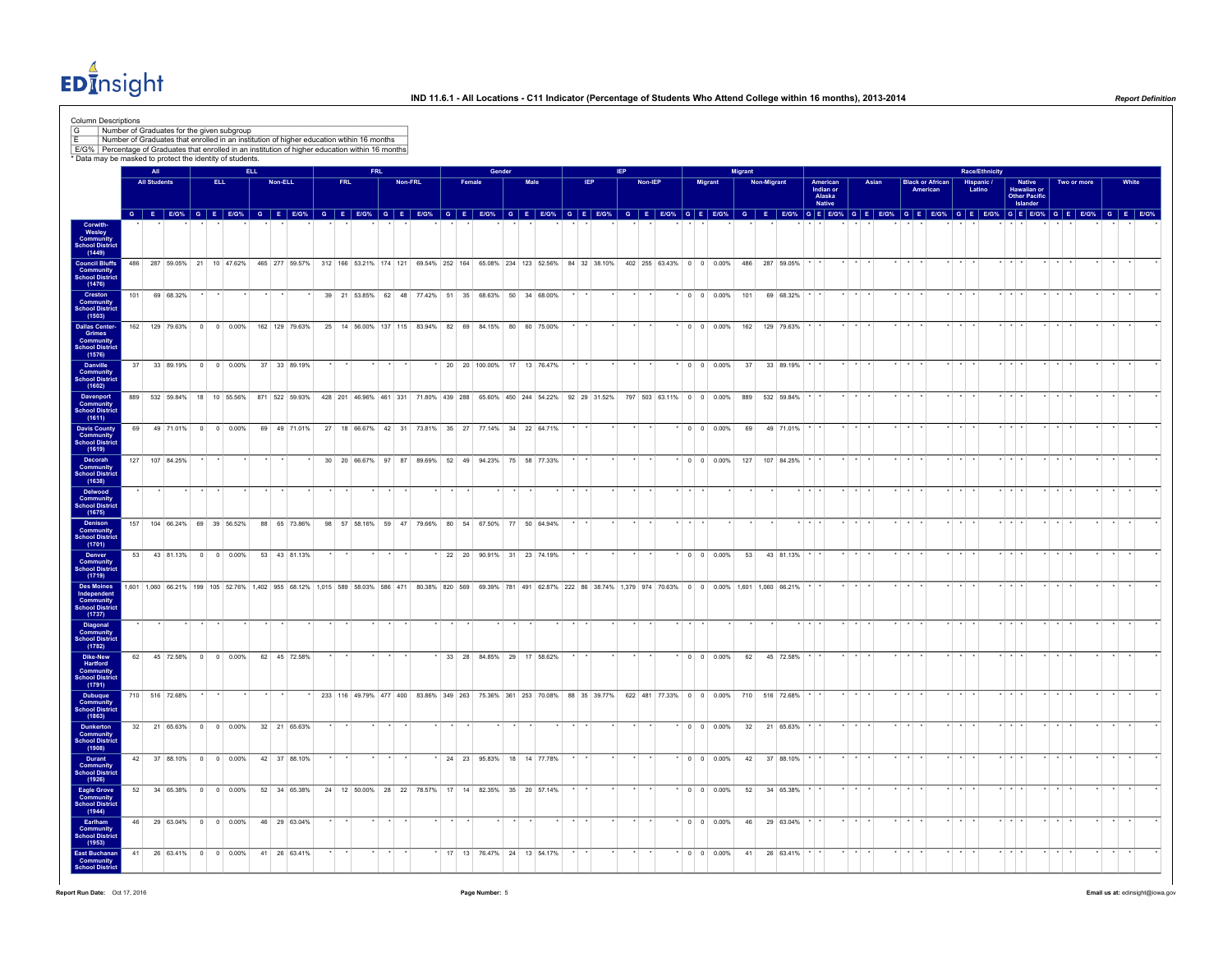$ED<sub>II</sub><sup>4</sup>$ nsight

| Column Descriptions<br>G<br>E/G% Percentage of Graduates that enrolled in an institution of higher education within 16 months<br>* Data may be masked to protect the identity of students. | Number of Graduates for the given subgroup<br>Number of Graduates that enrolled in an institution of higher education wtihin 16 months |                            |                             |      |                    |                                     |            |  |         |                                                                                                                                              |                             |        |        |              |            |  |         |  |                          |         |                                                                                                                                                                              |                                      |       |             |                         |  |                              |                         |                                          |             |       |  |
|--------------------------------------------------------------------------------------------------------------------------------------------------------------------------------------------|----------------------------------------------------------------------------------------------------------------------------------------|----------------------------|-----------------------------|------|--------------------|-------------------------------------|------------|--|---------|----------------------------------------------------------------------------------------------------------------------------------------------|-----------------------------|--------|--------|--------------|------------|--|---------|--|--------------------------|---------|------------------------------------------------------------------------------------------------------------------------------------------------------------------------------|--------------------------------------|-------|-------------|-------------------------|--|------------------------------|-------------------------|------------------------------------------|-------------|-------|--|
|                                                                                                                                                                                            |                                                                                                                                        | All<br><b>All Students</b> |                             | ELL. |                    | Non-ELL                             | <b>FRL</b> |  | Non-FRL |                                                                                                                                              |                             | Female | Gender | Male         | <b>IEP</b> |  | Non-IEP |  | <b>Migrant</b>           | Migrant | <b>Non-Migrant</b>                                                                                                                                                           | American                             | Asian |             | <b>Black or African</b> |  | Race/Ethnicity<br>Hispanic / |                         | <b>Native</b>                            | Two or more | White |  |
|                                                                                                                                                                                            |                                                                                                                                        |                            |                             |      |                    |                                     |            |  |         |                                                                                                                                              |                             |        |        |              |            |  |         |  |                          |         |                                                                                                                                                                              | Indian or<br>Alaska<br><b>Native</b> |       |             | American                |  | Latino                       |                         | Hawaiian or<br>Other Pacific<br>Islander |             |       |  |
|                                                                                                                                                                                            |                                                                                                                                        |                            |                             |      |                    |                                     |            |  |         | G E E/G% G E E/G% G E E/G% G E E/G% G E E/G% G E E/G% G E E/G% G E E/G% G E E/G% G E E/G% G E E/G%                                           |                             |        |        |              |            |  |         |  |                          |         | G E E/G% G E E/G% G E E/G% G E E/G% G E E/G% G E E/G% G E E/G% G E E/G% G E E/G%                                                                                             |                                      |       |             |                         |  |                              |                         |                                          |             |       |  |
| Corwith-<br>Wesley<br>Community<br>School District<br>(1449)                                                                                                                               |                                                                                                                                        |                            |                             |      |                    |                                     |            |  |         |                                                                                                                                              |                             |        |        |              |            |  |         |  |                          |         |                                                                                                                                                                              |                                      |       |             |                         |  |                              |                         |                                          |             |       |  |
| <b>Council Bluffs</b><br>Community<br>School District<br>(1476)                                                                                                                            |                                                                                                                                        |                            |                             |      |                    |                                     |            |  |         |                                                                                                                                              |                             |        |        |              |            |  |         |  |                          |         | 48 287 59.05% 21 10 47.62% 465 277 59.57% 312 166 53.21% 174 121 69.54% 252 164 65.08% 234 123 52.56% 84 32 38.10% 402 255 63.43% 0 0 0.00% 486 287 59.05%                   |                                      |       |             |                         |  |                              |                         |                                          |             |       |  |
| Creston<br><b>Community</b><br>School District<br>(1503)                                                                                                                                   | 101                                                                                                                                    |                            | 69 68.32%                   |      |                    |                                     |            |  |         | 39 21 53.85% 62 48 77.42% 51 35 68.63% 50 34 68.00%                                                                                          |                             |        |        |              |            |  |         |  | $0 \t 0 \t 0.00\%$       | 101     | 69 68.32%                                                                                                                                                                    |                                      |       |             |                         |  |                              |                         |                                          |             |       |  |
| <b>Dallas Center-</b><br>Grimes<br>Community<br>School District                                                                                                                            | 162                                                                                                                                    |                            | 129 79.63%                  |      | $0 \t 0 \t 0.00\%$ | 162 129 79.63%                      |            |  |         | 25 14 56.00% 137 115 83.94% 82 69                                                                                                            |                             |        | 84.15% | 80 60 75,00% |            |  |         |  | $0 \quad 0 \quad 0.00\%$ | 162     | 129 79.63%                                                                                                                                                                   |                                      |       |             |                         |  |                              |                         |                                          |             |       |  |
| (1576)<br>Danville<br>Community<br><b>School District</b>                                                                                                                                  |                                                                                                                                        |                            |                             |      |                    | 37 33 89.19% 0 0 0.00% 37 33 89.19% |            |  |         |                                                                                                                                              | 20 20 100.00% 17 13 76.47%  |        |        |              |            |  |         |  | $0 \quad 0 \quad 0.00\%$ |         | 37 33 89.19%                                                                                                                                                                 |                                      |       |             |                         |  |                              |                         |                                          |             |       |  |
| (1602)<br>Davenport<br>Community<br>School District                                                                                                                                        |                                                                                                                                        |                            |                             |      |                    |                                     |            |  |         | 889 532 59.84% 18 10 55.56% 871 522 59.93% 428 201 46.96% 461 331 71.80% 439 288 65.60% 450 244 54.22% 92 29 31.52% 797 503 63.11% 0 0 0.00% |                             |        |        |              |            |  |         |  |                          |         | 889 532 59.84%                                                                                                                                                               |                                      |       |             |                         |  |                              |                         |                                          |             |       |  |
| (1611)<br>Davis County<br>Community<br><b>School District</b>                                                                                                                              | 69                                                                                                                                     |                            | 49 71.01% 0 0 0.00%         |      |                    | 69 49 71.01%                        |            |  |         | 27 18 66.67% 42 31 73.81% 35 27 77.14% 34 22 64.71%                                                                                          |                             |        |        |              |            |  |         |  | $0 \quad 0 \quad 0.00\%$ | 69      | 49 71.01%                                                                                                                                                                    |                                      |       |             |                         |  |                              |                         |                                          |             |       |  |
| (1619)<br>Decorah<br><b>Community</b><br>School District                                                                                                                                   |                                                                                                                                        |                            | 127 107 84.25%              |      |                    |                                     |            |  |         | 30 20 66.67% 97 87 89.69% 52 49 94.23% 75 58 77.33%                                                                                          |                             |        |        |              |            |  |         |  | $\cdot$ 0 0 0.00%        | 127     | 107 84.25%                                                                                                                                                                   |                                      |       |             |                         |  |                              |                         |                                          |             |       |  |
| (1638)<br>Delwood<br><b>Community</b><br>School District                                                                                                                                   |                                                                                                                                        |                            |                             |      |                    |                                     |            |  |         |                                                                                                                                              |                             |        |        |              |            |  |         |  |                          |         |                                                                                                                                                                              |                                      |       |             |                         |  |                              |                         |                                          |             |       |  |
| (1675)<br>Denison<br><b>Community</b><br>School District                                                                                                                                   |                                                                                                                                        |                            | 157 104 66.24% 69 39 56.52% |      |                    | 88 65 73.86%                        |            |  |         | 98 57 58.16% 59 47 79.66% 80 54 67.50% 77 50 64.94%                                                                                          |                             |        |        |              |            |  |         |  |                          |         |                                                                                                                                                                              |                                      |       |             |                         |  |                              |                         |                                          |             |       |  |
| (1701)<br>Denver<br>Community<br><b>School District</b>                                                                                                                                    |                                                                                                                                        |                            |                             |      |                    | 53 43 81.13% 0 0 0.00% 53 43 81.13% |            |  |         |                                                                                                                                              | 22 20 90.91% 31 23 74.19%   |        |        |              |            |  |         |  |                          |         | 0 0 0.00% 53 43 81.13%                                                                                                                                                       |                                      |       |             |                         |  |                              |                         |                                          |             |       |  |
| (1719)<br><b>Des Moines</b><br>Independent<br>Community<br>School District                                                                                                                 |                                                                                                                                        |                            |                             |      |                    |                                     |            |  |         |                                                                                                                                              |                             |        |        |              |            |  |         |  |                          |         | 1,601 1,060 66.21% 199 105 52.76% 1,402 955 68.12% 1,015 589 58.03% 586 471 80.38% 820 569 69.39% 781 491 62.87% 222 86 38.74% 1,379 974 70.63% 0 0 0.00% 1,601 1,060 66.21% |                                      |       | $*$ $*$ $*$ |                         |  |                              | $\star$ $\star$ $\star$ |                                          |             |       |  |
| (1737)<br>Diagonal<br>Community<br><b>School Distric</b>                                                                                                                                   |                                                                                                                                        |                            |                             |      |                    |                                     |            |  |         |                                                                                                                                              |                             |        |        |              |            |  |         |  |                          |         |                                                                                                                                                                              |                                      |       |             |                         |  |                              | $\cdot$ $\cdot$         |                                          |             |       |  |
| (1782)<br>Dike-New<br>Hartford<br>Community                                                                                                                                                |                                                                                                                                        |                            | 62 45 72.58% 0 0 0.00%      |      |                    | 62 45 72.58%                        |            |  |         |                                                                                                                                              | 33 28 84.85% 29 17 58.62%   |        |        |              |            |  |         |  | $\cdot$ 0 0 0.00%        |         | 62 45 72.58%                                                                                                                                                                 |                                      |       |             |                         |  |                              |                         |                                          |             |       |  |
| <b>Chool Distric</b><br>(1791)<br><b>Dubuque</b>                                                                                                                                           |                                                                                                                                        |                            | 710 516 72.68%              |      |                    |                                     |            |  |         |                                                                                                                                              |                             |        |        |              |            |  |         |  |                          |         | 233 116 49.79% 477 400 83.86% 349 263 75.36% 361 253 70.08% 88 35 39.77% 622 481 77.33% 0 0 0.00% 710 516 72.68%                                                             |                                      |       |             |                         |  |                              |                         |                                          |             |       |  |
| Community<br>School District<br>(1863)<br><b>Dunkerton</b>                                                                                                                                 |                                                                                                                                        |                            | 32 21 65.63% 0 0 0.00%      |      |                    | 32 21 65.63%                        |            |  |         |                                                                                                                                              |                             |        |        |              |            |  |         |  | $0 \quad 0 \quad 0.00\%$ |         | 32 21 65.63%                                                                                                                                                                 |                                      |       |             |                         |  |                              |                         |                                          |             |       |  |
| Community<br><b>School District</b><br>(1908)<br>Durant                                                                                                                                    |                                                                                                                                        |                            |                             |      |                    | 42 37 88.10% 0 0 0.00% 42 37 88.10% |            |  |         |                                                                                                                                              | * 24 23 95.83% 18 14 77.78% |        |        |              |            |  |         |  |                          |         | $*$ 0 0 0.00% 42 37 88.10%                                                                                                                                                   |                                      |       |             |                         |  |                              |                         |                                          |             |       |  |
| <b>Community</b><br>School District<br>(1926)                                                                                                                                              | 52                                                                                                                                     |                            | 34 65.38% 0 0 0.00%         |      |                    | 52 34 65.38%                        |            |  |         | 24 12 50.00% 28 22 78.57% 17 14 82.35% 35 20 57.14%                                                                                          |                             |        |        |              |            |  |         |  |                          | 52      | 34 65.38%                                                                                                                                                                    |                                      |       |             |                         |  |                              |                         |                                          |             |       |  |
| Eagle Grove<br>Community<br><b>School Distric</b><br>(1944)<br>Earlham                                                                                                                     |                                                                                                                                        |                            | 46 29 63.04% 0 0 0.00%      |      |                    | 46 29 63.04%                        |            |  |         |                                                                                                                                              |                             |        |        |              |            |  |         |  | $\cdot$ 0 0 0.00%        | 46      | 29 63.04%                                                                                                                                                                    |                                      |       |             |                         |  |                              |                         |                                          |             |       |  |
| <b>Community</b><br>School District<br>(1953)<br><b>East Buchanan</b>                                                                                                                      | 41                                                                                                                                     |                            | 26 63 41% 0 0 0 0 0 0 0 %   |      |                    | 41 26 63 41%                        |            |  |         |                                                                                                                                              | 17 13 76 47% 24 13 54 17%   |        |        |              |            |  |         |  | $0 \quad 0 \quad 0.00\%$ | 41      | 26 63 41%                                                                                                                                                                    |                                      |       |             |                         |  |                              |                         |                                          |             |       |  |
| <b>Community</b><br>School District                                                                                                                                                        |                                                                                                                                        |                            |                             |      |                    |                                     |            |  |         |                                                                                                                                              |                             |        |        |              |            |  |         |  |                          |         |                                                                                                                                                                              |                                      |       |             |                         |  |                              |                         |                                          |             |       |  |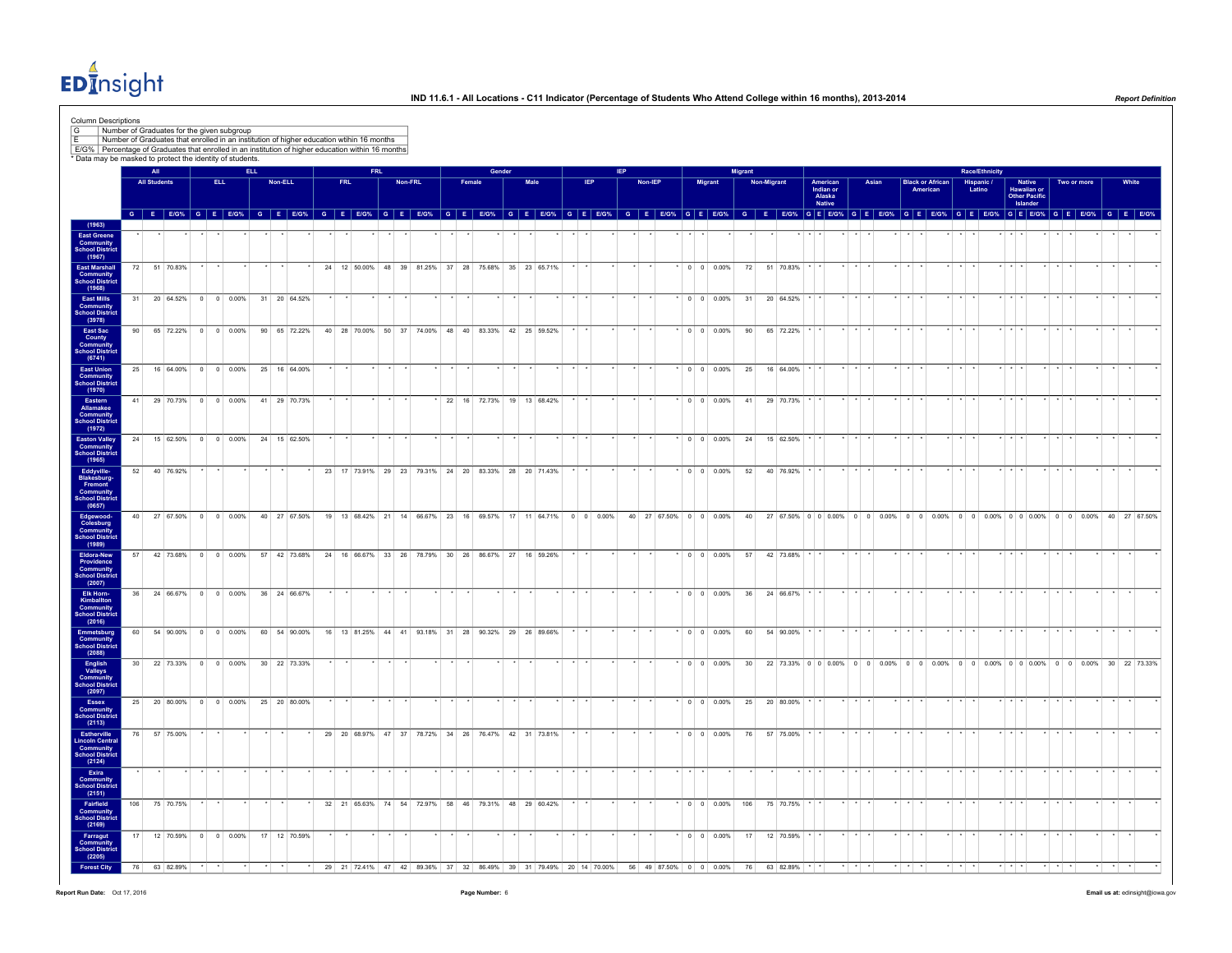$ED<sub>II</sub><sup>4</sup>$ nsight

|                                                                | All                 |              | * Data may be masked to protect the identity of students.                                              | <b>ELL</b> |         |              |            | <b>FRI</b> |         |  |                                                     | Gender |      |         |                          |         |                        |                |                          | <b>Migrant</b> |             |               |                 |                                 |                         |       |          |                         | <b>Race/Ethnicity</b> |                         |                                                                                    |             |  |
|----------------------------------------------------------------|---------------------|--------------|--------------------------------------------------------------------------------------------------------|------------|---------|--------------|------------|------------|---------|--|-----------------------------------------------------|--------|------|---------|--------------------------|---------|------------------------|----------------|--------------------------|----------------|-------------|---------------|-----------------|---------------------------------|-------------------------|-------|----------|-------------------------|-----------------------|-------------------------|------------------------------------------------------------------------------------|-------------|--|
|                                                                | <b>All Students</b> |              | <b>ELL</b>                                                                                             |            | Non-ELL |              | <b>FRL</b> |            | Non-FRL |  | Female                                              |        | Male |         | <b>IEP</b>               | Non-IEP |                        | <b>Migrant</b> |                          |                | Non-Migrant |               |                 | American<br>Indian or<br>Alaska |                         | Asian | American | <b>Black or African</b> | Hispanic /<br>Latino  |                         | Native<br>Hawaiian or<br>Other Pacific<br>Islander                                 | Two or more |  |
|                                                                |                     |              | G E E/G% G E E/G% G E E/G% G E E/G% G E E/G% G E E/G% G E E/G% G E E/G% G E E/G% G E E/G% G E E/G% G E |            |         |              |            |            |         |  |                                                     |        |      |         |                          |         |                        |                |                          |                |             |               |                 | <b>Native</b>                   |                         |       |          |                         |                       |                         | G E EIG% G E EIG% G E EIG% G E EIG% G E EIG% G E EIG% G E EIG% G E EIG% G E EIG%   |             |  |
|                                                                |                     |              |                                                                                                        |            |         |              |            |            |         |  |                                                     |        |      |         |                          |         |                        |                |                          |                |             |               |                 |                                 |                         |       |          |                         |                       |                         |                                                                                    |             |  |
|                                                                |                     |              |                                                                                                        |            |         |              |            |            |         |  |                                                     |        |      |         |                          |         |                        |                |                          |                |             |               |                 |                                 |                         |       |          |                         |                       |                         |                                                                                    |             |  |
|                                                                |                     | 72 51 70.83% |                                                                                                        |            |         |              |            |            |         |  | 24 12 50.00% 48 39 81.25% 37 28 75.68% 35 23 65.71% |        |      |         |                          |         |                        |                | $\cdot$ 0 0 0 0 0 0 %    |                |             | 72 51 70.83%  |                 |                                 |                         |       |          |                         |                       |                         |                                                                                    |             |  |
|                                                                |                     |              |                                                                                                        |            |         |              |            |            |         |  |                                                     |        |      |         |                          |         |                        |                |                          |                |             |               |                 |                                 |                         |       |          |                         |                       |                         |                                                                                    |             |  |
| 31                                                             |                     |              | 20 64.52% 0 0 0.00%                                                                                    |            |         | 31 20 64.52% |            |            |         |  |                                                     |        |      |         |                          |         |                        |                | $\cdot$ 0 0 0.00%        | 31             |             | 20 64.52%     |                 |                                 |                         |       |          |                         |                       | $\star$ $\star$         |                                                                                    |             |  |
|                                                                |                     |              |                                                                                                        |            |         |              |            |            |         |  |                                                     |        |      |         |                          |         |                        |                |                          |                |             |               |                 |                                 |                         |       |          |                         |                       |                         |                                                                                    |             |  |
| 90                                                             |                     |              | 65 72.22% 0 0 0.00%                                                                                    |            |         | 90 65 72.22% |            |            |         |  | 40 28 70.00% 50 37 74.00% 48 40 83.33% 42 25 59.52% |        |      | $*$ $*$ |                          |         |                        |                | $*$ 0 0 0.00%            | 90             |             | 65 72.22% * * |                 |                                 | $\star$ $\star$ $\star$ |       |          |                         |                       | $\cdot$ $\cdot$         |                                                                                    |             |  |
|                                                                |                     |              |                                                                                                        |            |         |              |            |            |         |  |                                                     |        |      |         |                          |         |                        |                |                          |                |             |               |                 |                                 |                         |       |          |                         |                       |                         |                                                                                    |             |  |
|                                                                |                     |              |                                                                                                        |            |         |              |            |            |         |  |                                                     |        |      |         |                          |         |                        |                |                          |                |             |               |                 |                                 |                         |       |          |                         |                       |                         |                                                                                    |             |  |
| 25                                                             |                     |              | 16 64.00% 0 0 0.00%                                                                                    |            |         | 25 16 64.00% |            |            |         |  |                                                     |        |      |         |                          |         |                        |                | $0 \t 0 \t 0.00\%$       | 25             |             | 16 64.00%     |                 |                                 |                         |       |          |                         |                       |                         |                                                                                    |             |  |
|                                                                |                     |              | 41 29 70.73% 0 0 0.00%                                                                                 |            |         | 41 29 70.73% |            |            |         |  | 22 16 72.73% 19 13 68.42%                           |        |      |         |                          |         |                        |                | $0 \quad 0 \quad 0.00\%$ | 41             |             | 29 70.73%     |                 |                                 |                         |       |          |                         |                       |                         |                                                                                    |             |  |
|                                                                |                     |              |                                                                                                        |            |         |              |            |            |         |  |                                                     |        |      |         |                          |         |                        |                |                          |                |             |               |                 |                                 |                         |       |          |                         |                       |                         |                                                                                    |             |  |
|                                                                |                     |              |                                                                                                        |            |         |              |            |            |         |  |                                                     |        |      |         |                          |         |                        |                |                          |                |             |               |                 |                                 |                         |       |          |                         |                       |                         |                                                                                    |             |  |
| 24                                                             |                     |              | 15 62.50% 0 0 0.00%                                                                                    |            |         | 24 15 62.50% |            |            |         |  |                                                     |        |      |         |                          |         |                        |                | $*$ 0 0 0.00%            | 24             |             | 15 62.50%     |                 |                                 |                         |       |          |                         |                       |                         |                                                                                    |             |  |
| 52                                                             |                     | 40 76.92%    |                                                                                                        |            |         |              |            |            |         |  | 23 17 73.91% 29 23 79.31% 24 20 83.33% 28 20 71.43% |        |      |         |                          |         |                        |                | $0 \quad 0 \quad 0.00\%$ | 52             |             | 40 76.92%     |                 |                                 |                         |       |          |                         |                       |                         |                                                                                    |             |  |
|                                                                |                     |              |                                                                                                        |            |         |              |            |            |         |  |                                                     |        |      |         |                          |         |                        |                |                          |                |             |               |                 |                                 |                         |       |          |                         |                       |                         |                                                                                    |             |  |
|                                                                |                     |              |                                                                                                        |            |         |              |            |            |         |  |                                                     |        |      |         |                          |         |                        |                |                          |                |             |               |                 |                                 |                         |       |          |                         |                       |                         |                                                                                    |             |  |
| $40-1$                                                         |                     | 27 67.50%    | $0 \quad 0 \quad 0.00\%$                                                                               |            |         | 40 27 67.50% |            |            |         |  | 19 13 68.42% 21 14 66.67% 23 16 69.57% 17 11 64.71% |        |      |         | $0 \quad 0 \quad 0.00\%$ |         | 40 27 67.50% 0 0 0.00% |                |                          | 40             |             |               |                 |                                 |                         |       |          |                         |                       |                         | 27 67.50% 0 0 0.00% 0 0 0.00% 0 0 0.00% 0 0 0.00% 0 0 0.00% 0 0 0.00% 40 27 67.50% |             |  |
|                                                                |                     |              |                                                                                                        |            |         |              |            |            |         |  |                                                     |        |      |         |                          |         |                        |                |                          |                |             |               |                 |                                 |                         |       |          |                         |                       |                         |                                                                                    |             |  |
|                                                                |                     |              | 57 42 73.68% 0 0 0 0.00% 57 42 73.68% 24 16 66.67% 33 26 78.79% 30 26 86.67% 27 16 59.26%              |            |         |              |            |            |         |  |                                                     |        |      |         |                          |         |                        |                | $\cdot$ 0 0 0.00%        |                |             | 57 42 73.68%  |                 |                                 |                         |       |          |                         |                       |                         |                                                                                    |             |  |
|                                                                |                     |              |                                                                                                        |            |         |              |            |            |         |  |                                                     |        |      |         |                          |         |                        |                |                          |                |             |               |                 |                                 |                         |       |          |                         |                       |                         |                                                                                    |             |  |
|                                                                |                     |              |                                                                                                        |            |         |              |            |            |         |  |                                                     |        |      |         |                          |         |                        |                |                          |                |             |               |                 |                                 |                         |       |          |                         |                       |                         |                                                                                    |             |  |
| 36                                                             |                     |              | 24 66.67% 0 0 0.00%                                                                                    |            |         | 36 24 66.67% |            |            |         |  |                                                     |        |      |         |                          |         |                        |                | $0 \t 0 \t 0.00\%$       | 36             |             | 24 66.67%     |                 |                                 |                         |       |          |                         |                       |                         |                                                                                    |             |  |
|                                                                |                     |              |                                                                                                        |            |         |              |            |            |         |  |                                                     |        |      |         |                          |         |                        |                |                          |                |             |               |                 |                                 |                         |       |          |                         |                       |                         |                                                                                    |             |  |
| 60                                                             |                     |              | 54 90.00% 0 0 0.00%                                                                                    |            |         | 60 54 90.00% |            |            |         |  | 16 13 81.25% 44 41 93.18% 31 28 90.32% 29 26 89.66% |        |      |         |                          |         |                        |                | $0 \quad 0 \quad 0.00\%$ | 60             |             | 54 90.00%     |                 |                                 |                         |       |          |                         |                       |                         |                                                                                    |             |  |
|                                                                |                     |              |                                                                                                        |            |         |              |            |            |         |  |                                                     |        |      |         |                          |         |                        |                |                          |                |             |               |                 |                                 |                         |       |          |                         |                       |                         |                                                                                    |             |  |
| 30                                                             |                     |              | 22 73.33% 0 0 0.00%                                                                                    |            |         | 30 22 73.33% |            |            |         |  |                                                     |        |      |         |                          |         |                        |                | $\cdot$ 0 0 0.00%        | 30             |             |               |                 |                                 |                         |       |          |                         |                       |                         | 22 73.33% 0 0 0.00% 0 0 0.00% 0 0 0.00% 0 0 0.00% 0 0 0.00% 0 0 0.00% 30 22 73.33% |             |  |
|                                                                |                     |              |                                                                                                        |            |         |              |            |            |         |  |                                                     |        |      |         |                          |         |                        |                |                          |                |             |               |                 |                                 |                         |       |          |                         |                       |                         |                                                                                    |             |  |
| 25                                                             |                     | 20 80.00%    | $0 \t 0 \t 0.00\%$                                                                                     |            |         | 25 20 80.00% |            |            |         |  |                                                     |        |      |         |                          |         |                        |                | $0 \ 0 \ 0.00\%$         | 25             |             | 20 80.00%     |                 |                                 |                         |       |          |                         |                       |                         |                                                                                    |             |  |
|                                                                |                     |              |                                                                                                        |            |         |              |            |            |         |  |                                                     |        |      |         |                          |         |                        |                |                          |                |             |               |                 |                                 |                         |       |          |                         |                       |                         |                                                                                    |             |  |
| 76                                                             |                     | 57 75.00%    |                                                                                                        |            |         |              |            |            |         |  | 29 20 68.97% 47 37 78.72% 34 26 76.47% 42 31 73.81% |        |      |         |                          |         |                        |                | $0 \quad 0 \quad 0.00\%$ | 76             |             | 57 75.00%     |                 |                                 |                         |       |          |                         |                       |                         |                                                                                    |             |  |
| Estherville<br>Lincoln Central<br>Community<br>School District |                     |              |                                                                                                        |            |         |              |            |            |         |  |                                                     |        |      |         |                          |         |                        |                |                          |                |             |               |                 |                                 |                         |       |          |                         |                       |                         |                                                                                    |             |  |
|                                                                |                     |              |                                                                                                        |            |         |              |            |            |         |  |                                                     |        |      |         |                          |         |                        |                |                          |                |             |               | $\star$ $\star$ |                                 | $\star$                 |       |          |                         |                       | $\cdot$ $\cdot$ $\cdot$ |                                                                                    |             |  |
|                                                                |                     |              |                                                                                                        |            |         |              |            |            |         |  |                                                     |        |      |         |                          |         |                        |                |                          |                |             |               |                 |                                 |                         |       |          |                         |                       |                         |                                                                                    |             |  |
| Fairfield<br>Community<br>School District<br>106               |                     | 75 70.75%    |                                                                                                        |            |         |              |            |            |         |  | 32 21 65.63% 74 54 72.97% 58 46 79.31% 48 29 60.42% |        |      |         |                          |         |                        |                | $0 \t0 \t0.00\%$ 106     |                |             | 75 70.75%     |                 |                                 |                         |       |          |                         |                       |                         |                                                                                    |             |  |
|                                                                |                     |              |                                                                                                        |            |         |              |            |            |         |  |                                                     |        |      |         |                          |         |                        |                |                          |                |             |               |                 |                                 |                         |       |          |                         |                       |                         |                                                                                    |             |  |
| 17                                                             |                     |              | 12 70.59% 0 0 0.00%                                                                                    |            |         | 17 12 70.59% |            |            |         |  |                                                     |        |      |         |                          |         |                        |                | $\cdot$ 0 0 0.00%        | 17             |             | 12 70.59%     | $\star$ $\star$ |                                 |                         |       |          |                         |                       |                         |                                                                                    |             |  |
|                                                                |                     |              |                                                                                                        |            |         |              |            |            |         |  |                                                     |        |      |         |                          |         |                        |                |                          |                |             |               |                 |                                 |                         |       |          |                         |                       |                         |                                                                                    |             |  |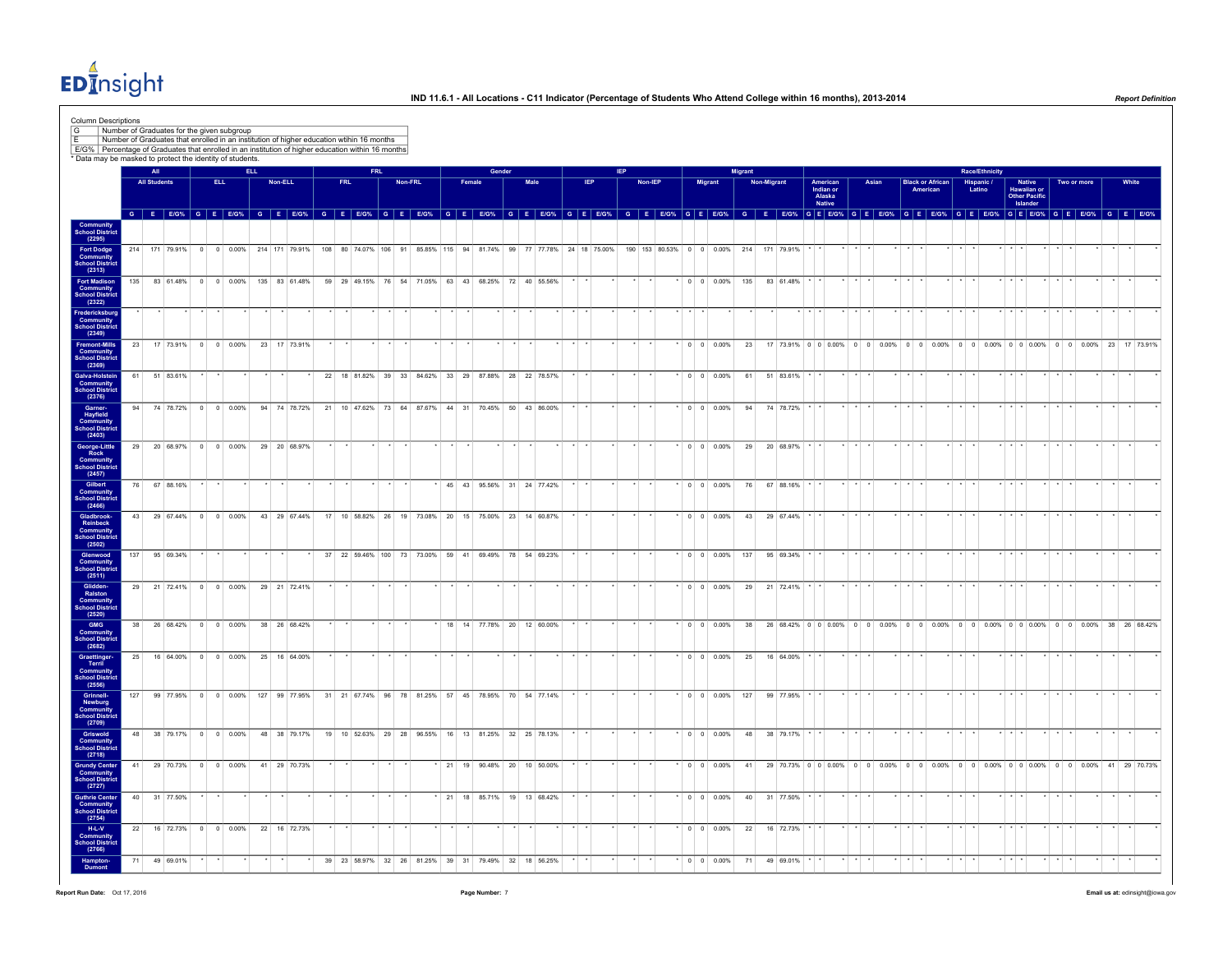$ED<sub>II</sub><sup>4</sup>$ nsight

| All<br><b>Race/Ethnicity</b><br><b>ELL</b><br>FRI.<br>Gender<br><b>Migrant</b><br>IEP.<br><b>Non-Migrant</b><br><b>All Students</b><br>ELL.<br><b>FRL</b><br>Non-FRL<br>Female<br>Male<br><b>Non-IEP</b><br>Migrant<br>American<br>Indian or<br>Alaska<br>Asian<br>Hispanic /<br>Latino<br>Native<br>Hawaiian or<br>Other Pacific<br>Non-ELL<br><b>Black or African</b><br>Two or more<br>American<br>Native<br>Islander<br>G E EIGY, G E EIGY, G E EIGY, G E EIGY, G E EIGY, G E EIGY, G E EIGY, G E EIGY, G E EIGY, G E EIGY, G E EIGY, G E EIGY, G E EIGY, G E EIGY, G E EIGY, G E EIGY, G E EIGY, G E EIGY, G E EIGY, G E EIGY, G E EIGY, G E EIGY, G<br>214 171 79.91% 0 0 0.00% 214 171 79.91% 108 80 74.07% 106 91 85.85% 115 94 81.74% 99 77 77.78% 24 18 75.00%<br>190 153 80.53% 0 0 0.00% 214 171 79.91%<br>$\star$ $\star$<br>83 61.48% 0 0 0.00% 135 83 61.48%<br>59 29 49.15% 76 54 71.05% 63 43 68.25% 72 40 55.56%<br>135<br>$*$ 0 0 0.00% 135 83 61.48%<br>23<br>17 73.91%<br>$0 \quad 0 \quad 0.00\%$<br>23 17 73.91%<br>$\cdot$ 0 0 0.00%<br>23<br>51 83.61%<br>22 18 81.82% 39 33 84.62% 33 29 87.88% 28 22 78.57%<br>$0 \t 0 \t 0.00\%$<br>51 83.61%<br>61<br>74 78.72%<br>$0 \quad 0 \quad 0.00\%$<br>94 74 78.72%<br>21 10 47.62% 73 64 87.67% 44 31<br>70.45% 50 43 86.00%<br>$0 \quad 0 \quad 0.00\%$<br>94<br>74 78.72%<br>29<br>20 68.97% 0 0 0.00%<br>29 20 68.97%<br>$0 \t 0 \t 0.00\%$<br>20 68.97%<br>29<br>67 88.16%<br>45 43 95.56% 31 24 77.42%<br>$*$ 0 0 0.00%<br>67 88.16%<br>$\star$ $\star$ $\star$<br>76<br>43<br>29 67 44%<br>$0 \t 0 \t 0.00\%$<br>43 29 67.44%<br>17 10 58.82% 26 19 73.08% 20 15 75.00% 23 14 60.87%<br>$0 \quad 0 \quad 0.00\%$<br>43<br>29 67.44%<br>137<br>95 69.34%<br>37 22 59.46% 100 73 73.00% 59 41 69.49% 78 54 69.23%<br>$*$ 0 0 0.00% 137 95 69.34% $*$ *<br>$\cdots$<br>$\star$<br>$\star$ $\star$<br>$x + x + x$<br>29 21 72.41%<br>$0 \t 0 \t 0.00\%$<br>29 21 72.41%<br>$0 \quad 0 \quad 0.00\%$<br>29<br>21 72.41%<br>38<br>26 68.42% 0 0 0.00%<br>38 26 68.42%<br>18 14 77.78% 20 12 60.00%<br>$*$ 0 0 0.00%<br>16 64.00% 0 0 0.00%<br>$0 \t 0 \t 0.00\%$<br>25 16 64.00%<br>25<br>16 64.00%<br>99 77.95% 0 0 0.00%<br>127 99 77.95% 31 21 67.74% 96 78 81.25% 57 45 78.95% 70 54 77.14%<br>$0 \t 0 \t 0.00\%$ 127<br>99 77.95%<br>48<br>38 79.17% 0 0 0.00%<br>48 38 79.17%<br>19 10 52.63% 29 28 96.55% 16 13 81.25% 32 25 78.13%<br>$0 \quad 0 \quad 0.00\%$<br>48<br>38 79.17% * *<br>29 70.73% 0 0 0.00%<br>41<br>41 29 70.73%<br>21 19 90.48% 20 10 50.00%<br>$0 \quad 0 \quad 0.00\%$<br>41<br>40 31 77.50%<br>$*$ 21 18 85.71% 19 13 68.42%<br>$^*$ 0 0 0.00%<br>40 31 77.50%<br>22<br>16 72.73%<br>$0$ 0 0.00%<br>22 16 72.73%<br>$ 0 000\% $<br>22<br>16 72.73% | 17 73.91% 0 0 0 0.00% 0 0 0.00% 0 0 0.00% 0 0 0.00% 0 0 0.00% 0 0 0.00% 0 0 0.00% 23 17 73.91%<br>38 26 68.42% 0 0 0.00% 0 0 0.00% 0 0 0.00% 0 0 0.00% 0 0 0.00% 0 0 0.00% 38 26 68.42%<br>29 70.73% 0 0 0.00% 0 0 0.00% 0 0 0.00% 0 0 0.00% 0 0 0.00% 0 0 0.00% 41 29 70.73% |
|--------------------------------------------------------------------------------------------------------------------------------------------------------------------------------------------------------------------------------------------------------------------------------------------------------------------------------------------------------------------------------------------------------------------------------------------------------------------------------------------------------------------------------------------------------------------------------------------------------------------------------------------------------------------------------------------------------------------------------------------------------------------------------------------------------------------------------------------------------------------------------------------------------------------------------------------------------------------------------------------------------------------------------------------------------------------------------------------------------------------------------------------------------------------------------------------------------------------------------------------------------------------------------------------------------------------------------------------------------------------------------------------------------------------------------------------------------------------------------------------------------------------------------------------------------------------------------------------------------------------------------------------------------------------------------------------------------------------------------------------------------------------------------------------------------------------------------------------------------------------------------------------------------------------------------------------------------------------------------------------------------------------------------------------------------------------------------------------------------------------------------------------------------------------------------------------------------------------------------------------------------------------------------------------------------------------------------------------------------------------------------------------------------------------------------------------------------------------------------------------------------------------------------------------------------------------------------------------------------------------------------------------------------------------------------------------------------------------------------------------------------|-------------------------------------------------------------------------------------------------------------------------------------------------------------------------------------------------------------------------------------------------------------------------------|
|                                                                                                                                                                                                                                                                                                                                                                                                                                                                                                                                                                                                                                                                                                                                                                                                                                                                                                                                                                                                                                                                                                                                                                                                                                                                                                                                                                                                                                                                                                                                                                                                                                                                                                                                                                                                                                                                                                                                                                                                                                                                                                                                                                                                                                                                                                                                                                                                                                                                                                                                                                                                                                                                                                                                                        |                                                                                                                                                                                                                                                                               |
|                                                                                                                                                                                                                                                                                                                                                                                                                                                                                                                                                                                                                                                                                                                                                                                                                                                                                                                                                                                                                                                                                                                                                                                                                                                                                                                                                                                                                                                                                                                                                                                                                                                                                                                                                                                                                                                                                                                                                                                                                                                                                                                                                                                                                                                                                                                                                                                                                                                                                                                                                                                                                                                                                                                                                        |                                                                                                                                                                                                                                                                               |
|                                                                                                                                                                                                                                                                                                                                                                                                                                                                                                                                                                                                                                                                                                                                                                                                                                                                                                                                                                                                                                                                                                                                                                                                                                                                                                                                                                                                                                                                                                                                                                                                                                                                                                                                                                                                                                                                                                                                                                                                                                                                                                                                                                                                                                                                                                                                                                                                                                                                                                                                                                                                                                                                                                                                                        |                                                                                                                                                                                                                                                                               |
|                                                                                                                                                                                                                                                                                                                                                                                                                                                                                                                                                                                                                                                                                                                                                                                                                                                                                                                                                                                                                                                                                                                                                                                                                                                                                                                                                                                                                                                                                                                                                                                                                                                                                                                                                                                                                                                                                                                                                                                                                                                                                                                                                                                                                                                                                                                                                                                                                                                                                                                                                                                                                                                                                                                                                        |                                                                                                                                                                                                                                                                               |
|                                                                                                                                                                                                                                                                                                                                                                                                                                                                                                                                                                                                                                                                                                                                                                                                                                                                                                                                                                                                                                                                                                                                                                                                                                                                                                                                                                                                                                                                                                                                                                                                                                                                                                                                                                                                                                                                                                                                                                                                                                                                                                                                                                                                                                                                                                                                                                                                                                                                                                                                                                                                                                                                                                                                                        |                                                                                                                                                                                                                                                                               |
|                                                                                                                                                                                                                                                                                                                                                                                                                                                                                                                                                                                                                                                                                                                                                                                                                                                                                                                                                                                                                                                                                                                                                                                                                                                                                                                                                                                                                                                                                                                                                                                                                                                                                                                                                                                                                                                                                                                                                                                                                                                                                                                                                                                                                                                                                                                                                                                                                                                                                                                                                                                                                                                                                                                                                        |                                                                                                                                                                                                                                                                               |
|                                                                                                                                                                                                                                                                                                                                                                                                                                                                                                                                                                                                                                                                                                                                                                                                                                                                                                                                                                                                                                                                                                                                                                                                                                                                                                                                                                                                                                                                                                                                                                                                                                                                                                                                                                                                                                                                                                                                                                                                                                                                                                                                                                                                                                                                                                                                                                                                                                                                                                                                                                                                                                                                                                                                                        |                                                                                                                                                                                                                                                                               |
|                                                                                                                                                                                                                                                                                                                                                                                                                                                                                                                                                                                                                                                                                                                                                                                                                                                                                                                                                                                                                                                                                                                                                                                                                                                                                                                                                                                                                                                                                                                                                                                                                                                                                                                                                                                                                                                                                                                                                                                                                                                                                                                                                                                                                                                                                                                                                                                                                                                                                                                                                                                                                                                                                                                                                        |                                                                                                                                                                                                                                                                               |
|                                                                                                                                                                                                                                                                                                                                                                                                                                                                                                                                                                                                                                                                                                                                                                                                                                                                                                                                                                                                                                                                                                                                                                                                                                                                                                                                                                                                                                                                                                                                                                                                                                                                                                                                                                                                                                                                                                                                                                                                                                                                                                                                                                                                                                                                                                                                                                                                                                                                                                                                                                                                                                                                                                                                                        |                                                                                                                                                                                                                                                                               |
|                                                                                                                                                                                                                                                                                                                                                                                                                                                                                                                                                                                                                                                                                                                                                                                                                                                                                                                                                                                                                                                                                                                                                                                                                                                                                                                                                                                                                                                                                                                                                                                                                                                                                                                                                                                                                                                                                                                                                                                                                                                                                                                                                                                                                                                                                                                                                                                                                                                                                                                                                                                                                                                                                                                                                        |                                                                                                                                                                                                                                                                               |
|                                                                                                                                                                                                                                                                                                                                                                                                                                                                                                                                                                                                                                                                                                                                                                                                                                                                                                                                                                                                                                                                                                                                                                                                                                                                                                                                                                                                                                                                                                                                                                                                                                                                                                                                                                                                                                                                                                                                                                                                                                                                                                                                                                                                                                                                                                                                                                                                                                                                                                                                                                                                                                                                                                                                                        |                                                                                                                                                                                                                                                                               |
|                                                                                                                                                                                                                                                                                                                                                                                                                                                                                                                                                                                                                                                                                                                                                                                                                                                                                                                                                                                                                                                                                                                                                                                                                                                                                                                                                                                                                                                                                                                                                                                                                                                                                                                                                                                                                                                                                                                                                                                                                                                                                                                                                                                                                                                                                                                                                                                                                                                                                                                                                                                                                                                                                                                                                        |                                                                                                                                                                                                                                                                               |
|                                                                                                                                                                                                                                                                                                                                                                                                                                                                                                                                                                                                                                                                                                                                                                                                                                                                                                                                                                                                                                                                                                                                                                                                                                                                                                                                                                                                                                                                                                                                                                                                                                                                                                                                                                                                                                                                                                                                                                                                                                                                                                                                                                                                                                                                                                                                                                                                                                                                                                                                                                                                                                                                                                                                                        |                                                                                                                                                                                                                                                                               |
|                                                                                                                                                                                                                                                                                                                                                                                                                                                                                                                                                                                                                                                                                                                                                                                                                                                                                                                                                                                                                                                                                                                                                                                                                                                                                                                                                                                                                                                                                                                                                                                                                                                                                                                                                                                                                                                                                                                                                                                                                                                                                                                                                                                                                                                                                                                                                                                                                                                                                                                                                                                                                                                                                                                                                        |                                                                                                                                                                                                                                                                               |
|                                                                                                                                                                                                                                                                                                                                                                                                                                                                                                                                                                                                                                                                                                                                                                                                                                                                                                                                                                                                                                                                                                                                                                                                                                                                                                                                                                                                                                                                                                                                                                                                                                                                                                                                                                                                                                                                                                                                                                                                                                                                                                                                                                                                                                                                                                                                                                                                                                                                                                                                                                                                                                                                                                                                                        |                                                                                                                                                                                                                                                                               |
|                                                                                                                                                                                                                                                                                                                                                                                                                                                                                                                                                                                                                                                                                                                                                                                                                                                                                                                                                                                                                                                                                                                                                                                                                                                                                                                                                                                                                                                                                                                                                                                                                                                                                                                                                                                                                                                                                                                                                                                                                                                                                                                                                                                                                                                                                                                                                                                                                                                                                                                                                                                                                                                                                                                                                        |                                                                                                                                                                                                                                                                               |
|                                                                                                                                                                                                                                                                                                                                                                                                                                                                                                                                                                                                                                                                                                                                                                                                                                                                                                                                                                                                                                                                                                                                                                                                                                                                                                                                                                                                                                                                                                                                                                                                                                                                                                                                                                                                                                                                                                                                                                                                                                                                                                                                                                                                                                                                                                                                                                                                                                                                                                                                                                                                                                                                                                                                                        |                                                                                                                                                                                                                                                                               |
|                                                                                                                                                                                                                                                                                                                                                                                                                                                                                                                                                                                                                                                                                                                                                                                                                                                                                                                                                                                                                                                                                                                                                                                                                                                                                                                                                                                                                                                                                                                                                                                                                                                                                                                                                                                                                                                                                                                                                                                                                                                                                                                                                                                                                                                                                                                                                                                                                                                                                                                                                                                                                                                                                                                                                        |                                                                                                                                                                                                                                                                               |
|                                                                                                                                                                                                                                                                                                                                                                                                                                                                                                                                                                                                                                                                                                                                                                                                                                                                                                                                                                                                                                                                                                                                                                                                                                                                                                                                                                                                                                                                                                                                                                                                                                                                                                                                                                                                                                                                                                                                                                                                                                                                                                                                                                                                                                                                                                                                                                                                                                                                                                                                                                                                                                                                                                                                                        |                                                                                                                                                                                                                                                                               |
|                                                                                                                                                                                                                                                                                                                                                                                                                                                                                                                                                                                                                                                                                                                                                                                                                                                                                                                                                                                                                                                                                                                                                                                                                                                                                                                                                                                                                                                                                                                                                                                                                                                                                                                                                                                                                                                                                                                                                                                                                                                                                                                                                                                                                                                                                                                                                                                                                                                                                                                                                                                                                                                                                                                                                        |                                                                                                                                                                                                                                                                               |
|                                                                                                                                                                                                                                                                                                                                                                                                                                                                                                                                                                                                                                                                                                                                                                                                                                                                                                                                                                                                                                                                                                                                                                                                                                                                                                                                                                                                                                                                                                                                                                                                                                                                                                                                                                                                                                                                                                                                                                                                                                                                                                                                                                                                                                                                                                                                                                                                                                                                                                                                                                                                                                                                                                                                                        |                                                                                                                                                                                                                                                                               |
|                                                                                                                                                                                                                                                                                                                                                                                                                                                                                                                                                                                                                                                                                                                                                                                                                                                                                                                                                                                                                                                                                                                                                                                                                                                                                                                                                                                                                                                                                                                                                                                                                                                                                                                                                                                                                                                                                                                                                                                                                                                                                                                                                                                                                                                                                                                                                                                                                                                                                                                                                                                                                                                                                                                                                        |                                                                                                                                                                                                                                                                               |
|                                                                                                                                                                                                                                                                                                                                                                                                                                                                                                                                                                                                                                                                                                                                                                                                                                                                                                                                                                                                                                                                                                                                                                                                                                                                                                                                                                                                                                                                                                                                                                                                                                                                                                                                                                                                                                                                                                                                                                                                                                                                                                                                                                                                                                                                                                                                                                                                                                                                                                                                                                                                                                                                                                                                                        |                                                                                                                                                                                                                                                                               |
|                                                                                                                                                                                                                                                                                                                                                                                                                                                                                                                                                                                                                                                                                                                                                                                                                                                                                                                                                                                                                                                                                                                                                                                                                                                                                                                                                                                                                                                                                                                                                                                                                                                                                                                                                                                                                                                                                                                                                                                                                                                                                                                                                                                                                                                                                                                                                                                                                                                                                                                                                                                                                                                                                                                                                        |                                                                                                                                                                                                                                                                               |
|                                                                                                                                                                                                                                                                                                                                                                                                                                                                                                                                                                                                                                                                                                                                                                                                                                                                                                                                                                                                                                                                                                                                                                                                                                                                                                                                                                                                                                                                                                                                                                                                                                                                                                                                                                                                                                                                                                                                                                                                                                                                                                                                                                                                                                                                                                                                                                                                                                                                                                                                                                                                                                                                                                                                                        |                                                                                                                                                                                                                                                                               |
|                                                                                                                                                                                                                                                                                                                                                                                                                                                                                                                                                                                                                                                                                                                                                                                                                                                                                                                                                                                                                                                                                                                                                                                                                                                                                                                                                                                                                                                                                                                                                                                                                                                                                                                                                                                                                                                                                                                                                                                                                                                                                                                                                                                                                                                                                                                                                                                                                                                                                                                                                                                                                                                                                                                                                        |                                                                                                                                                                                                                                                                               |
|                                                                                                                                                                                                                                                                                                                                                                                                                                                                                                                                                                                                                                                                                                                                                                                                                                                                                                                                                                                                                                                                                                                                                                                                                                                                                                                                                                                                                                                                                                                                                                                                                                                                                                                                                                                                                                                                                                                                                                                                                                                                                                                                                                                                                                                                                                                                                                                                                                                                                                                                                                                                                                                                                                                                                        |                                                                                                                                                                                                                                                                               |
|                                                                                                                                                                                                                                                                                                                                                                                                                                                                                                                                                                                                                                                                                                                                                                                                                                                                                                                                                                                                                                                                                                                                                                                                                                                                                                                                                                                                                                                                                                                                                                                                                                                                                                                                                                                                                                                                                                                                                                                                                                                                                                                                                                                                                                                                                                                                                                                                                                                                                                                                                                                                                                                                                                                                                        |                                                                                                                                                                                                                                                                               |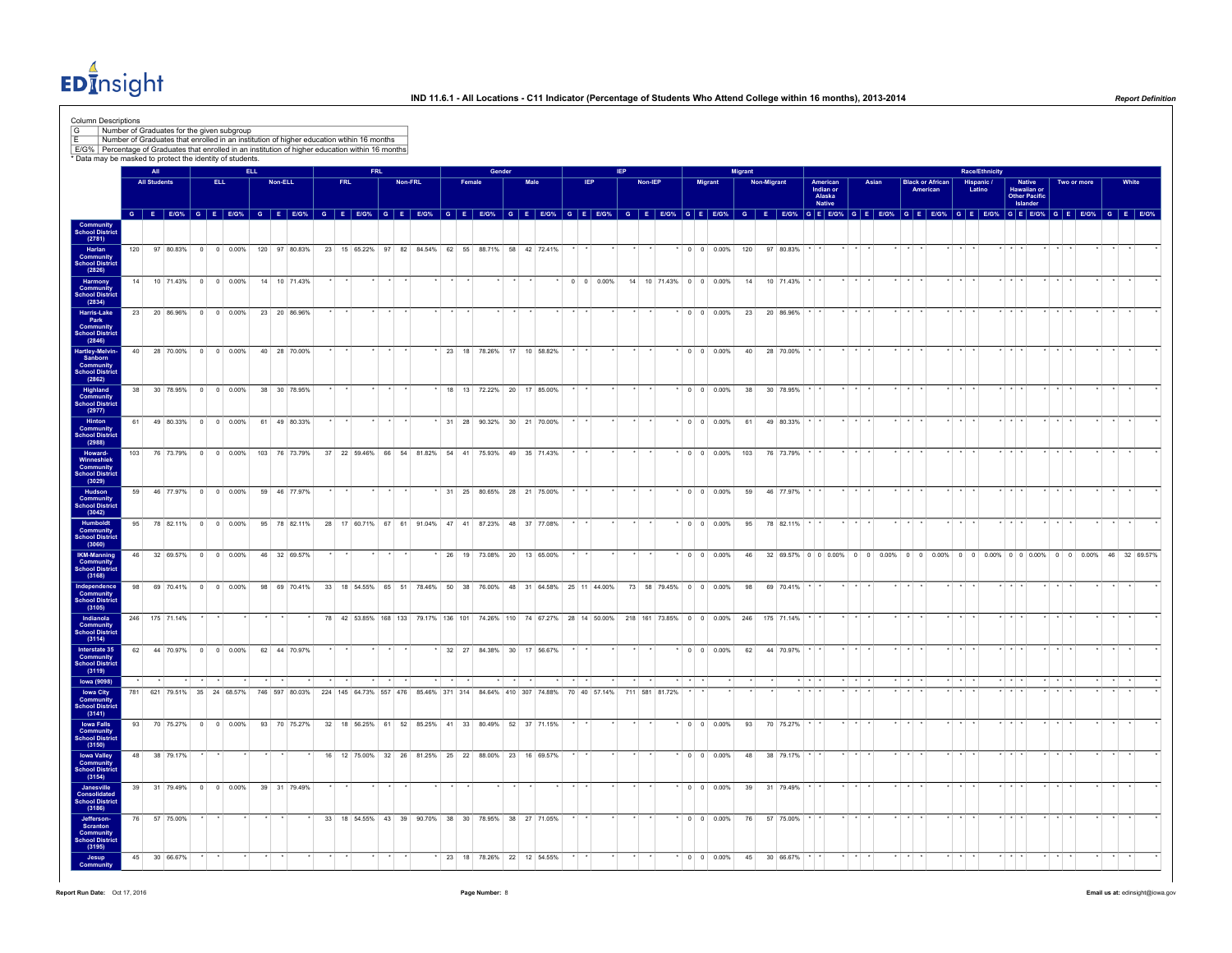$ED<sub>II</sub><sup>4</sup>$ nsight

| Column Descriptions<br>G<br>E/G%   Percentage of Graduates that enrolled in an institution of higher education within 16 months |                 |                            | Number of Graduates for the given subgroup<br>Number of Graduates that enrolled in an institution of higher education wtihin 16 months |                    |            |                          |    |         |               |                    |      |         |        |       |        |        |                                                     |  |     |  |                                                                                                             |          |                          |                |             |              |             |                                 |                         |       |                         |          |                         |             |                                                                                                |                                           |                                        |                         |             |                                 |       |
|---------------------------------------------------------------------------------------------------------------------------------|-----------------|----------------------------|----------------------------------------------------------------------------------------------------------------------------------------|--------------------|------------|--------------------------|----|---------|---------------|--------------------|------|---------|--------|-------|--------|--------|-----------------------------------------------------|--|-----|--|-------------------------------------------------------------------------------------------------------------|----------|--------------------------|----------------|-------------|--------------|-------------|---------------------------------|-------------------------|-------|-------------------------|----------|-------------------------|-------------|------------------------------------------------------------------------------------------------|-------------------------------------------|----------------------------------------|-------------------------|-------------|---------------------------------|-------|
| * Data may be masked to protect the identity of students                                                                        |                 |                            |                                                                                                                                        |                    |            |                          |    |         |               |                    |      |         |        |       |        |        |                                                     |  |     |  |                                                                                                             |          |                          |                |             |              |             |                                 |                         |       |                         |          |                         |             |                                                                                                |                                           |                                        |                         |             |                                 |       |
|                                                                                                                                 |                 | All<br><b>All Students</b> |                                                                                                                                        |                    | <b>ELL</b> | <b>ELL</b>               |    | Non-ELL |               | <b>FRL</b>         | FRI. | Non-FRL |        |       | Female | Gender | Male                                                |  | IEP |  | Non-IEP                                                                                                     |          | Migrant                  | <b>Migrant</b> | Non-Migrant |              |             |                                 |                         | Asian |                         |          | <b>Black or African</b> |             | <b>Race/Ethnicit</b>                                                                           |                                           |                                        |                         | Two or more |                                 | White |
|                                                                                                                                 |                 |                            |                                                                                                                                        |                    |            |                          |    |         |               |                    |      |         |        |       |        |        |                                                     |  |     |  |                                                                                                             |          |                          |                |             |              |             | American<br>Indian or<br>Alaska |                         |       |                         | American |                         |             | Hispanic /<br>Latino                                                                           |                                           | Native<br>Hawaiian or<br>Other Pacific |                         |             |                                 |       |
|                                                                                                                                 |                 |                            |                                                                                                                                        |                    |            |                          |    |         |               |                    |      |         |        |       |        |        |                                                     |  |     |  | G E EIG% G E EIG% G E EIG% G E EIG% G E EIG% G E EIG% G E EIG% G E EIG% G E EIG% G E EIG% G E EIG% G E EIG% |          |                          |                |             |              |             | <b>Native</b>                   |                         |       |                         |          |                         |             | G E E/G% G E E/G% G E E/G% G E E/G% G E E/G% G E E/G% G E E/G% G E E/G% G E E/G%               |                                           | Islander                               |                         |             |                                 |       |
| <b>Community</b><br>School Distric                                                                                              |                 |                            |                                                                                                                                        |                    |            |                          |    |         |               |                    |      |         |        |       |        |        |                                                     |  |     |  |                                                                                                             |          |                          |                |             |              |             |                                 |                         |       |                         |          |                         |             |                                                                                                |                                           |                                        |                         |             |                                 |       |
| (2781)                                                                                                                          |                 |                            |                                                                                                                                        |                    |            |                          |    |         |               |                    |      |         |        |       |        |        |                                                     |  |     |  |                                                                                                             |          |                          |                |             |              |             |                                 |                         |       |                         |          |                         |             |                                                                                                |                                           |                                        |                         |             |                                 |       |
| Harlan                                                                                                                          | 120             |                            | 97 80.83% 0 0 0.00% 120 97 80.83%                                                                                                      |                    |            |                          |    |         |               |                    |      |         |        |       |        |        | 23 15 65.22% 97 82 84.54% 62 55 88.71% 58 42 72.41% |  |     |  |                                                                                                             |          | $0 \quad 0 \quad 0.00\%$ | 120            |             | 97 80.83%    |             |                                 |                         |       |                         |          |                         |             |                                                                                                |                                           |                                        |                         |             |                                 |       |
| Community<br>School District<br>(2826)                                                                                          |                 |                            |                                                                                                                                        |                    |            |                          |    |         |               |                    |      |         |        |       |        |        |                                                     |  |     |  |                                                                                                             |          |                          |                |             |              |             |                                 |                         |       |                         |          |                         |             |                                                                                                |                                           |                                        |                         |             |                                 |       |
| Harmony                                                                                                                         |                 | 14                         | 10 71.43% 0 0 0.00% 14 10 71.43%                                                                                                       |                    |            |                          |    |         |               |                    |      |         |        |       |        |        |                                                     |  |     |  | * 0 0 0.00% 14 10 71.43% 0 0 0.00%                                                                          |          |                          |                |             | 14 10 71.43% |             |                                 | $\star$ $\star$ $\star$ |       |                         |          |                         |             |                                                                                                | $*$ $*$ $*$                               |                                        | $\cdot$ $\cdot$ $\cdot$ |             |                                 |       |
| <b>Community</b><br>School District<br>(2834)                                                                                   |                 |                            |                                                                                                                                        |                    |            |                          |    |         |               |                    |      |         |        |       |        |        |                                                     |  |     |  |                                                                                                             |          |                          |                |             |              |             |                                 |                         |       |                         |          |                         |             |                                                                                                |                                           |                                        |                         |             |                                 |       |
| Harris-Lake                                                                                                                     |                 |                            | 23 20 86.96% 0 0 0.00%                                                                                                                 |                    |            |                          |    |         | 23 20 86.96%  |                    |      |         |        |       |        |        |                                                     |  |     |  |                                                                                                             |          | $0 \quad 0 \quad 0.00\%$ |                |             | 23 20 86.96% |             |                                 |                         |       |                         |          |                         |             |                                                                                                |                                           |                                        |                         |             |                                 |       |
| Park<br><b>Community</b>                                                                                                        |                 |                            |                                                                                                                                        |                    |            |                          |    |         |               |                    |      |         |        |       |        |        |                                                     |  |     |  |                                                                                                             |          |                          |                |             |              |             |                                 |                         |       |                         |          |                         |             |                                                                                                |                                           |                                        |                         |             |                                 |       |
| School District<br>(2846)                                                                                                       |                 |                            |                                                                                                                                        |                    |            |                          |    |         |               |                    |      |         |        |       |        |        |                                                     |  |     |  |                                                                                                             |          |                          |                |             |              |             |                                 |                         |       |                         |          |                         |             |                                                                                                |                                           |                                        |                         |             |                                 |       |
|                                                                                                                                 | 40 <sup>1</sup> |                            | 28 70.00% 0 0 0.00%                                                                                                                    |                    |            |                          |    |         | 40 28 70.00%  |                    |      |         |        |       |        |        | 23 18 78.26% 17 10 58.82%                           |  |     |  |                                                                                                             |          | $^*$ 0 0 0.00%           |                | 40          | 28 70.00%    |             |                                 |                         |       |                         |          |                         |             |                                                                                                |                                           |                                        |                         |             |                                 |       |
| Hartley-Melvin-<br>Sanborn<br>Community<br>School District                                                                      |                 |                            |                                                                                                                                        |                    |            |                          |    |         |               |                    |      |         |        |       |        |        |                                                     |  |     |  |                                                                                                             |          |                          |                |             |              |             |                                 |                         |       |                         |          |                         |             |                                                                                                |                                           |                                        |                         |             |                                 |       |
| (2862)                                                                                                                          | 38              |                            | 30 78.95% 0 0 0.00%                                                                                                                    |                    |            |                          |    |         | 38 30 78.95%  |                    |      |         |        |       |        |        | 18 13 72.22% 20 17 85.00%                           |  |     |  |                                                                                                             |          | $*$ 0 0 0.00%            |                | 38          | 30 78.95%    |             |                                 |                         |       |                         |          |                         |             |                                                                                                |                                           |                                        |                         |             |                                 |       |
| Highland<br>Community<br>School District                                                                                        |                 |                            |                                                                                                                                        |                    |            |                          |    |         |               |                    |      |         |        |       |        |        |                                                     |  |     |  |                                                                                                             |          |                          |                |             |              |             |                                 |                         |       |                         |          |                         |             |                                                                                                |                                           |                                        |                         |             |                                 |       |
| (2977)<br>Hinton                                                                                                                | 61              |                            | 49 80.33% 0 0 0.00%                                                                                                                    |                    |            |                          |    |         | 61 49 80.33%  |                    |      |         |        |       |        |        | 31 28 90.32% 30 21 70.00%                           |  |     |  |                                                                                                             |          | $\cdot$ 0 0 0.00%        |                | 61          | 49 80.33%    |             |                                 |                         |       |                         |          |                         |             |                                                                                                | $*$ $*$ $*$                               |                                        |                         |             |                                 |       |
| Community<br>School District<br>(2988)                                                                                          |                 |                            |                                                                                                                                        |                    |            |                          |    |         |               |                    |      |         |        |       |        |        |                                                     |  |     |  |                                                                                                             |          |                          |                |             |              |             |                                 |                         |       |                         |          |                         |             |                                                                                                |                                           |                                        |                         |             |                                 |       |
|                                                                                                                                 |                 |                            |                                                                                                                                        |                    |            |                          |    |         |               |                    |      |         |        |       |        |        |                                                     |  |     |  |                                                                                                             |          |                          |                |             |              |             |                                 |                         |       |                         |          |                         |             |                                                                                                |                                           |                                        |                         |             |                                 |       |
| Howard-                                                                                                                         | 103             |                            | 76 73.79%                                                                                                                              |                    |            | $0 \quad 0 \quad 0.00\%$ |    |         | 103 76 73.79% |                    |      |         |        |       |        |        | 37 22 59.46% 66 54 81.82% 54 41 75.93% 49 35 71.43% |  |     |  |                                                                                                             |          | $0 \quad 0 \quad 0.00\%$ | 103            |             | 76 73.79%    |             |                                 |                         |       |                         |          |                         |             |                                                                                                |                                           |                                        |                         |             |                                 |       |
| Winneshiek<br>Community<br>School District<br>(3029)                                                                            |                 |                            |                                                                                                                                        |                    |            |                          |    |         |               |                    |      |         |        |       |        |        |                                                     |  |     |  |                                                                                                             |          |                          |                |             |              |             |                                 |                         |       |                         |          |                         |             |                                                                                                |                                           |                                        |                         |             |                                 |       |
| Hudson                                                                                                                          | 59              |                            | 46 77.97% 0 0 0.00%                                                                                                                    |                    |            |                          |    |         | 59 46 77.97%  |                    |      |         |        |       |        |        | 31 25 80.65% 28 21 75.00%                           |  |     |  |                                                                                                             |          | $ 0 0 0.00\%$            |                | 59          | 46 77.97%    |             |                                 |                         |       |                         |          |                         |             |                                                                                                |                                           |                                        |                         |             |                                 |       |
| Community<br>School District<br>(3042)                                                                                          |                 |                            |                                                                                                                                        |                    |            |                          |    |         |               |                    |      |         |        |       |        |        |                                                     |  |     |  |                                                                                                             |          |                          |                |             |              |             |                                 |                         |       |                         |          |                         |             |                                                                                                |                                           |                                        |                         |             |                                 |       |
| Humboldt                                                                                                                        | 95              |                            | 78 82.11% 0 0 0.00%                                                                                                                    |                    |            |                          |    |         | 95 78 82.11%  |                    |      |         |        |       |        |        | 28 17 60.71% 67 61 91.04% 47 41 87.23% 48 37 77.08% |  |     |  |                                                                                                             |          | $*$ 0 0 0.00%            |                | 95          | 78 82.11%    |             |                                 |                         |       |                         |          |                         |             |                                                                                                |                                           |                                        |                         |             |                                 |       |
| Community<br>School District<br>(3060)                                                                                          |                 |                            |                                                                                                                                        |                    |            |                          |    |         |               |                    |      |         |        |       |        |        |                                                     |  |     |  |                                                                                                             |          |                          |                |             |              |             |                                 |                         |       |                         |          |                         |             |                                                                                                |                                           |                                        |                         |             |                                 |       |
|                                                                                                                                 | 46              |                            |                                                                                                                                        |                    |            |                          |    |         |               |                    |      |         |        |       |        |        |                                                     |  |     |  |                                                                                                             |          | $0 \quad 0 \quad 0.00\%$ |                | 46          |              |             |                                 |                         |       |                         |          |                         |             | 32 69.57% 0 0 0 0.00% 0 0 0.00% 0 0 0.00% 0 0 0.00% 0 0 0.00% 0 0 0.00% 0 0 0.00% 46 32 69.57% |                                           |                                        |                         |             |                                 |       |
| <b>IKM-Manning</b><br><b>Community</b><br>School District                                                                       |                 |                            | 32 69.57% 0 0 0.00%                                                                                                                    |                    |            |                          |    |         | 46 32 69.57%  |                    |      |         |        |       |        |        | 26 19 73.08% 20 13 65.00%                           |  |     |  |                                                                                                             |          |                          |                |             |              |             |                                 |                         |       |                         |          |                         |             |                                                                                                |                                           |                                        |                         |             |                                 |       |
| (3168)                                                                                                                          |                 |                            |                                                                                                                                        |                    |            |                          |    |         |               |                    |      |         |        |       |        |        |                                                     |  |     |  |                                                                                                             |          |                          |                |             |              |             |                                 |                         |       |                         |          |                         |             |                                                                                                |                                           |                                        |                         |             |                                 |       |
| ndependence<br>Community                                                                                                        | 98              |                            | 69 70.41%                                                                                                                              |                    |            | $0 \quad 0 \quad 0.00\%$ | 98 |         | 69 70.41%     | 33 18 54.55% 65 51 |      |         | 78.46% | 50 38 |        |        | 76.00% 48 31 64.58% 25 11 44.00%                    |  |     |  | 73 58 79.45% 0 0 0.00%                                                                                      |          |                          | 98             |             | 69 70.41%    |             |                                 |                         |       |                         |          |                         |             |                                                                                                |                                           |                                        |                         |             |                                 |       |
| School District<br>(3105)                                                                                                       |                 |                            |                                                                                                                                        |                    |            |                          |    |         |               |                    |      |         |        |       |        |        |                                                     |  |     |  |                                                                                                             |          |                          |                |             |              |             |                                 |                         |       |                         |          |                         |             |                                                                                                |                                           |                                        |                         |             |                                 |       |
| Indianola                                                                                                                       |                 |                            | 246 175 71.14%                                                                                                                         |                    |            |                          |    |         |               |                    |      |         |        |       |        |        |                                                     |  |     |  | 78 42 53.85% 168 133 79.17% 136 101 74.26% 110 74 67.27% 28 14 50.00% 218 161 73.85% 0 0 0 0.00%            |          |                          | 246            |             | 175 71.14%   |             |                                 |                         |       |                         |          |                         |             |                                                                                                | $\star$ $\star$                           |                                        |                         |             |                                 |       |
| <b>Community</b><br>School District<br>(3114)                                                                                   |                 |                            |                                                                                                                                        |                    |            |                          |    |         |               |                    |      |         |        |       |        |        |                                                     |  |     |  |                                                                                                             |          |                          |                |             |              |             |                                 |                         |       |                         |          |                         |             |                                                                                                |                                           |                                        |                         |             |                                 |       |
| Interstate 35<br>Community<br>School District                                                                                   |                 |                            | 62 44 70.97% 0 0 0.00%                                                                                                                 |                    |            |                          |    |         | 62 44 70.97%  |                    |      |         |        |       |        |        | 32 27 84.38% 30 17 56.67%                           |  |     |  |                                                                                                             |          | $0 \quad 0 \quad 0.00\%$ |                | 62          | 44 70.97%    |             |                                 |                         |       |                         |          |                         |             |                                                                                                |                                           |                                        |                         |             |                                 |       |
| (3119)                                                                                                                          |                 |                            |                                                                                                                                        |                    |            |                          |    |         |               |                    |      |         |        |       |        |        |                                                     |  |     |  |                                                                                                             |          |                          |                |             |              |             |                                 |                         |       |                         |          |                         |             |                                                                                                |                                           |                                        |                         |             |                                 |       |
| <b>Iowa (9098)</b>                                                                                                              |                 |                            |                                                                                                                                        | $\star$<br>$\cdot$ |            |                          |    |         |               |                    |      |         |        |       |        |        |                                                     |  |     |  |                                                                                                             | $\cdots$ |                          |                |             |              | $*$ $*$ $*$ |                                 | $\star$ $\star$ $\star$ |       | $\star$ $\star$ $\star$ |          |                         | $x + x + x$ |                                                                                                | $\frac{1}{2}$ $\frac{1}{2}$ $\frac{1}{2}$ |                                        | $*$ $*$ $*$             |             | $\cdot$ $\cdot$ $\cdot$ $\cdot$ |       |
| <b>Iowa City</b><br><b>Community</b>                                                                                            | 781             |                            | 621 79.51% 35 24 68.57% 746 597 80.03% 224 145 64.73% 557 476 85.46% 371 314 84.64% 410 307 74.88% 70 40 57.14%                        |                    |            |                          |    |         |               |                    |      |         |        |       |        |        |                                                     |  |     |  | 711 581 81.72%                                                                                              |          |                          |                |             |              |             |                                 |                         |       |                         |          |                         |             |                                                                                                |                                           |                                        |                         |             |                                 |       |
| <b>School District</b><br>(3141)                                                                                                |                 |                            |                                                                                                                                        |                    |            |                          |    |         |               |                    |      |         |        |       |        |        |                                                     |  |     |  |                                                                                                             |          |                          |                |             |              |             |                                 |                         |       |                         |          |                         |             |                                                                                                |                                           |                                        |                         |             |                                 |       |
| <b>Iowa Falls</b>                                                                                                               |                 |                            | 93 70 75.27% 0 0 0.00% 93 70 75.27% 32 18 56.25% 61 52 85.25% 41 33 80.49% 52 37 71.15%                                                |                    |            |                          |    |         |               |                    |      |         |        |       |        |        |                                                     |  |     |  |                                                                                                             |          | $*$ 0 0 0.00%            |                |             | 93 70 75.27% |             |                                 | $*$ $*$ $*$             |       |                         |          |                         | $*$ $*$     |                                                                                                | $*$ $*$ $*$                               |                                        | $*$ $*$ $*$             |             | $\star$                         |       |
| <b>Community</b><br>School District<br>(3150)                                                                                   |                 |                            |                                                                                                                                        |                    |            |                          |    |         |               |                    |      |         |        |       |        |        |                                                     |  |     |  |                                                                                                             |          |                          |                |             |              |             |                                 |                         |       |                         |          |                         |             |                                                                                                |                                           |                                        |                         |             |                                 |       |
| <b>Iowa Valley</b><br>Community                                                                                                 | 48              |                            | 38 79.17%                                                                                                                              |                    |            |                          |    |         |               |                    |      |         |        |       |        |        | 16 12 75.00% 32 26 81.25% 25 22 88.00% 23 16 69.57% |  |     |  |                                                                                                             |          | $0 \quad 0 \quad 0.00\%$ |                | 48          | 38 79.17%    |             |                                 |                         |       |                         |          |                         |             |                                                                                                |                                           |                                        |                         |             |                                 |       |
| <b>School Distric</b>                                                                                                           |                 |                            |                                                                                                                                        |                    |            |                          |    |         |               |                    |      |         |        |       |        |        |                                                     |  |     |  |                                                                                                             |          |                          |                |             |              |             |                                 |                         |       |                         |          |                         |             |                                                                                                |                                           |                                        |                         |             |                                 |       |
| (3154)<br>Janesville                                                                                                            | 39              |                            | 31 79.49%                                                                                                                              | $\overline{0}$     |            | $0 0.00\%$               |    |         | 39 31 79.49%  |                    |      |         |        |       |        |        |                                                     |  |     |  |                                                                                                             |          | $0 \t 0 \t 0.00\%$       | 39             |             | 31 79.49%    |             |                                 |                         |       |                         |          |                         |             |                                                                                                |                                           |                                        |                         |             |                                 |       |
| Consolidated<br>School District                                                                                                 |                 |                            |                                                                                                                                        |                    |            |                          |    |         |               |                    |      |         |        |       |        |        |                                                     |  |     |  |                                                                                                             |          |                          |                |             |              |             |                                 |                         |       |                         |          |                         |             |                                                                                                |                                           |                                        |                         |             |                                 |       |
| (3186)                                                                                                                          | 76              |                            | 57 75.00%                                                                                                                              |                    |            |                          |    |         |               |                    |      |         |        |       |        |        | 33 18 54.55% 43 39 90.70% 38 30 78.95% 38 27 71.05% |  |     |  |                                                                                                             |          | $\sqrt{0}$ 0 0 0.00%     |                | 76          | 57 75.00%    |             |                                 |                         |       |                         |          |                         |             |                                                                                                |                                           |                                        |                         |             |                                 |       |
| Jefferson-<br>Scranton                                                                                                          |                 |                            |                                                                                                                                        |                    |            |                          |    |         |               |                    |      |         |        |       |        |        |                                                     |  |     |  |                                                                                                             |          |                          |                |             |              |             |                                 |                         |       |                         |          |                         |             |                                                                                                |                                           |                                        |                         |             |                                 |       |
| Community<br>School Distric<br>(3195)                                                                                           |                 |                            |                                                                                                                                        |                    |            |                          |    |         |               |                    |      |         |        |       |        |        |                                                     |  |     |  |                                                                                                             |          |                          |                |             |              |             |                                 |                         |       |                         |          |                         |             |                                                                                                |                                           |                                        |                         |             |                                 |       |
| Jesup                                                                                                                           |                 | 45                         | 30 66.67%                                                                                                                              |                    |            |                          |    |         |               |                    |      |         |        |       |        |        | 23 18 78.26% 22 12 54.55%                           |  |     |  |                                                                                                             |          | $*$ 0 0 0.00%            |                | 45          | 30 66.67%    |             |                                 |                         |       |                         |          |                         |             |                                                                                                |                                           |                                        |                         |             |                                 |       |
|                                                                                                                                 |                 |                            |                                                                                                                                        |                    |            |                          |    |         |               |                    |      |         |        |       |        |        |                                                     |  |     |  |                                                                                                             |          |                          |                |             |              |             |                                 |                         |       |                         |          |                         |             |                                                                                                |                                           |                                        |                         |             |                                 |       |

**Report Run Date:** Oct 17, 2016 **Page Number:** 8 **Email us at:** edinsight@iowa.gov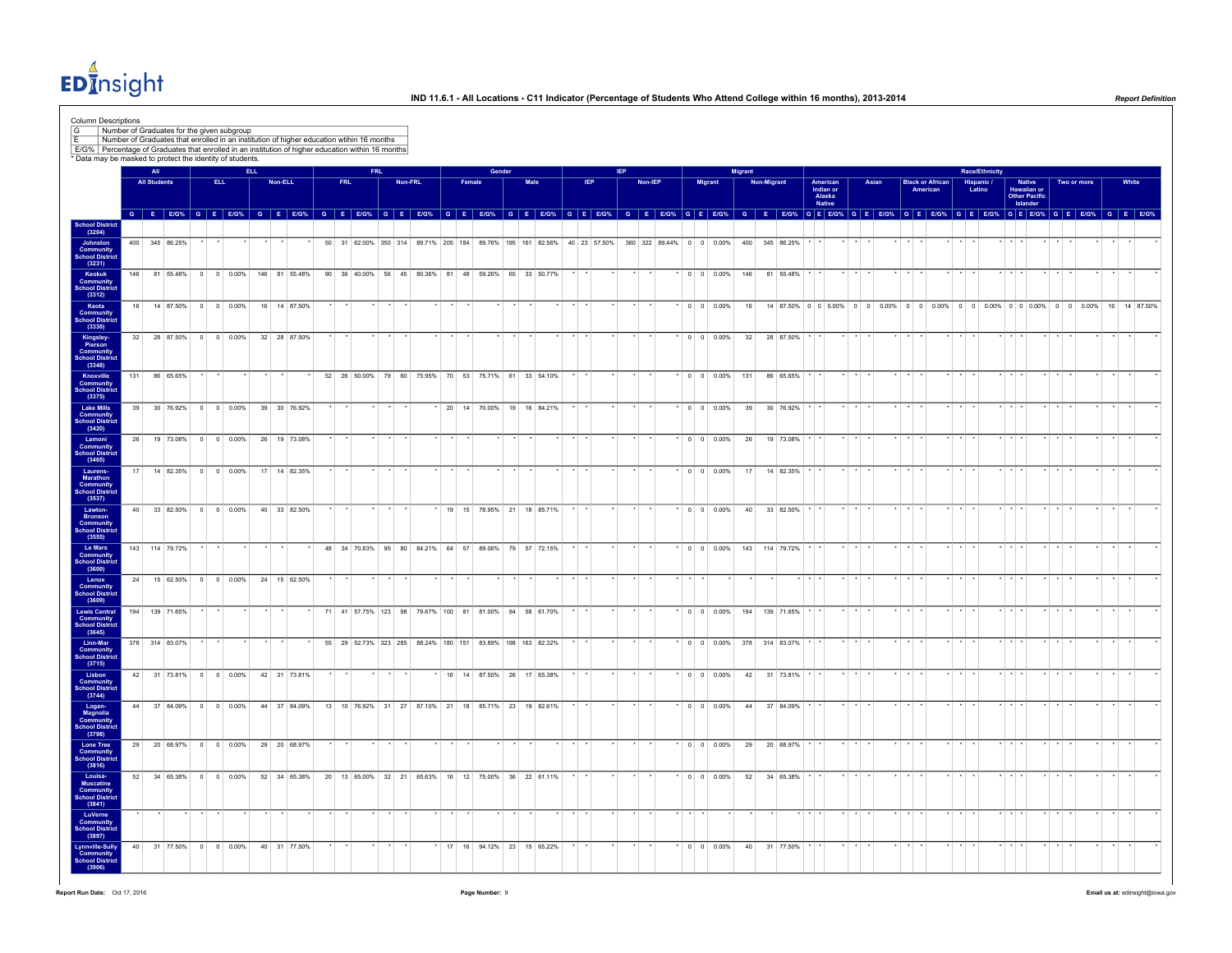$ED<sub>II</sub><sup>4</sup>$ nsight

|                                                   |                     | * Data may be masked to protect the identity of students. | E/G% Percentage of Graduates that enrolled in an institution of higher education within 16 months |            |                                                                                                                                                                                                                                |            |      |         |  |                                                           |        |      |                           |            |         |                                                                                                                |         |                                               |                |                    |                                                                       |                               |                 |       |                         |                 |                         |                |                         |                                          |         |             |              |
|---------------------------------------------------|---------------------|-----------------------------------------------------------|---------------------------------------------------------------------------------------------------|------------|--------------------------------------------------------------------------------------------------------------------------------------------------------------------------------------------------------------------------------|------------|------|---------|--|-----------------------------------------------------------|--------|------|---------------------------|------------|---------|----------------------------------------------------------------------------------------------------------------|---------|-----------------------------------------------|----------------|--------------------|-----------------------------------------------------------------------|-------------------------------|-----------------|-------|-------------------------|-----------------|-------------------------|----------------|-------------------------|------------------------------------------|---------|-------------|--------------|
|                                                   | <b>All</b>          |                                                           |                                                                                                   | <b>ELL</b> |                                                                                                                                                                                                                                |            | FRI. |         |  |                                                           | Gender |      |                           |            |         |                                                                                                                |         |                                               | <b>Migrant</b> |                    |                                                                       |                               |                 |       |                         |                 |                         | Race/Ethnicity |                         |                                          |         |             |              |
|                                                   | <b>All Students</b> |                                                           | ELL.                                                                                              |            | Non-ELL                                                                                                                                                                                                                        | <b>FRL</b> |      | Non-FRL |  | Female                                                    |        | Male |                           | <b>IEP</b> | Non-IEP |                                                                                                                |         | <b>Migrant</b>                                |                | <b>Non-Migrant</b> |                                                                       | American                      |                 | Asian | <b>Black or African</b> |                 |                         | Hispanic /     |                         | <b>Native</b>                            |         | Two or more | White        |
|                                                   |                     |                                                           |                                                                                                   |            |                                                                                                                                                                                                                                |            |      |         |  |                                                           |        |      |                           |            |         |                                                                                                                |         |                                               |                |                    |                                                                       | Indian or<br>Alaska<br>Native |                 |       | American                |                 |                         | Latino         |                         | Hawaiian or<br>Other Pacific<br>Islander |         |             |              |
|                                                   |                     |                                                           |                                                                                                   |            | G E EIG% G E EIG% G E EIG% G E EIG% G E EIG% G E EIG% G E EIG% G E EIG% G E EIG% G E EIG% G E EIG% G E EIG% G E EIG% G E EIG% G E EIG% G E EIG% G E EIG% G E EIG% G E EIG% G E EIG% G E EIG% G E EIG% G E EIG% G E EIG% G E EI |            |      |         |  |                                                           |        |      |                           |            |         |                                                                                                                |         |                                               |                |                    |                                                                       |                               |                 |       |                         |                 |                         |                |                         |                                          |         |             |              |
| School District<br>(3204)                         |                     |                                                           |                                                                                                   |            |                                                                                                                                                                                                                                |            |      |         |  |                                                           |        |      |                           |            |         |                                                                                                                |         |                                               |                |                    |                                                                       |                               |                 |       |                         |                 |                         |                |                         |                                          |         |             |              |
|                                                   |                     |                                                           |                                                                                                   |            |                                                                                                                                                                                                                                |            |      |         |  |                                                           |        |      |                           |            |         |                                                                                                                |         |                                               |                |                    |                                                                       |                               |                 |       |                         |                 |                         |                | $\cdots$                |                                          |         |             |              |
|                                                   |                     | 400 345 86.25%                                            |                                                                                                   |            |                                                                                                                                                                                                                                |            |      |         |  |                                                           |        |      |                           |            |         | 50 31 62.00% 350 314 89.71% 205 184 89.76% 195 161 82.56% 40 23 57.50% 360 322 89.44% 0 0 0.00% 400 345 86.25% |         |                                               |                |                    |                                                                       |                               |                 |       |                         |                 |                         |                |                         |                                          |         |             |              |
| <b>School Distric</b>                             |                     |                                                           |                                                                                                   |            |                                                                                                                                                                                                                                |            |      |         |  |                                                           |        |      |                           |            |         |                                                                                                                |         |                                               |                |                    |                                                                       |                               |                 |       |                         |                 |                         |                |                         |                                          |         |             |              |
|                                                   |                     |                                                           |                                                                                                   |            | 146 81 55.48% 0 0 0.00% 146 81 55.48%                                                                                                                                                                                          |            |      |         |  | 90 36 40.00% 56 45 80.36% 81 48 59.26% 65 33 50.77%       |        |      |                           |            |         |                                                                                                                |         | $\bullet$ 0 0 0.00% 146 81 55.48%             |                |                    |                                                                       |                               |                 |       |                         |                 |                         |                |                         |                                          |         |             |              |
| <b>Community</b><br>School Distric                |                     |                                                           |                                                                                                   |            |                                                                                                                                                                                                                                |            |      |         |  |                                                           |        |      |                           |            |         |                                                                                                                |         |                                               |                |                    |                                                                       |                               |                 |       |                         |                 |                         |                |                         |                                          |         |             |              |
| 16                                                |                     | 14 87.50%                                                 | $0$ 0 0.00%                                                                                       |            | 16 14 87.50%                                                                                                                                                                                                                   |            |      |         |  |                                                           |        |      |                           |            |         |                                                                                                                |         | $0 \t 0 \t 0.00\%$                            | 16             |                    | 14 87.50% 0 0 0.00% 0 0 0.00% 0 0 0.00% 0 0 0.00% 0 0 0.00% 0 0 0.00% |                               |                 |       |                         |                 |                         |                |                         |                                          |         |             | 16 14 87.50% |
| Community<br>School District                      |                     |                                                           |                                                                                                   |            |                                                                                                                                                                                                                                |            |      |         |  |                                                           |        |      |                           |            |         |                                                                                                                |         |                                               |                |                    |                                                                       |                               |                 |       |                         |                 |                         |                |                         |                                          |         |             |              |
|                                                   |                     |                                                           |                                                                                                   |            |                                                                                                                                                                                                                                |            |      |         |  |                                                           |        |      |                           |            |         |                                                                                                                |         |                                               |                |                    |                                                                       |                               |                 |       |                         |                 |                         |                |                         |                                          |         |             |              |
| 32                                                |                     | 28 87.50% 0 0 0.00%                                       |                                                                                                   |            | 32 28 87.50%                                                                                                                                                                                                                   |            |      |         |  |                                                           |        |      |                           |            |         |                                                                                                                |         | $\cdot$ 0 0 0.00%                             |                |                    | 32 28 87.50% * *                                                      |                               |                 |       |                         |                 |                         |                |                         |                                          |         |             |              |
| Community<br>School Distric                       |                     |                                                           |                                                                                                   |            |                                                                                                                                                                                                                                |            |      |         |  |                                                           |        |      |                           |            |         |                                                                                                                |         |                                               |                |                    |                                                                       |                               |                 |       |                         |                 |                         |                |                         |                                          |         |             |              |
|                                                   |                     |                                                           |                                                                                                   |            |                                                                                                                                                                                                                                |            |      |         |  |                                                           |        |      |                           |            |         |                                                                                                                |         |                                               |                |                    |                                                                       |                               |                 |       |                         |                 |                         |                |                         |                                          |         |             |              |
| 131                                               |                     | 86 65.65%                                                 |                                                                                                   |            |                                                                                                                                                                                                                                |            |      |         |  | 52 26 50.00% 79 60 75.95% 70 53 75.71% 61 33 54.10%       |        |      |                           |            |         |                                                                                                                |         | $*$ 0 0 0.00% 131                             |                |                    | 86 65.65%                                                             |                               |                 |       |                         |                 |                         |                |                         |                                          |         |             |              |
| School District                                   |                     |                                                           |                                                                                                   |            |                                                                                                                                                                                                                                |            |      |         |  |                                                           |        |      |                           |            |         |                                                                                                                |         |                                               |                |                    |                                                                       |                               |                 |       |                         |                 |                         |                |                         |                                          |         |             |              |
| 39                                                |                     | 30 76.92% 0 0 0.00%                                       |                                                                                                   |            | 39 30 76.92%                                                                                                                                                                                                                   |            |      |         |  | 20 14 70.00% 19 16 84.21%                                 |        |      |                           |            |         |                                                                                                                |         | $0 \quad 0 \quad 0.00\%$                      | 39             |                    | 30 76.92%                                                             |                               |                 |       |                         |                 |                         |                |                         |                                          |         |             |              |
| chool District                                    |                     |                                                           |                                                                                                   |            |                                                                                                                                                                                                                                |            |      |         |  |                                                           |        |      |                           |            |         |                                                                                                                |         |                                               |                |                    |                                                                       |                               |                 |       |                         |                 |                         |                |                         |                                          |         |             |              |
| 26                                                |                     | 19 73.08% 0 0 0.00%                                       |                                                                                                   |            | 26 19 73.08%                                                                                                                                                                                                                   |            |      |         |  |                                                           |        |      |                           |            |         |                                                                                                                |         | $\cdot$ 0 0 0.00%                             | 26             |                    | 19 73.08%                                                             |                               |                 |       |                         | $\star$ $\star$ |                         |                |                         |                                          |         |             |              |
|                                                   |                     |                                                           |                                                                                                   |            |                                                                                                                                                                                                                                |            |      |         |  |                                                           |        |      |                           |            |         |                                                                                                                |         |                                               |                |                    |                                                                       |                               |                 |       |                         |                 |                         |                |                         |                                          |         |             |              |
|                                                   |                     |                                                           |                                                                                                   |            |                                                                                                                                                                                                                                |            |      |         |  |                                                           |        |      |                           |            |         |                                                                                                                |         |                                               |                |                    |                                                                       |                               |                 |       |                         |                 |                         |                |                         |                                          |         |             |              |
|                                                   | 17                  | 14 82.35% 0 0 0.00%                                       |                                                                                                   |            | 17  14  82.35%                                                                                                                                                                                                                 |            |      |         |  |                                                           |        |      |                           |            |         |                                                                                                                |         | $\cdot$ 0 0 0 0 0 0 %                         | 17             |                    | 14 82.35%                                                             |                               |                 |       |                         |                 |                         |                |                         |                                          |         |             |              |
|                                                   |                     |                                                           |                                                                                                   |            |                                                                                                                                                                                                                                |            |      |         |  |                                                           |        |      |                           |            |         |                                                                                                                |         |                                               |                |                    |                                                                       |                               |                 |       |                         |                 |                         |                |                         |                                          |         |             |              |
|                                                   |                     |                                                           |                                                                                                   |            |                                                                                                                                                                                                                                |            |      |         |  |                                                           |        |      |                           |            |         |                                                                                                                |         |                                               |                |                    |                                                                       |                               |                 |       |                         |                 |                         |                |                         |                                          |         |             |              |
| $40-1$<br>Bronson<br>Community<br>School District |                     | $33   8250\%   0   0   000\%$                             |                                                                                                   |            | 40 33 82.50%                                                                                                                                                                                                                   |            |      |         |  | * 19 15 78.95% 21 18 85.71%                               |        |      |                           |            |         |                                                                                                                |         | $\cdot$ 0 0 0 0 0 0 %                         |                |                    | 40 33 82.50%                                                          |                               |                 |       |                         |                 |                         |                |                         |                                          |         |             |              |
|                                                   |                     |                                                           |                                                                                                   |            |                                                                                                                                                                                                                                |            |      |         |  |                                                           |        |      |                           |            |         |                                                                                                                |         |                                               |                |                    |                                                                       |                               |                 |       |                         |                 |                         |                |                         |                                          |         |             |              |
|                                                   |                     | 143 114 79.72%                                            |                                                                                                   |            |                                                                                                                                                                                                                                |            |      |         |  | 48 34 70.83% 95 80 84.21% 64 57 89.06% 79 57 72.15%       |        |      |                           |            |         |                                                                                                                |         | $*$ 0 0 0.00% 143 114 79.72%                  |                |                    |                                                                       |                               |                 |       |                         |                 |                         |                |                         |                                          |         |             |              |
| <b>Community</b><br>School District               |                     |                                                           |                                                                                                   |            |                                                                                                                                                                                                                                |            |      |         |  |                                                           |        |      |                           |            |         |                                                                                                                |         |                                               |                |                    |                                                                       |                               |                 |       |                         |                 |                         |                |                         |                                          |         |             |              |
|                                                   |                     |                                                           |                                                                                                   |            |                                                                                                                                                                                                                                |            |      |         |  |                                                           |        |      |                           |            |         |                                                                                                                |         |                                               |                |                    |                                                                       |                               |                 |       |                         |                 |                         |                |                         |                                          |         |             |              |
| 24                                                |                     | 15 62.50% 0 0 0.00%                                       |                                                                                                   |            | 24 15 62.50%                                                                                                                                                                                                                   |            |      |         |  |                                                           |        |      |                           |            |         |                                                                                                                |         |                                               |                |                    |                                                                       |                               |                 |       |                         |                 |                         |                |                         |                                          |         |             |              |
|                                                   |                     |                                                           |                                                                                                   |            |                                                                                                                                                                                                                                |            |      |         |  |                                                           |        |      |                           |            |         |                                                                                                                |         |                                               |                |                    |                                                                       |                               |                 |       |                         |                 |                         |                |                         |                                          |         |             |              |
| <b>Lewis Central</b>                              |                     | 194 139 71.65%                                            |                                                                                                   |            |                                                                                                                                                                                                                                |            |      |         |  | 71 41 57.75% 123 98 79.67% 100 81 81.00% 94 58 61.70%     |        |      |                           |            |         |                                                                                                                |         |                                               |                |                    | * 0 0 0.00% 194 139 71.65% * *                                        |                               |                 |       |                         | $\star$ $\star$ |                         |                | $\cdots$                |                                          |         |             |              |
| <b>Community</b><br>School Distric                |                     |                                                           |                                                                                                   |            |                                                                                                                                                                                                                                |            |      |         |  |                                                           |        |      |                           |            |         |                                                                                                                |         |                                               |                |                    |                                                                       |                               |                 |       |                         |                 |                         |                |                         |                                          |         |             |              |
|                                                   |                     | 378 314 83.07%                                            |                                                                                                   |            |                                                                                                                                                                                                                                |            |      |         |  | 55 29 52.73% 323 285 88.24% 180 151 83.89% 198 163 82.32% |        |      |                           |            |         |                                                                                                                |         |                                               |                |                    |                                                                       |                               |                 |       |                         |                 |                         |                |                         |                                          |         |             |              |
| <b>Community</b><br>School District               |                     |                                                           |                                                                                                   |            |                                                                                                                                                                                                                                |            |      |         |  |                                                           |        |      |                           |            |         |                                                                                                                |         | $\vert 0 \vert 0 \vert 0.00\%$ 378 314 83.07% |                |                    |                                                                       |                               |                 |       |                         |                 |                         |                |                         |                                          |         |             |              |
|                                                   |                     |                                                           |                                                                                                   |            |                                                                                                                                                                                                                                |            |      |         |  |                                                           |        |      |                           |            |         |                                                                                                                |         |                                               |                |                    |                                                                       |                               |                 |       |                         |                 |                         |                |                         |                                          |         |             |              |
| <b>Community</b><br>School Distric                |                     | 42 31 73.81% 0 0 0.00%                                    |                                                                                                   |            | 42 31 73.81%                                                                                                                                                                                                                   |            |      |         |  | 16 14 87.50% 26 17 65.38%                                 |        |      |                           |            |         |                                                                                                                |         | $0 0 0.00\%$                                  |                |                    | 42 31 73.81%                                                          |                               |                 |       |                         | $\star$         | $\star$                 |                |                         |                                          |         |             |              |
|                                                   |                     |                                                           |                                                                                                   |            |                                                                                                                                                                                                                                |            |      |         |  |                                                           |        |      |                           |            |         |                                                                                                                |         |                                               |                |                    |                                                                       |                               |                 |       |                         |                 |                         |                |                         |                                          |         |             |              |
| 44                                                |                     | 37 84.09% 0 0 0.00%                                       |                                                                                                   |            | 44 37 84.09%                                                                                                                                                                                                                   |            |      |         |  | 13 10 76.92% 31 27 87.10% 21 18 85.71% 23 19 82.61%       |        |      |                           |            |         |                                                                                                                |         | $\cdot$ 0 0 0.00%                             |                |                    | 44 37 84.09%                                                          |                               |                 |       |                         |                 | $\star$                 |                |                         |                                          |         |             |              |
| Logan-<br>Magnolia<br>Community<br>School Distric |                     |                                                           |                                                                                                   |            |                                                                                                                                                                                                                                |            |      |         |  |                                                           |        |      |                           |            |         |                                                                                                                |         |                                               |                |                    |                                                                       |                               |                 |       |                         |                 |                         |                |                         |                                          |         |             |              |
|                                                   |                     |                                                           |                                                                                                   |            |                                                                                                                                                                                                                                |            |      |         |  |                                                           |        |      |                           |            |         |                                                                                                                |         |                                               |                |                    |                                                                       |                               |                 |       |                         |                 |                         |                |                         |                                          |         |             |              |
|                                                   |                     |                                                           |                                                                                                   |            | 29 20 68.97% 0 0 0.00% 29 20 68.97%                                                                                                                                                                                            |            |      |         |  |                                                           |        |      |                           |            |         |                                                                                                                |         |                                               |                |                    | $*$ 0 0 0.00% 29 20 68.97% $*$ $*$                                    |                               | $\star$ $\star$ |       |                         |                 | $\star$ $\star$ $\star$ |                | $\star$ $\star$ $\star$ |                                          | $\star$ |             | $\cdot$      |
| <b>Community</b><br>School District               |                     |                                                           |                                                                                                   |            |                                                                                                                                                                                                                                |            |      |         |  |                                                           |        |      |                           |            |         |                                                                                                                |         |                                               |                |                    |                                                                       |                               |                 |       |                         |                 |                         |                |                         |                                          |         |             |              |
| 52                                                |                     | 34 6538% 0 0 0 00%                                        |                                                                                                   |            | 52 34 65 38%                                                                                                                                                                                                                   |            |      |         |  | 20 13 65.00% 32 21 65.63% 16 12 75.00% 36 22 61.11%       |        |      |                           |            |         |                                                                                                                |         | $\cdot$ 0 0 0 0 0 %                           | 52             |                    | 34 65 38%                                                             |                               |                 |       |                         |                 |                         |                |                         |                                          |         |             |              |
|                                                   |                     |                                                           |                                                                                                   |            |                                                                                                                                                                                                                                |            |      |         |  |                                                           |        |      |                           |            |         |                                                                                                                |         |                                               |                |                    |                                                                       |                               |                 |       |                         |                 |                         |                |                         |                                          |         |             |              |
| <b>Community</b><br>School Distric                |                     |                                                           |                                                                                                   |            |                                                                                                                                                                                                                                |            |      |         |  |                                                           |        |      |                           |            |         |                                                                                                                |         |                                               |                |                    |                                                                       |                               |                 |       |                         |                 |                         |                |                         |                                          |         |             |              |
|                                                   |                     |                                                           |                                                                                                   |            |                                                                                                                                                                                                                                |            |      |         |  |                                                           |        |      |                           |            |         |                                                                                                                | $\star$ |                                               |                |                    |                                                                       |                               |                 |       |                         |                 |                         |                |                         |                                          |         |             |              |
| <b>Community</b><br>School Distric                |                     |                                                           |                                                                                                   |            |                                                                                                                                                                                                                                |            |      |         |  |                                                           |        |      |                           |            |         |                                                                                                                |         |                                               |                |                    |                                                                       |                               |                 |       |                         |                 |                         |                |                         |                                          |         |             |              |
|                                                   |                     | 31 77.50%                                                 | $0 \t 0 \t 0.00\%$                                                                                |            | 40 31 77.50%                                                                                                                                                                                                                   |            |      |         |  |                                                           |        |      | 17 16 94.12% 23 15 65.22% |            |         |                                                                                                                |         |                                               | 40             |                    | 31 77.50%                                                             |                               |                 |       |                         |                 |                         |                |                         |                                          |         |             |              |
| ynnville-Sully<br>40                              |                     |                                                           |                                                                                                   |            |                                                                                                                                                                                                                                |            |      |         |  |                                                           |        |      |                           |            |         |                                                                                                                |         | $\cdot$ 0 0 0.00%                             |                |                    |                                                                       |                               |                 |       |                         |                 |                         |                |                         |                                          |         |             |              |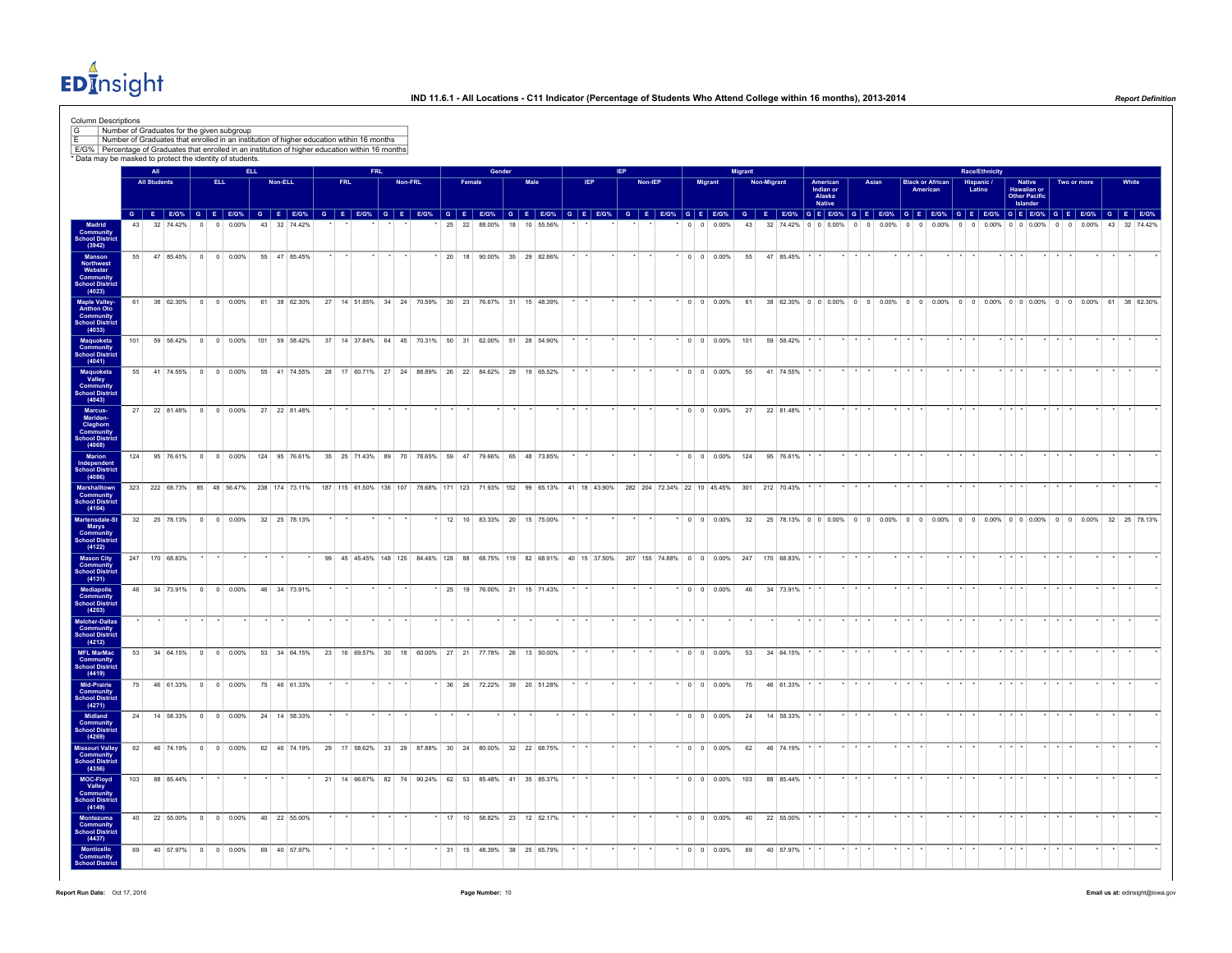$ED<sub>II</sub><sup>4</sup>$ nsight

| Column Descriptions<br>G<br>Number of Graduates for the given subgroup<br>E/G% Percentage of Graduates that enrolled in an institution of higher education within 16 months<br>* Data may be masked to protect the identity of students |                 |                     |                             |                |                    |            |    | Number of Graduates that enrolled in an institution of higher education wtihin 16 months                           |            |                                                                                               |            |         |    |        |        |        |      |                             |            |  |                |                             |                       |         |                          |                |                                                                                               |                                           |                        |       |          |          |                         |                 |                       |       |                                                                                    |                |       |              |  |
|-----------------------------------------------------------------------------------------------------------------------------------------------------------------------------------------------------------------------------------------|-----------------|---------------------|-----------------------------|----------------|--------------------|------------|----|--------------------------------------------------------------------------------------------------------------------|------------|-----------------------------------------------------------------------------------------------|------------|---------|----|--------|--------|--------|------|-----------------------------|------------|--|----------------|-----------------------------|-----------------------|---------|--------------------------|----------------|-----------------------------------------------------------------------------------------------|-------------------------------------------|------------------------|-------|----------|----------|-------------------------|-----------------|-----------------------|-------|------------------------------------------------------------------------------------|----------------|-------|--------------|--|
|                                                                                                                                                                                                                                         |                 | All                 |                             |                |                    | <b>ELL</b> |    |                                                                                                                    |            |                                                                                               | <b>FRL</b> |         |    |        |        | Gender |      |                             |            |  |                |                             |                       |         |                          | <b>Migrant</b> |                                                                                               |                                           |                        |       |          |          |                         |                 | <b>Race/Ethnicity</b> |       |                                                                                    |                |       |              |  |
|                                                                                                                                                                                                                                         |                 | <b>All Students</b> |                             |                | ELL.               |            |    | Non-ELL                                                                                                            | <b>FRL</b> |                                                                                               |            | Non-FRL |    | Female |        |        | Male |                             | <b>IEP</b> |  | <b>Non-IEP</b> |                             |                       | Migrant |                          |                | Non-Migrant                                                                                   | American<br>Indian or<br>Alaska<br>Native |                        | Asian |          | American | <b>Black or African</b> |                 | Hispanic /<br>Latino  |       | Native<br>Hawaiian or<br>Other Pacific<br>Islander                                 | Two or more    |       | White        |  |
|                                                                                                                                                                                                                                         |                 |                     | 32 74 42%                   | $\Omega$       | $\Omega$           | 0.00%      |    | G E EIG% G E EIG% G E EIG% G E EIG% G E EIG% G E EIG% G E EIG% G E EIG% G E EIG% G E EIG% G E EIG%<br>43 32 74.42% |            |                                                                                               |            |         | 25 | 22     | 88.00% | 18     |      | 10 55 56%                   |            |  |                |                             |                       |         | $0 \quad 0 \quad 0.00\%$ | 43             | G E E/G% G E E/G% G E E/G% G E E/G% G E E/G% G E E/G% G E E/G% G E E/G% G E E/G%<br>32 74 42% | 0 <sup>1</sup> 0 <sup>1</sup> 0.00%       | $\Omega$<br>$\sqrt{2}$ | 0.00% | $\Omega$ | $\Omega$ | 0.00%                   | 0 <sub>0</sub>  | 0.00%                 |       | 0 0 0 0 0 %                                                                        | 0 <sub>0</sub> | 0.00% | 43 32 74 42% |  |
| Madrid<br>Community<br>School District<br>(3942)                                                                                                                                                                                        |                 |                     |                             |                |                    |            |    |                                                                                                                    |            |                                                                                               |            |         |    |        |        |        |      |                             |            |  |                |                             |                       |         |                          |                |                                                                                               |                                           |                        |       |          |          |                         |                 |                       |       |                                                                                    |                |       |              |  |
| Manson<br>Northwest<br>Webster<br>Community<br>School District<br>(4023)                                                                                                                                                                | 55              |                     | 47 85.45%                   |                | $0 \t 0 \t 0.00\%$ |            |    | 55 47 85.45%                                                                                                       |            |                                                                                               |            |         |    |        |        |        |      | * 20 18 90.00% 35 29 82.86% |            |  |                |                             | $\cdot$ 0 0 0.00%     |         |                          | 55             | 47 85.45%                                                                                     |                                           |                        |       |          |          |                         |                 |                       |       |                                                                                    |                |       |              |  |
| Maple Valley-<br>Anthon Oto<br>Community<br>School District<br>(4033)                                                                                                                                                                   | 61              |                     | 38 62.30%                   |                | $0 \t 0 \t 0.00\%$ |            |    | 61 38 62.30%                                                                                                       |            | 27 14 51.85% 34 24 70.59% 30 23 76.67% 31 15 48.39%                                           |            |         |    |        |        |        |      |                             |            |  |                |                             | $\cdot$ 0 0 0.00%     |         |                          | 61             |                                                                                               |                                           |                        |       |          |          |                         |                 |                       |       | 38 62.30% 0 0 0.00% 0 0 0.00% 0 0 0.00% 0 0 0.00% 0 0 0.00% 0 0 0.00% 61 38 62.30% |                |       |              |  |
| Maquoketa<br>Community<br>chool District                                                                                                                                                                                                | 101             |                     | 59 58.42% 0 0 0.00%         |                |                    |            |    | 101 59 58.42%                                                                                                      |            | 37 14 37.84% 64 45 70.31% 50 31 62.00% 51 28 54.90%                                           |            |         |    |        |        |        |      |                             |            |  |                |                             |                       |         | $*$ 0 0 0.00% 101        |                | 59 58.42%                                                                                     |                                           |                        |       |          |          |                         |                 |                       |       |                                                                                    |                |       |              |  |
| (4041)<br>Maquoketa<br>Valley                                                                                                                                                                                                           | 55              |                     | 41 74.55%                   |                | $0 \t 0 \t 0.00\%$ |            |    | 55 41 74.55%                                                                                                       |            | 28 17 60.71% 27 24 88.89% 26 22 84.62% 29 19 65.52%                                           |            |         |    |        |        |        |      |                             |            |  |                |                             | $*$ 0 0 0.00%         |         |                          | 55             | 41 74.55%                                                                                     |                                           |                        |       |          |          |                         |                 |                       |       |                                                                                    |                |       |              |  |
| <b>Community</b><br>School District<br>(4043)<br>Marcus-<br>Meriden-                                                                                                                                                                    | 27              |                     |                             |                |                    |            |    | 22 81.48% 0 0 0.00% 27 22 81.48%                                                                                   |            |                                                                                               |            |         |    |        |        |        |      |                             |            |  |                |                             |                       |         |                          |                | $0 \t 0 \t 0.00\%$ 27 22 81.48%                                                               |                                           |                        |       |          |          |                         |                 |                       |       |                                                                                    |                |       |              |  |
| Cleghorn<br>Community<br><b>School District</b><br>(4068)                                                                                                                                                                               |                 |                     |                             |                |                    |            |    |                                                                                                                    |            |                                                                                               |            |         |    |        |        |        |      |                             |            |  |                |                             |                       |         |                          |                |                                                                                               |                                           |                        |       |          |          |                         |                 |                       |       |                                                                                    |                |       |              |  |
| Marion<br>Independent<br>School District<br>(4086)                                                                                                                                                                                      | 124             |                     | 95 76.61% 0 0 0.00%         |                |                    |            |    | 124 95 76.61%                                                                                                      |            | 35 25 71.43% 89 70 78.65% 59 47 79.66% 65 48 73.85%                                           |            |         |    |        |        |        |      |                             |            |  |                |                             |                       |         | $0 0 0.00\%$             | 124            | 95 76.61%                                                                                     |                                           |                        |       |          |          |                         |                 |                       |       |                                                                                    |                |       |              |  |
| Marshalltown<br><b>Community</b><br>School District                                                                                                                                                                                     |                 |                     | 323 222 68.73% 85 48 56.47% |                |                    |            |    | 238 174 73.11%                                                                                                     |            | 187 115 61.50% 136 107 78.68% 171 123 71.93% 152 99 65.13% 41 18 43.90%                       |            |         |    |        |        |        |      |                             |            |  |                | 282 204 72.34% 22 10 45.45% |                       |         |                          | 301            | 212 70.43%                                                                                    |                                           |                        |       |          |          |                         |                 |                       |       |                                                                                    |                |       |              |  |
| (4104)<br>Martensdale-St<br>Marys                                                                                                                                                                                                       |                 |                     |                             |                |                    |            |    | 32 25 78.13% 0 0 0.00% 32 25 78.13%                                                                                |            |                                                                                               |            |         |    |        |        |        |      | 12 10 83.33% 20 15 75.00%   |            |  |                |                             |                       |         | $\cdot$ 0 0 0 0 0 0 %    |                |                                                                                               |                                           |                        |       |          |          |                         |                 |                       |       |                                                                                    |                |       |              |  |
| Community<br>School District<br>(4122)<br><b>Mason City</b>                                                                                                                                                                             |                 |                     | 247 170 68.83%              |                |                    |            |    |                                                                                                                    |            | 99 45 45.45% 148 125 84.46% 128 88 68.75% 119 82 68.91% 40 15 37.50% 207 155 74.88% 0 0 0.00% |            |         |    |        |        |        |      |                             |            |  |                |                             |                       |         |                          | 247            | 170 68.83%                                                                                    |                                           |                        |       |          |          |                         |                 |                       |       |                                                                                    |                |       |              |  |
| Community<br>School District<br>(4131)                                                                                                                                                                                                  |                 |                     | 46 34 73.91% 0 0 0.00%      |                |                    |            |    | 46 34 73.91%                                                                                                       |            |                                                                                               |            |         |    |        |        |        |      | * 25 19 76.00% 21 15 71.43% |            |  |                |                             | $0 0 0.00\%$          |         |                          | 46             | 34 73.91%                                                                                     |                                           |                        |       |          |          |                         |                 |                       |       |                                                                                    |                |       |              |  |
| Mediapolis<br>Community<br><b>School District</b><br>(4203)<br>Melcher-Dallas<br>Community                                                                                                                                              |                 |                     |                             |                |                    |            |    |                                                                                                                    |            |                                                                                               |            |         |    |        |        |        |      |                             |            |  |                |                             |                       |         |                          |                |                                                                                               |                                           |                        |       |          |          |                         |                 |                       |       |                                                                                    |                |       |              |  |
| School District<br>(4212)<br><b>MFL MarMac</b>                                                                                                                                                                                          |                 |                     | 53 34 64.15% 0 0 0.00%      |                |                    |            |    | 53 34 64.15%                                                                                                       |            | 23 16 69.57% 30 18 60.00% 27 21 77.78% 26 13 50.00%                                           |            |         |    |        |        |        |      |                             |            |  |                |                             |                       |         | $*$ 0 0 0.00%            |                | 53 34 64.15% * *                                                                              |                                           |                        |       |          |          |                         | $\star$ $\star$ |                       | * * * |                                                                                    |                |       |              |  |
| <b>Community</b><br>School District<br>(4419)<br>Mid-Prairie                                                                                                                                                                            |                 |                     | 75 46 6133% 0 0 0 00%       |                |                    |            |    | 75 46 61.33%                                                                                                       |            |                                                                                               |            |         |    |        |        |        |      | 36 26 72 22% 39 20 51 28%   |            |  |                |                             | $\cdot$ 0 0 0 0 0 0 % |         |                          | 75             | 46 61 33%                                                                                     |                                           |                        |       |          |          |                         |                 |                       |       |                                                                                    |                |       |              |  |
| Community<br><b>School District</b><br>(4271)                                                                                                                                                                                           | 24              |                     | 14 58.33%                   |                | $0 \t 0 \t 0.00\%$ |            |    | 24 14 58.33%                                                                                                       |            |                                                                                               |            |         |    |        |        |        |      |                             |            |  |                |                             |                       |         | $0 \t 0 \t 0.00\%$       |                | 14 58.33%                                                                                     |                                           |                        |       |          |          |                         |                 |                       |       |                                                                                    |                |       |              |  |
| Midland<br><b>Community</b><br>School District<br>(4269)                                                                                                                                                                                |                 |                     |                             |                |                    |            |    |                                                                                                                    |            |                                                                                               |            |         |    |        |        |        |      |                             |            |  |                |                             |                       |         |                          | 24             |                                                                                               |                                           |                        |       |          |          |                         |                 |                       |       |                                                                                    |                |       |              |  |
| Missouri Valley<br>Community<br>chool District<br>(4356)                                                                                                                                                                                | 62              |                     | 46 74.19%                   | $\overline{0}$ | $0 \quad 0.00\%$   |            |    | 62 46 74.19%                                                                                                       |            | 29 17 58.62% 33 29 87.88% 30 24 80.00% 32 22 68.75%                                           |            |         |    |        |        |        |      |                             |            |  |                |                             | $0 0 0.00\%$          |         |                          | 62             | 46 74.19%                                                                                     |                                           |                        |       |          |          |                         |                 |                       |       |                                                                                    |                |       |              |  |
| MOC-Floyd<br>Valley<br><b>Community</b><br>School District                                                                                                                                                                              | 103             |                     | 88 85.44%                   |                |                    |            |    |                                                                                                                    |            | 21 14 66.67% 82 74 90.24% 62 53 85.48% 41 35 85.37%                                           |            |         |    |        |        |        |      |                             |            |  |                |                             |                       |         | $\cdot$ 0 0 0.00%        | 103            | 88 85.44%                                                                                     |                                           |                        |       |          |          |                         |                 |                       |       |                                                                                    |                |       |              |  |
| (4149)<br>Montezuma<br>Community<br><b>School District</b>                                                                                                                                                                              | 40 <sup>1</sup> |                     | 22 55.00%                   |                | $0 \t 0 \t 0.00\%$ |            |    | 40 22 55.00%                                                                                                       |            |                                                                                               |            |         |    |        |        |        |      | 17 10 58.82% 23 12 52.17%   |            |  |                |                             | $\cdot$ 0 0 0.00%     |         |                          | 40             | 22 55.00%                                                                                     |                                           |                        |       |          |          |                         |                 |                       |       |                                                                                    |                |       |              |  |
| (4437)<br>Monticello<br>Community<br><b>hool Distr</b>                                                                                                                                                                                  | 69              |                     | 40 57.97%                   | $\bullet$      | $0 0.00\%$         |            | 69 | 40 57.97%                                                                                                          |            |                                                                                               |            |         |    |        |        |        |      | * 31 15 48.39% 38 25 65.79% |            |  |                |                             | $*$ 0 0 0.00%         |         |                          | 69             | 40 57.97%                                                                                     |                                           |                        |       |          |          |                         |                 |                       |       |                                                                                    |                |       |              |  |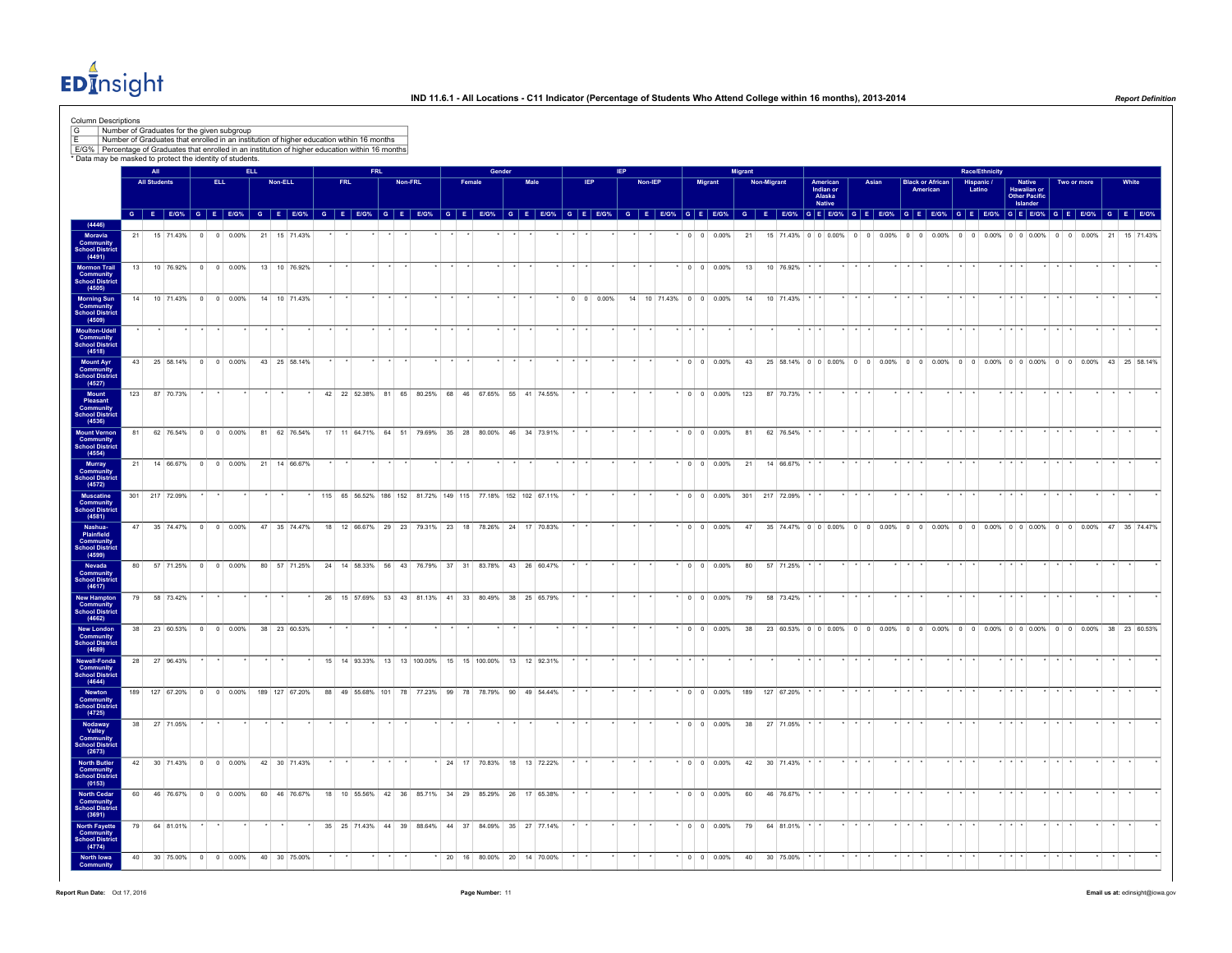$ED<sub>II</sub><sup>4</sup>$ nsight

| G                                                                                     | Column Descriptions<br>Number of Graduates for the given subgroup<br>* Data may be masked to protect the identity of students. |                |                     |                  |                        |  | Number of Graduates that enrolled in an institution of higher education wtihin 16 months<br>E/G% Percentage of Graduates that enrolled in an institution of higher education within 16 months                                  |            |         |         |                              |        |                                                            |        |      |  |            |                          |         |                        |                          |                |    |                                  |                   |                               |                         |       |                 |                                     |                      |                                                                                                   |                                               |             |             |         |              |  |
|---------------------------------------------------------------------------------------|--------------------------------------------------------------------------------------------------------------------------------|----------------|---------------------|------------------|------------------------|--|--------------------------------------------------------------------------------------------------------------------------------------------------------------------------------------------------------------------------------|------------|---------|---------|------------------------------|--------|------------------------------------------------------------|--------|------|--|------------|--------------------------|---------|------------------------|--------------------------|----------------|----|----------------------------------|-------------------|-------------------------------|-------------------------|-------|-----------------|-------------------------------------|----------------------|---------------------------------------------------------------------------------------------------|-----------------------------------------------|-------------|-------------|---------|--------------|--|
|                                                                                       |                                                                                                                                |                | All                 |                  |                        |  |                                                                                                                                                                                                                                |            |         |         |                              |        |                                                            | Gender |      |  |            |                          |         |                        |                          | <b>Migrant</b> |    |                                  |                   |                               |                         |       |                 |                                     |                      | <b>Race/Ethnicity</b>                                                                             |                                               |             |             |         |              |  |
|                                                                                       |                                                                                                                                |                | <b>All Students</b> |                  | ELL.                   |  | Non-ELL                                                                                                                                                                                                                        | <b>FRL</b> |         | Non-FRL |                              | Female |                                                            |        | Male |  | <b>IEP</b> |                          | Non-IEP |                        | Migrant                  |                |    | <b>Non-Migrant</b>               | American          | Indian or<br>Alaska<br>Native |                         | Asian |                 | <b>Black or African</b><br>American | Hispanic /<br>Latino |                                                                                                   | <b>Native</b><br>Hawaiian or<br>Other Pacific |             | Two or more |         | White        |  |
|                                                                                       |                                                                                                                                |                |                     |                  |                        |  | G E EIG% G E EIG% G E EIG% G E EIG% G E EIG% G E EIG% G E EIG% G E EIG% G E EIG% G E EIG% G E EIG% G E EIG% G E EIG% G E EIG% G E EIG% G E EIG% G E EIG% G E EIG% G E EIG% G E EIG% G E EIG% G E EIG% G E EIG% G E EIG% G E EI |            |         |         |                              |        |                                                            |        |      |  |            |                          |         |                        |                          |                |    |                                  |                   |                               |                         |       |                 |                                     |                      |                                                                                                   | Islander                                      |             |             |         |              |  |
| (4446)                                                                                |                                                                                                                                |                |                     |                  |                        |  |                                                                                                                                                                                                                                |            |         |         |                              |        |                                                            |        |      |  |            |                          |         |                        |                          |                |    |                                  |                   |                               |                         |       |                 |                                     |                      |                                                                                                   |                                               |             |             |         |              |  |
| Moravia<br>Community<br>chool District                                                |                                                                                                                                | 21             |                     |                  |                        |  | 21 15 71.43%                                                                                                                                                                                                                   |            |         |         |                              |        |                                                            |        |      |  |            |                          |         |                        | $0 \quad 0 \quad 0.00\%$ |                | 21 |                                  |                   |                               |                         |       |                 |                                     |                      |                                                                                                   |                                               |             |             |         | 15 71 43%    |  |
| (4491)<br>Mormon Trail<br><b>Community</b><br>School Distric                          |                                                                                                                                | 13             |                     |                  | 10 76.92% 0 0 0.00%    |  | 13 10 76.92%                                                                                                                                                                                                                   |            |         |         |                              |        |                                                            |        |      |  |            |                          |         |                        | $^*$ 0 0 0.00%           |                | 13 | 10 76.92% * *                    |                   |                               |                         |       |                 |                                     |                      |                                                                                                   |                                               |             |             |         |              |  |
| (4505)                                                                                |                                                                                                                                | 14             |                     |                  | 10 71.43% 0 0 0.00%    |  | 14 10 71.43%                                                                                                                                                                                                                   |            |         |         |                              |        |                                                            |        |      |  |            | $0 \quad 0 \quad 0.00\%$ |         | 14 10 71.43% 0 0 0.00% |                          |                | 14 | 10 71.43%                        |                   |                               |                         |       |                 |                                     |                      |                                                                                                   |                                               |             |             |         |              |  |
| Morning Sun<br>Community<br>School District<br>(4509)                                 |                                                                                                                                |                |                     |                  |                        |  |                                                                                                                                                                                                                                |            |         |         |                              |        |                                                            |        |      |  |            |                          |         |                        |                          |                |    |                                  |                   |                               |                         |       |                 |                                     |                      |                                                                                                   |                                               |             |             |         |              |  |
| Moulton-Udell<br><b>Community</b><br>School District<br>(4518)                        |                                                                                                                                |                |                     |                  |                        |  |                                                                                                                                                                                                                                |            |         |         |                              |        |                                                            |        |      |  |            |                          |         |                        |                          |                |    |                                  |                   |                               |                         |       |                 |                                     |                      |                                                                                                   |                                               |             |             |         |              |  |
| <b>Mount Ayr</b><br>Community<br>School District<br>(4527)                            |                                                                                                                                | 43             |                     |                  | 25 58.14% 0 0 0.00%    |  | 43 25 58.14%                                                                                                                                                                                                                   |            |         |         |                              |        |                                                            |        |      |  |            |                          |         |                        | $\cdot$ 0 0 0.00%        |                |    |                                  |                   |                               |                         |       |                 |                                     |                      | 43 25 58.14% 0 0 0 0.00% 0 0 0.00% 0 0 0.00% 0 0 0.00% 0 0 0.00% 0 0 0.00% 0 0 0.00% 43 25 58.14% |                                               |             |             |         |              |  |
| Mount<br>Pleasant                                                                     |                                                                                                                                | 123            |                     | 87 70.73%        |                        |  |                                                                                                                                                                                                                                |            |         |         |                              |        | 42 22 52.38% 81 65 80.25% 68 46 67.65% 55 41 74.55%        |        |      |  |            |                          |         |                        |                          |                |    | $*$ 0 0 0.00% 123 87 70.73%      |                   |                               |                         |       |                 |                                     |                      |                                                                                                   |                                               |             |             |         |              |  |
| <b>Community</b><br>School District<br>(4536)                                         |                                                                                                                                |                |                     |                  |                        |  |                                                                                                                                                                                                                                |            |         |         |                              |        |                                                            |        |      |  |            |                          |         |                        |                          |                |    |                                  |                   |                               |                         |       |                 |                                     |                      |                                                                                                   |                                               |             |             |         |              |  |
| Mount Vernon<br>Community<br><b>School District</b><br>(4554)                         |                                                                                                                                | 81             |                     |                  | 62 76.54% 0 0 0.00%    |  | 81 62 76.54%                                                                                                                                                                                                                   |            |         |         |                              |        | 17 11 64.71% 64 51 79.69% 35 28 80.00% 46 34 73.91%        |        |      |  |            |                          |         |                        | $0 0 0.00\%$             |                | 81 | 62 76.54%                        |                   |                               |                         |       |                 |                                     |                      |                                                                                                   |                                               |             |             |         |              |  |
| Murray<br><b>Community</b><br>School District                                         |                                                                                                                                |                |                     |                  |                        |  | 21  14  66.67%  0  0  0.00%  21  14  66.67%                                                                                                                                                                                    |            |         |         |                              |        |                                                            |        |      |  |            |                          |         |                        |                          |                |    | $*$ 0 0 0.00% 21 14 66.67%       |                   |                               | $\star$                 |       | $\star$         |                                     |                      |                                                                                                   | $\cdots$                                      |             |             |         |              |  |
| (4572)<br>Muscatine<br>Community                                                      |                                                                                                                                | 301 217 72.09% |                     |                  |                        |  |                                                                                                                                                                                                                                |            |         |         |                              |        | 115 65 56.52% 186 152 81.72% 149 115 77.18% 152 102 67.11% |        |      |  |            |                          |         |                        |                          |                |    | $*$ 0 0 0.00% 301 217 72.09%     |                   |                               |                         |       |                 |                                     |                      |                                                                                                   |                                               |             |             |         |              |  |
| <b>School Distric</b><br>(4581)<br>Nashua-                                            |                                                                                                                                | 47             |                     | 35 74.47%        | $0 \t 0 \t 0.00\%$     |  | 47 35 74.47%                                                                                                                                                                                                                   |            |         |         | 18 12 66.67% 29 23 79.31% 23 | 18     | 78.26% 24 17 70.83%                                        |        |      |  |            |                          |         |                        | $0 \t 0 \t 0.00\%$       |                | 47 | 35 74.47% 0 0 0.00% 0 0 0.00%    |                   |                               |                         |       |                 | $0 0 0.00\%$                        |                      | $0 \t 0 \t 0.00\%$ 0 0 0.00%                                                                      |                                               | $0 \quad 0$ | 0.00%       |         | 47 35 74.47% |  |
| (4599)                                                                                | Plainfield<br>Community<br>School District                                                                                     |                |                     |                  |                        |  |                                                                                                                                                                                                                                |            |         |         |                              |        |                                                            |        |      |  |            |                          |         |                        |                          |                |    |                                  |                   |                               |                         |       |                 |                                     |                      |                                                                                                   |                                               |             |             |         |              |  |
| Nevada<br>Community                                                                   |                                                                                                                                | 80             |                     |                  | 57 71.25% 0 0 0.00%    |  | 80 57 71.25%                                                                                                                                                                                                                   |            |         |         |                              |        | 24 14 58.33% 56 43 76.79% 37 31 83.78% 43 26 60.47%        |        |      |  |            |                          |         |                        | $\cdot$ 0 0 0.00%        |                | 80 | 57 71.25%                        |                   |                               |                         |       |                 |                                     |                      |                                                                                                   |                                               |             |             |         |              |  |
| School Distric<br>(4617)<br><b>New Hampton</b><br><b>Community</b><br>School District |                                                                                                                                | 79             |                     | 58 73.42%        |                        |  |                                                                                                                                                                                                                                |            |         |         |                              |        | 26 15 57.69% 53 43 81.13% 41 33 80.49% 38 25 65.79%        |        |      |  |            |                          |         |                        | $*$ 0 0 0.00%            |                | 79 | 58 73.42%                        |                   |                               |                         |       |                 |                                     |                      |                                                                                                   |                                               |             |             |         |              |  |
| (4662)<br><b>New London</b>                                                           |                                                                                                                                | 38             |                     |                  | 23 60.53% 0 0 0.00%    |  | 38 23 60.53%                                                                                                                                                                                                                   |            |         |         |                              |        |                                                            |        |      |  |            |                          |         |                        | $0 0 0.00\%$             |                | 38 |                                  |                   |                               |                         |       |                 |                                     |                      | 23 60.53% 0 0 0 0.00% 0 0 0 0.00% 0 0 0.00% 0 0 0.00% 0 0 0.00% 0 0 0.00% 38 23 60.53%            |                                               |             |             |         |              |  |
| <b>Community</b><br><b>School Distric</b><br>(4689)                                   |                                                                                                                                |                |                     |                  |                        |  |                                                                                                                                                                                                                                |            |         |         |                              |        |                                                            |        |      |  |            |                          |         |                        |                          |                |    |                                  |                   |                               |                         |       |                 |                                     |                      |                                                                                                   |                                               |             |             |         |              |  |
| Newell-Fonda<br><b>Community</b><br>School District<br>(4644)                         |                                                                                                                                | 28             |                     | 27 96.43%        |                        |  |                                                                                                                                                                                                                                |            |         |         |                              |        | 15 14 93.33% 13 13 100.00% 15 15 100.00% 13 12 92.31%      |        |      |  |            |                          |         |                        |                          |                |    |                                  | $x \mid x \mid x$ |                               |                         |       |                 |                                     |                      |                                                                                                   |                                               |             |             |         |              |  |
| Newton<br>Community<br>School Distric                                                 |                                                                                                                                |                |                     | 189 127 67.20% 0 | 0 0.00%                |  | 189 127 67.20%                                                                                                                                                                                                                 |            |         |         |                              |        | 88 49 55.68% 101 78 77.23% 99 78 78.79% 90 49 54.44%       |        |      |  |            |                          |         |                        |                          |                |    | $\cdot$ 0 0 0.00% 189 127 67.20% |                   |                               |                         |       |                 |                                     |                      |                                                                                                   |                                               |             |             |         |              |  |
| (4725)<br>Nodaway<br>Valley                                                           |                                                                                                                                | 38             | 27 71.05%           |                  |                        |  |                                                                                                                                                                                                                                |            |         |         |                              |        |                                                            |        |      |  |            |                          |         |                        | $*$ 0 0 0.00%            |                | 38 | 27 71.05%                        |                   |                               |                         |       |                 |                                     |                      |                                                                                                   |                                               |             |             |         |              |  |
| <b>Community</b><br>School District<br>(2673)                                         |                                                                                                                                |                |                     |                  |                        |  |                                                                                                                                                                                                                                |            |         |         |                              |        |                                                            |        |      |  |            |                          |         |                        |                          |                |    |                                  |                   |                               |                         |       |                 |                                     |                      |                                                                                                   |                                               |             |             |         |              |  |
| <b>North Butler</b><br><b>Community</b><br>School Distric<br>(0153)                   |                                                                                                                                |                |                     |                  | 42 30 71.43% 0 0 0.00% |  | 42 30 71.43%                                                                                                                                                                                                                   |            |         |         |                              |        | * 24 17 70.83% 18 13 72.22%                                |        |      |  |            |                          |         |                        | $\cdot$ 0 0 0.00%        |                | 42 | 30 71.43%                        |                   |                               |                         |       |                 |                                     |                      |                                                                                                   |                                               |             |             |         |              |  |
| <b>North Cedar<br/>Community<br/>School District</b>                                  |                                                                                                                                | 60             |                     |                  | 46 76.67% 0 0 0.00%    |  | 60 46 76.67%                                                                                                                                                                                                                   |            |         |         |                              |        | 18 10 55.56% 42 36 85.71% 34 29 85.29% 26 17 65.38%        |        |      |  |            |                          |         |                        | $\cdot$ 0 0 0.00%        |                |    | 60 46 76.67% *                   |                   |                               |                         |       |                 |                                     |                      |                                                                                                   |                                               |             |             |         |              |  |
| (3691)<br><b>North Fayette</b><br>Community                                           |                                                                                                                                | 79             |                     | 64 81.01%        |                        |  |                                                                                                                                                                                                                                |            |         |         |                              |        | 35 25 71.43% 44 39 88.64% 44 37 84.09% 35 27 77.14%        |        |      |  |            |                          |         |                        | $\cdot$ 0 0 0.00%        |                | 79 | 64 81.01%                        |                   |                               |                         |       |                 |                                     |                      |                                                                                                   |                                               |             |             |         |              |  |
| <b>School Distric</b><br>(4774)<br>North Iowa<br>Community                            |                                                                                                                                | 40             |                     |                  | 30 75.00% 0 0 0.00%    |  | 40 30 75.00%                                                                                                                                                                                                                   |            | $\star$ |         |                              |        | * 20 16 80.00% 20 14 70.00%                                |        |      |  |            |                          |         |                        | * 0 0 0.00%              |                | 40 | 30 75.00%                        |                   |                               | $\star$ $\star$ $\star$ |       | $\star$ $\star$ |                                     |                      |                                                                                                   | $*$ $*$ $*$                                   |             |             | $\star$ |              |  |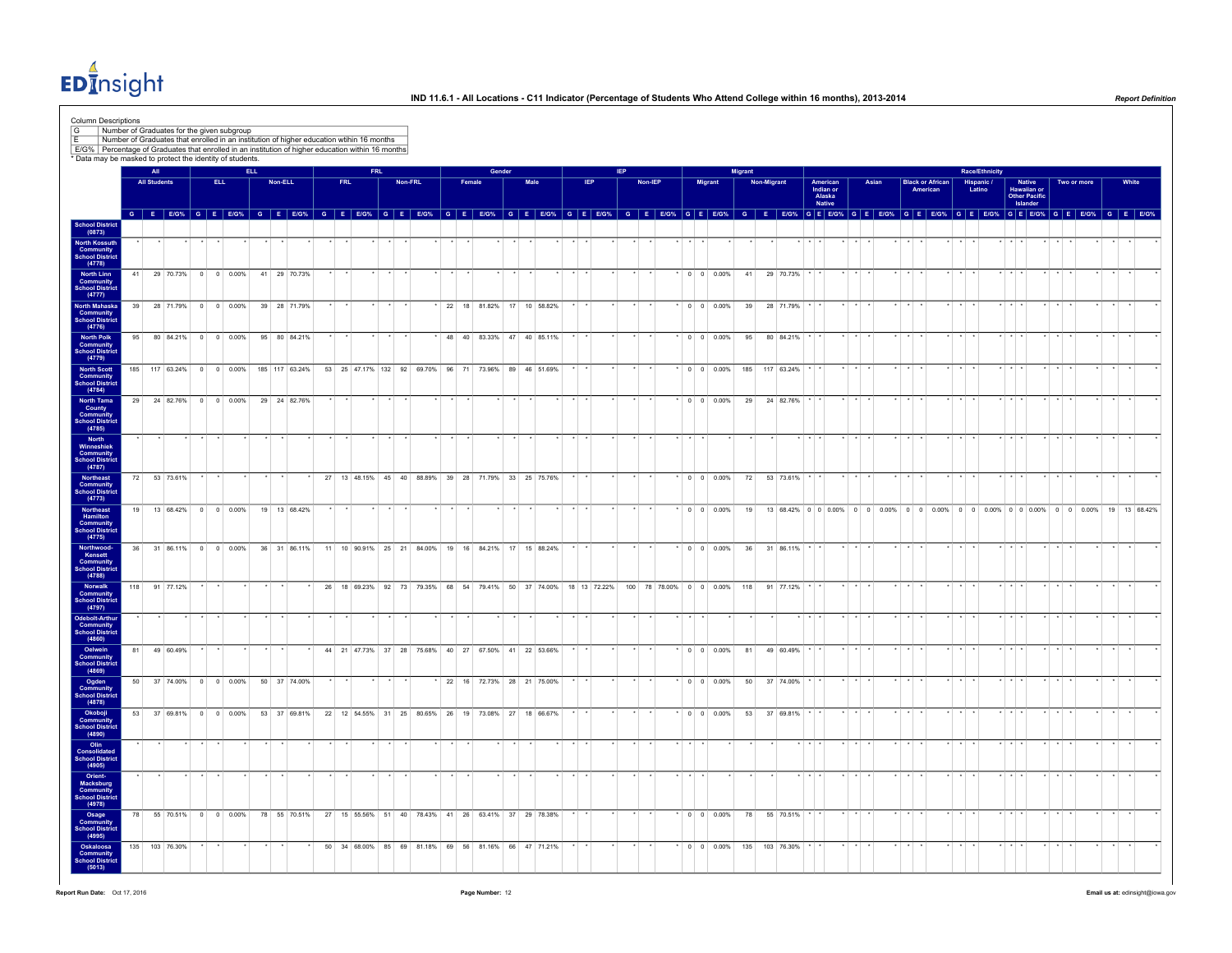$ED<sub>II</sub><sup>4</sup>$ nsight

| Column Descriptions<br>$\boxed{G}$                                                                                                                             |     |                            |                |                |      | Number of Graduates for the given subgroup |            | Number of Graduates that enrolled in an institution of higher education wtihin 16 months |    |                                                      |      |         |                               |        |        |                           |      |  |            |                                                                  |  |                             |                 |         |                              |                |             |               |                 |                               |                      |       |                         |          |                 |         |                                               |                         |                                          |         |                                                                                   |                                                                                  |              |       |  |
|----------------------------------------------------------------------------------------------------------------------------------------------------------------|-----|----------------------------|----------------|----------------|------|--------------------------------------------|------------|------------------------------------------------------------------------------------------|----|------------------------------------------------------|------|---------|-------------------------------|--------|--------|---------------------------|------|--|------------|------------------------------------------------------------------|--|-----------------------------|-----------------|---------|------------------------------|----------------|-------------|---------------|-----------------|-------------------------------|----------------------|-------|-------------------------|----------|-----------------|---------|-----------------------------------------------|-------------------------|------------------------------------------|---------|-----------------------------------------------------------------------------------|----------------------------------------------------------------------------------|--------------|-------|--|
| E/G% Percentage of Graduates that enrolled in an institution of higher education within 16 months<br>* Data may be masked to protect the identity of students. |     |                            |                |                |      |                                            |            |                                                                                          |    |                                                      |      |         |                               |        |        |                           |      |  |            |                                                                  |  |                             |                 |         |                              |                |             |               |                 |                               |                      |       |                         |          |                 |         |                                               |                         |                                          |         |                                                                                   |                                                                                  |              |       |  |
|                                                                                                                                                                |     | All<br><b>All Students</b> |                |                | ELL. |                                            | <b>ELL</b> | Non-ELL                                                                                  |    | <b>FRL</b>                                           | FRI. | Non-FRL |                               | Female | Gender |                           | Male |  | <b>IEP</b> |                                                                  |  | Non-IEP                     |                 |         | Migrant                      | <b>Migrant</b> | Non-Migrant |               |                 | American                      |                      | Asian | <b>Black or African</b> | American |                 |         | <b>Race/Ethnicity</b><br>Hispanic /<br>Latino |                         | Native                                   |         | Two or more                                                                       |                                                                                  |              | White |  |
|                                                                                                                                                                |     |                            |                |                |      |                                            |            | G E E/G% G E E/G% G E E/G% G E E/G% G E E/G% G E E/G% G E E/G% G E E/G% G E E/G%         |    |                                                      |      |         |                               |        |        |                           |      |  |            |                                                                  |  | G E E/G% G E E/G%           |                 |         |                              |                |             |               |                 | Indian or<br>Alaska<br>Native |                      |       |                         |          |                 |         |                                               |                         | Hawaiian or<br>Other Pacific<br>Islander |         |                                                                                   | G E E/G% G E E/G% G E E/G% G E E/G% G E E/G% G E E/G% G E E/G% G E E/G% G E E/G% |              |       |  |
| School District<br>(0873)                                                                                                                                      |     |                            |                |                |      |                                            |            |                                                                                          |    |                                                      |      |         |                               |        |        |                           |      |  |            |                                                                  |  |                             |                 |         |                              |                |             |               |                 |                               |                      |       |                         |          |                 |         |                                               |                         |                                          |         |                                                                                   |                                                                                  |              |       |  |
| North Kossuth<br>Community<br>School District<br>(4778)                                                                                                        |     |                            |                |                |      |                                            |            |                                                                                          |    |                                                      |      |         | $\star$                       |        |        |                           |      |  |            |                                                                  |  |                             | $\star$ $\star$ |         |                              |                |             |               | $x + x + x$     |                               |                      |       | $\star$                 |          | $*$ $*$         |         |                                               | $*$ $*$ $*$             |                                          | $*$ $*$ |                                                                                   |                                                                                  |              |       |  |
| <b>North Linn<br/>Community<br/>School District</b>                                                                                                            | 41  |                            |                |                |      | 29 70.73% 0 0 0.00%                        |            | 41 29 70.73%                                                                             |    |                                                      |      |         |                               |        |        |                           |      |  |            |                                                                  |  |                             |                 |         | $0 \quad 0 \quad 0.00\%$     | 41             |             | 29 70.73%     |                 |                               |                      |       |                         |          |                 |         |                                               |                         |                                          |         |                                                                                   |                                                                                  |              |       |  |
| (4777)<br>North Mahaska<br><b>Community</b><br>School District                                                                                                 | 39  |                            | 28 71.79%      | $\overline{0}$ |      | 0 0.00%                                    |            | 39 28 71.79%                                                                             |    |                                                      |      |         | 22 18 81.82% 17 10 58.82%     |        |        |                           |      |  |            |                                                                  |  |                             |                 |         | $0 \t 0 \t 0.00\%$           | 39             |             | 28 71.79%     |                 |                               |                      |       |                         |          |                 |         |                                               |                         |                                          |         |                                                                                   |                                                                                  |              |       |  |
| (4776)<br>North Polk<br>Community<br>chool District                                                                                                            | 95  |                            |                |                |      | 80 84.21% 0 0 0.00%                        |            | 95 80 84.21%                                                                             |    |                                                      |      |         |                               |        |        | 48 40 83.33% 47 40 85.11% |      |  |            |                                                                  |  |                             |                 |         | $^*$ 0 0 0.00%               | 95             |             | 80 84.21%     |                 |                               |                      |       |                         |          |                 |         |                                               |                         |                                          |         |                                                                                   |                                                                                  |              |       |  |
| (4779)<br><b>North Scott</b><br>Community<br>School District                                                                                                   |     |                            |                |                |      | 185 117 63.24% 0 0 0.00%                   |            | 185 117 63.24%                                                                           |    | 53 25 47.17% 132 92 69.70% 96 71 73.96% 89 46 51.69% |      |         |                               |        |        |                           |      |  |            |                                                                  |  |                             |                 |         | $*$ 0 0 0.00%                | 185            |             | 117 63.24%    |                 |                               |                      |       |                         |          |                 |         |                                               | $\cdot$ $\cdot$ $\cdot$ |                                          |         |                                                                                   |                                                                                  |              |       |  |
| (4784)<br>North Tama<br>County<br>Community                                                                                                                    |     |                            |                |                |      | 29 24 82.76% 0 0 0.00%                     |            | 29 24 82.76%                                                                             |    |                                                      |      |         |                               |        |        |                           |      |  |            |                                                                  |  |                             |                 |         | $\cdot$ 0 0 0.00%            | 29             |             | 24 82.76%     |                 |                               |                      |       |                         |          |                 |         |                                               |                         |                                          |         |                                                                                   |                                                                                  |              |       |  |
| chool District<br>(4785)<br>North                                                                                                                              |     |                            |                |                |      |                                            |            |                                                                                          |    |                                                      |      |         |                               |        |        |                           |      |  |            |                                                                  |  |                             |                 |         |                              |                |             |               |                 |                               |                      |       |                         |          | $\star$         | $\star$ |                                               | $x + x + x$             |                                          |         |                                                                                   |                                                                                  |              |       |  |
| <b>Winneshiek</b><br>Community<br>School District<br>(4787)                                                                                                    |     |                            |                |                |      |                                            |            |                                                                                          |    |                                                      |      |         |                               |        |        |                           |      |  |            |                                                                  |  |                             |                 |         |                              |                |             |               |                 |                               |                      |       |                         |          |                 |         |                                               |                         |                                          |         |                                                                                   |                                                                                  |              |       |  |
| Northeast<br>Community<br><b>School Distric</b><br>(4773)                                                                                                      | 72  |                            | 53 73.61%      |                |      |                                            |            |                                                                                          | 27 | 13 48.15% 45 40 88.89%                               |      |         | 39 28                         |        |        | 71.79% 33 25 75.76%       |      |  |            |                                                                  |  |                             |                 |         | $*$ 0 0 0.00%                | 72             |             | 53 73.61%     |                 |                               |                      |       |                         |          |                 |         |                                               | $\cdots$                |                                          |         |                                                                                   |                                                                                  |              |       |  |
| Northeast<br>Hamilton<br>Community<br>School District<br>(4775)                                                                                                | 19  |                            |                |                |      | 13 68.42% 0 0 0.00%                        |            | 19  13  68.42%                                                                           |    |                                                      |      |         |                               |        |        |                           |      |  |            |                                                                  |  |                             |                 |         | $^*$ 0 0 0.00%               | 19             |             |               |                 |                               |                      |       |                         |          |                 |         |                                               |                         |                                          |         | 13 68.42% 0 0 0 0.00% 0 0 0.00% 0 0 0.00% 0 0 0.00% 0 0 0.00% 0 0 0.00% 0 0 0.00% |                                                                                  | 19 13 68.42% |       |  |
| Northwood-<br>Kensett<br><b>Community</b><br>School District                                                                                                   | 36  |                            | 31 86.11%      |                |      | $0 \t 0 \t 0.00\%$                         |            | 36 31 86.11%                                                                             |    | 11 10 90.91% 25 21 84.00% 19 16 84.21% 17 15 88.24%  |      |         |                               |        |        |                           |      |  |            |                                                                  |  |                             |                 |         | $^*$ 0 0 0.00%               | 36             |             | 31 86.11%     |                 |                               |                      |       |                         |          |                 |         |                                               |                         |                                          |         |                                                                                   |                                                                                  |              |       |  |
| (4788)<br>Norwalk<br><b>Community</b><br><b>School Distric</b>                                                                                                 | 118 |                            | 91 77.12%      |                |      |                                            |            |                                                                                          |    |                                                      |      |         |                               |        |        |                           |      |  |            | 26 18 69.23% 92 73 79.35% 68 54 79.41% 50 37 74.00% 18 13 72.22% |  | 100 78 78.00% 0 0 0.00% 118 |                 |         |                              |                |             | 91 77.12%     |                 |                               |                      |       |                         |          |                 |         |                                               |                         |                                          |         |                                                                                   |                                                                                  |              |       |  |
| (4797)<br>Odebolt-Arthu<br><b>Community</b><br>School District                                                                                                 |     |                            |                |                |      |                                            |            |                                                                                          |    |                                                      |      |         |                               |        |        |                           |      |  |            |                                                                  |  |                             |                 |         |                              |                |             |               |                 |                               |                      |       |                         |          |                 |         |                                               | $\rightarrow$           |                                          |         |                                                                                   |                                                                                  |              |       |  |
| (4860)<br>Oelwein<br>Community                                                                                                                                 | 81  |                            | 49 60 49%      |                |      |                                            |            |                                                                                          |    | 44 21 47.73% 37 28 75.68% 40 27 67.50% 41 22 53.66%  |      |         |                               |        |        |                           |      |  |            |                                                                  |  |                             |                 |         | $00$ 0.00%                   | 81             |             | 49 60.49%     |                 |                               |                      |       |                         |          |                 |         |                                               |                         |                                          |         |                                                                                   |                                                                                  |              |       |  |
| <b>chool District</b><br>(4869)<br>Ogden<br><b>Community</b><br>School District                                                                                |     |                            |                |                |      | 50 37 74.00% 0 0 0.00%                     |            | 50 37 74.00%                                                                             |    |                                                      |      |         | $*$ 22 16 72.73% 28 21 75.00% |        |        |                           |      |  |            |                                                                  |  |                             |                 |         | $*$ 0 0 0.00%                | 50             |             | 37 74.00%     |                 |                               |                      |       |                         |          |                 |         |                                               | $x + x + x$             |                                          |         |                                                                                   |                                                                                  |              |       |  |
| (4878)                                                                                                                                                         | 53  |                            |                |                |      | 37 69.81% 0 0 0.00%                        |            | 53 37 69.81%                                                                             |    | 22 12 54.55% 31 25 80.65% 26 19 73.08% 27 18 66.67%  |      |         |                               |        |        |                           |      |  |            |                                                                  |  |                             |                 |         | $0 0 0.00\%$                 | 53             |             | 37 69.81%     |                 |                               |                      |       |                         |          |                 |         |                                               |                         |                                          |         |                                                                                   |                                                                                  |              |       |  |
| Okoboji<br>Community<br>School District<br>(4890)                                                                                                              |     |                            |                |                |      |                                            |            |                                                                                          |    |                                                      |      |         |                               |        |        |                           |      |  |            |                                                                  |  |                             |                 | $\cdot$ |                              |                |             |               | $\cdot$ $\cdot$ |                               | $\ddot{\phantom{0}}$ |       |                         |          | $\cdot$ $\cdot$ |         |                                               | $\star$ $\star$ $\star$ |                                          |         |                                                                                   |                                                                                  |              |       |  |
| Olin<br>Consolidated<br>School District<br>(4905)                                                                                                              |     |                            |                |                |      |                                            |            |                                                                                          |    |                                                      |      |         |                               |        |        |                           |      |  |            |                                                                  |  |                             |                 |         |                              |                |             |               |                 |                               |                      |       |                         |          |                 |         |                                               |                         |                                          |         |                                                                                   |                                                                                  |              |       |  |
| Orient-<br>Macksburg<br>Community<br><b>School Distric</b><br>(4978)                                                                                           |     |                            |                |                |      |                                            |            |                                                                                          |    |                                                      |      |         |                               |        |        |                           |      |  |            |                                                                  |  |                             |                 |         |                              |                |             |               |                 |                               |                      |       |                         |          |                 |         |                                               |                         |                                          |         |                                                                                   |                                                                                  |              |       |  |
| Osage<br>Community<br>School District<br>(4995)                                                                                                                |     |                            |                |                |      | 78 55 70.51% 0 0 0.00%                     |            | 78 55 70.51%                                                                             |    | 27 15 55.56% 51 40 78.43% 41 26 63.41% 37 29 78.38%  |      |         |                               |        |        |                           |      |  |            |                                                                  |  |                             |                 |         | $*$ 0 0 0.00%                | 78             |             | 55 70.51% * * |                 |                               |                      |       |                         |          |                 |         |                                               | $\cdot$                 |                                          |         |                                                                                   |                                                                                  |              |       |  |
| Oskaloosa<br>Community<br><b>School District</b><br>(5013)                                                                                                     |     |                            | 135 103 76.30% |                |      |                                            |            |                                                                                          |    | 50 34 68.00% 85 69 81.18% 69 81.16% 66 47 71.21%     |      |         |                               |        |        |                           |      |  |            |                                                                  |  |                             |                 |         | $*$ 0 0 0.00% 135 103 76.30% |                |             |               |                 |                               |                      |       |                         |          |                 |         |                                               |                         |                                          |         |                                                                                   |                                                                                  |              |       |  |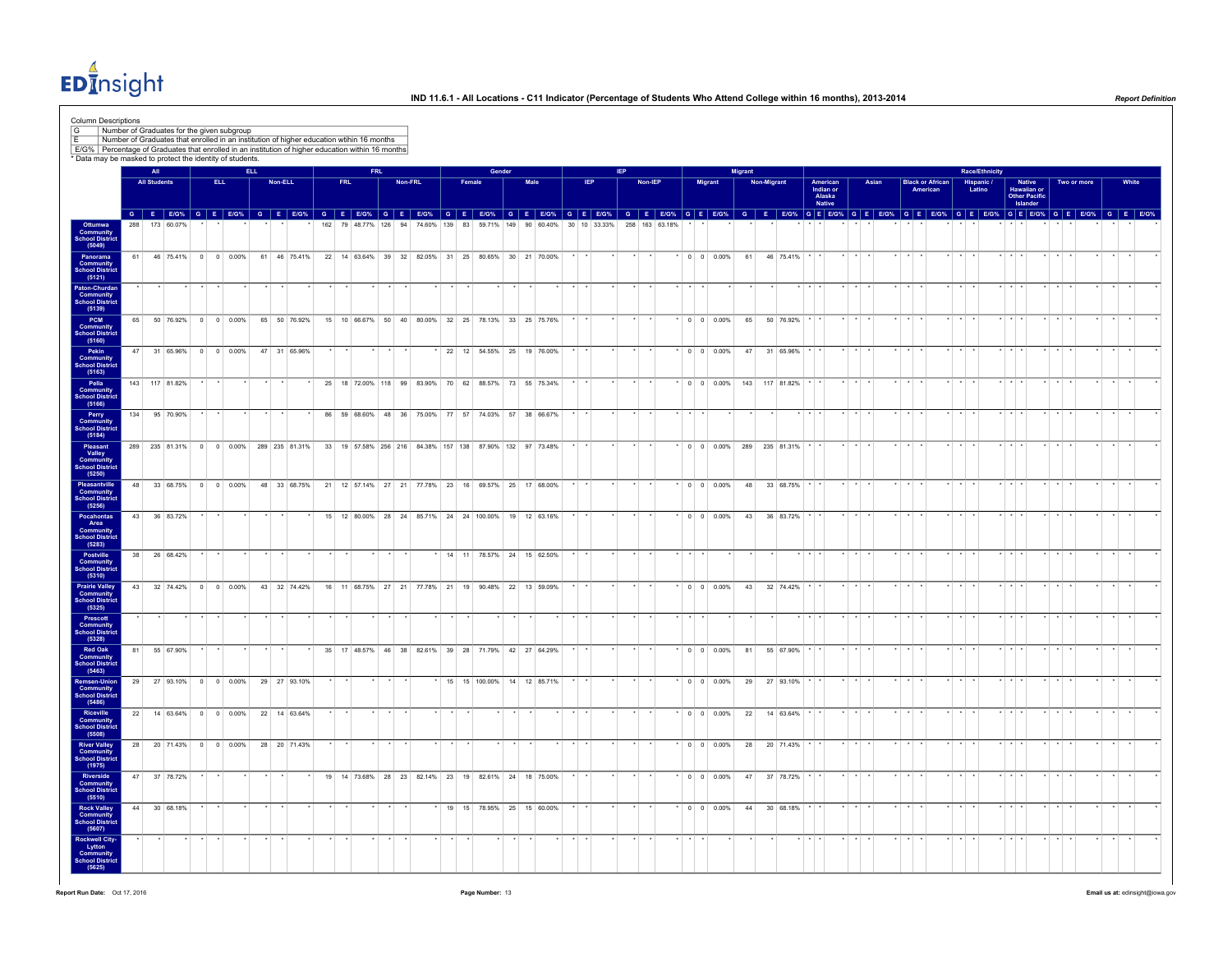$ED<sub>II</sub><sup>4</sup>$ nsight

| Column Descriptions<br>G<br>E<br>E/G% Percentage of Graduates that enrolled in an institution of higher education within 16 months |     |                            |                |      | Number of Graduates for the given subgroup |            |         | Number of Graduates that enrolled in an institution of higher education wtihin 16 months |     |            |            |                                                          |         |         |        |        |      |                              |            |              |         |                |  |         |                          |                |                            |                                           |                 |                                                                      |       |                         |                                     |                 |                                        |                         |                                                    |                         |             |         |                                                                                                                         |  |
|------------------------------------------------------------------------------------------------------------------------------------|-----|----------------------------|----------------|------|--------------------------------------------|------------|---------|------------------------------------------------------------------------------------------|-----|------------|------------|----------------------------------------------------------|---------|---------|--------|--------|------|------------------------------|------------|--------------|---------|----------------|--|---------|--------------------------|----------------|----------------------------|-------------------------------------------|-----------------|----------------------------------------------------------------------|-------|-------------------------|-------------------------------------|-----------------|----------------------------------------|-------------------------|----------------------------------------------------|-------------------------|-------------|---------|-------------------------------------------------------------------------------------------------------------------------|--|
| * Data may be masked to protect the identity of students.                                                                          |     |                            |                |      |                                            |            |         |                                                                                          |     |            |            |                                                          |         |         |        |        |      |                              |            |              |         |                |  |         |                          |                |                            |                                           |                 |                                                                      |       |                         |                                     |                 |                                        |                         |                                                    |                         |             |         |                                                                                                                         |  |
|                                                                                                                                    |     | All<br><b>All Students</b> |                | ELL. |                                            | <b>ELL</b> | Non-ELL |                                                                                          |     | <b>FRL</b> | <b>FRL</b> |                                                          | Non-FRL |         | Female | Gender | Male |                              | <b>IEP</b> |              |         | Non-IEP        |  | Migrant |                          | <b>Migrant</b> | Non-Migrant                | American<br>Indian or<br>Alaska<br>Native |                 |                                                                      | Asian |                         | <b>Black or African</b><br>American |                 | Race/Ethnicity<br>Hispanic /<br>Latino |                         | Native<br>Hawaiian or<br>Other Pacific<br>Islander |                         | Two or more |         | White                                                                                                                   |  |
|                                                                                                                                    | 288 |                            | 173 60 07%     |      |                                            |            |         |                                                                                          | 162 |            |            |                                                          |         |         |        |        |      |                              |            |              |         |                |  |         |                          |                |                            |                                           |                 |                                                                      |       |                         |                                     |                 |                                        |                         |                                                    |                         |             |         | GEEOW GEEOW GEEOW GEEOW GEEOW GEEOW GEEOW GEEOW GEEOW GEEOW GEEOW GEEOW GEEOW GEEOW GEEOW GEEOW GEEOW GEEOW GEEOW GEEOW |  |
| Ottumwa<br>Community<br>School Distric<br>(5049)                                                                                   |     |                            |                |      |                                            |            |         |                                                                                          |     |            |            | 79 48.77% 126 94 74.60% 139 83 59.71% 149 90 60.40%      |         |         |        |        |      |                              |            | 30 10 33.33% |         | 258 163 63.18% |  |         |                          |                |                            |                                           |                 |                                                                      |       |                         |                                     |                 |                                        |                         |                                                    |                         |             |         |                                                                                                                         |  |
| Panorama<br>Community<br>School District<br>(5121)                                                                                 | 61  |                            |                |      | 46 75.41% 0 0 0.00%                        |            |         | 61 46 75.41% 22 14 63.64% 39 32 82.05% 31 25 80.65% 30 21 70.00%                         |     |            |            |                                                          |         |         |        |        |      |                              |            |              |         |                |  |         | * 0 0 0.00%              |                | 61 46 75.41% * *           |                                           |                 | $x \rightarrow x$                                                    |       | $*$ $*$ $*$             |                                     | $*$ $*$         |                                        | $*$ $*$ $*$             |                                                    | $*$ $*$ $*$             |             |         |                                                                                                                         |  |
| Paton-Churdan<br>Community<br>School District<br>(5139)                                                                            |     |                            |                |      |                                            |            |         |                                                                                          |     |            |            |                                                          |         |         |        |        |      |                              |            |              |         |                |  |         |                          |                |                            |                                           |                 |                                                                      |       |                         |                                     |                 |                                        |                         |                                                    |                         |             |         |                                                                                                                         |  |
| PCM<br><b>Community</b><br>School District<br>(5160)                                                                               |     |                            |                |      | 65 50 76.92% 0 0 0.00%                     |            |         | 65 50 76.92%                                                                             |     |            |            | 15 10 66.67% 50 40 80.00% 32 25 78.13% 33 25 75.76%      |         |         |        |        |      |                              |            |              |         |                |  |         | $^*$ 0 0 0.00%           |                | 65 50 76.92%               |                                           |                 |                                                                      |       |                         |                                     |                 |                                        |                         |                                                    |                         |             |         |                                                                                                                         |  |
| Pekin<br>Community<br>School District<br>(5163)                                                                                    | 47  |                            |                |      |                                            |            |         | 31 65.96% 0 0 0.00% 47 31 65.96%                                                         |     |            |            |                                                          |         |         |        |        |      | 22 12 54.55% 25 19 76.00%    |            |              |         |                |  |         |                          |                | 0 0 0.00% 47 31 65.96%     |                                           |                 |                                                                      |       |                         |                                     |                 |                                        |                         |                                                    |                         |             |         |                                                                                                                         |  |
| Pella<br><b>Community</b><br>School District<br>(5166)                                                                             |     |                            | 143 117 81.82% |      |                                            |            |         |                                                                                          |     |            |            | 25 18 72.00% 118 99 83.90% 70 62 88.57% 73 55 75.34%     |         |         |        |        |      |                              |            |              | $\star$ |                |  |         |                          |                | * 0 0 0.00% 143 117 81.82% |                                           |                 | $\left  \cdot \right $ $\left  \cdot \right $ $\left  \cdot \right $ |       | $\star$ $\star$ $\star$ |                                     | $\star$ $\star$ |                                        | $*$ $*$ $*$             |                                                    | $\star$ $\star$ $\star$ |             | $\star$ |                                                                                                                         |  |
| Perry<br>Community<br>School Distric                                                                                               |     |                            | 134 95 70.90%  |      |                                            |            |         |                                                                                          |     |            |            | 86 59 68.60% 48 36 75.00% 77 57 74.03% 57 38 66.67%      |         |         |        |        |      |                              |            |              |         |                |  |         |                          |                |                            |                                           |                 |                                                                      |       |                         |                                     |                 |                                        |                         |                                                    |                         |             |         |                                                                                                                         |  |
| (5184)<br>Pleasant<br>Valley<br>Community<br>School District<br>(5250)                                                             |     |                            |                |      |                                            |            |         | 289 235 81.31% 0 0 0.00% 289 235 81.31%                                                  |     |            |            | 33 19 57.58% 256 216 84.38% 157 138 87.90% 132 97 73.48% |         |         |        |        |      |                              |            |              |         |                |  |         | $0 \t 0 \t 0.00\%$       |                | 289 235 81.31%             |                                           |                 |                                                                      |       |                         |                                     |                 |                                        |                         |                                                    |                         |             |         |                                                                                                                         |  |
| Pleasantville<br>Community<br>School Distric                                                                                       | 48  |                            |                |      | 33 68.75% 0 0 0.00%                        |            |         | 48 33 68.75% 21 12 57.14% 27 21 77.78% 23 16 69.57% 25 17 68.00%                         |     |            |            |                                                          |         |         |        |        |      |                              |            |              |         |                |  |         | $^*$ 0 0 0.00%           |                | 48 33 68.75%               |                                           |                 |                                                                      |       |                         |                                     |                 |                                        |                         |                                                    |                         |             |         |                                                                                                                         |  |
| (5256)<br>Pocahontas<br>Area<br>Community                                                                                          |     |                            | 43 36 83.72%   |      |                                            |            |         |                                                                                          |     |            |            | 15 12 80.00% 28 24 85.71% 24 24 100.00% 19 12 63.16%     |         |         |        |        |      |                              |            |              |         |                |  |         | $\cdot$ 0 0 0.00%        |                | 43 36 83.72%               |                                           |                 |                                                                      |       |                         |                                     |                 |                                        |                         |                                                    |                         |             |         |                                                                                                                         |  |
| <b>School District</b><br>(5283)                                                                                                   |     |                            |                |      |                                            |            |         |                                                                                          |     |            |            |                                                          |         |         |        |        |      |                              |            |              |         |                |  |         |                          |                |                            |                                           |                 |                                                                      |       |                         |                                     |                 |                                        |                         |                                                    |                         |             |         |                                                                                                                         |  |
| Postville<br><b>Community</b><br>School District<br>(5310)                                                                         |     |                            | 38 26 68.42%   |      |                                            |            |         |                                                                                          |     |            |            |                                                          |         |         |        |        |      | * 14 11 78.57% 24 15 62.50%  |            |              |         |                |  |         |                          |                |                            |                                           |                 |                                                                      |       |                         |                                     |                 |                                        |                         |                                                    |                         |             |         |                                                                                                                         |  |
| <b>Prairie Valley<br/>Community<br/>School District</b><br>(5325)                                                                  |     |                            |                |      | 43 32 74.42% 0 0 0.00%                     |            |         | 43 32 74.42%                                                                             |     |            |            | 16 11 68.75% 27 21 77.78% 21 19 90.48% 22 13 59.09%      |         |         |        |        |      |                              |            |              |         |                |  |         |                          |                | 43 32 74.42%               |                                           |                 |                                                                      |       |                         |                                     |                 |                                        |                         |                                                    |                         |             |         |                                                                                                                         |  |
| Prescott<br><b>Community</b><br>School District<br>(5328)                                                                          |     |                            |                |      |                                            |            |         |                                                                                          |     |            |            |                                                          |         |         |        |        |      |                              |            |              |         |                |  |         |                          |                |                            |                                           |                 |                                                                      |       |                         |                                     |                 |                                        |                         |                                                    |                         |             |         |                                                                                                                         |  |
| Red Oak<br><b>Community</b><br>School District<br>(5463)                                                                           | 81  |                            | 55 67.90%      |      |                                            |            |         |                                                                                          |     |            |            | 35 17 48.57% 46 38 82.61% 39 28 71.79% 42 27 64.29%      |         |         |        |        |      |                              |            |              |         |                |  |         | $0 \quad 0 \quad 0.00\%$ |                | 81 55 67.90%               |                                           |                 |                                                                      |       |                         |                                     |                 |                                        |                         |                                                    |                         |             |         |                                                                                                                         |  |
| temsen-Union<br><b>Community</b><br>School District<br>(5486)                                                                      |     |                            |                |      |                                            |            |         | 29 27 93.10% 0 0 0.00% 29 27 93.10%                                                      |     |            |            |                                                          |         |         |        |        |      | * 15 15 100.00% 14 12 85.71% |            |              |         |                |  |         | $*$ 0 0 0.00%            |                | 29 27 93.10%               |                                           | $\cdot$ $\cdot$ |                                                                      |       |                         |                                     |                 |                                        |                         |                                                    |                         |             |         |                                                                                                                         |  |
| Riceville<br>Community<br>School District<br>(5508)                                                                                |     |                            |                |      |                                            |            |         | 22 14 63.64% 0 0 0.00% 22 14 63.64%                                                      |     |            |            |                                                          |         |         |        |        |      |                              |            |              |         |                |  |         |                          |                | 0 0 0.00% 22 14 63.64%     |                                           |                 |                                                                      |       |                         |                                     |                 |                                        |                         |                                                    |                         |             |         |                                                                                                                         |  |
| <b>River Valley<br/>Community<br/>School District</b><br>(1975)                                                                    | 28  |                            |                |      | 20 71.43% 0 0 0.00%                        |            |         | 28 20 71.43%                                                                             |     |            |            |                                                          |         | $\star$ |        |        |      |                              |            |              |         |                |  |         | $0 \t 0 \t 0.00\%$       |                | 28 20 71.43%               |                                           |                 |                                                                      |       |                         |                                     |                 |                                        |                         |                                                    |                         |             |         |                                                                                                                         |  |
| Riverside<br><b>Community</b><br>School Distric                                                                                    |     |                            | 47 37 78.72%   |      |                                            |            |         |                                                                                          |     |            |            | 19 14 73.68% 28 23 82.14% 23 19 82.61% 24 18 75.00%      |         |         |        |        |      |                              |            |              |         |                |  |         |                          |                | $*$ 0 0 0.00% 47 37 78.72% |                                           |                 |                                                                      |       |                         |                                     |                 |                                        |                         |                                                    |                         |             |         |                                                                                                                         |  |
| (5510)<br><b>Rock Valley</b><br>Community<br>School District<br>(5607)                                                             |     |                            | 44 30 68.18%   |      |                                            |            |         |                                                                                          |     |            |            |                                                          |         |         |        |        |      | * 19 15 78.95% 25 15 60.00%  |            |              |         |                |  |         | $*$ 0 0 0.00%            | 44             | 30 68.18%                  |                                           |                 |                                                                      |       |                         |                                     |                 |                                        | $\cdot$ $\cdot$ $\cdot$ |                                                    |                         |             |         |                                                                                                                         |  |
| Rockwell City-<br>Lytton<br>Community<br><b>School District</b><br>(5625)                                                          |     |                            |                |      |                                            |            |         |                                                                                          |     |            |            |                                                          |         |         |        |        |      |                              |            |              |         |                |  |         |                          |                |                            |                                           |                 |                                                                      |       |                         |                                     |                 |                                        |                         |                                                    |                         |             |         |                                                                                                                         |  |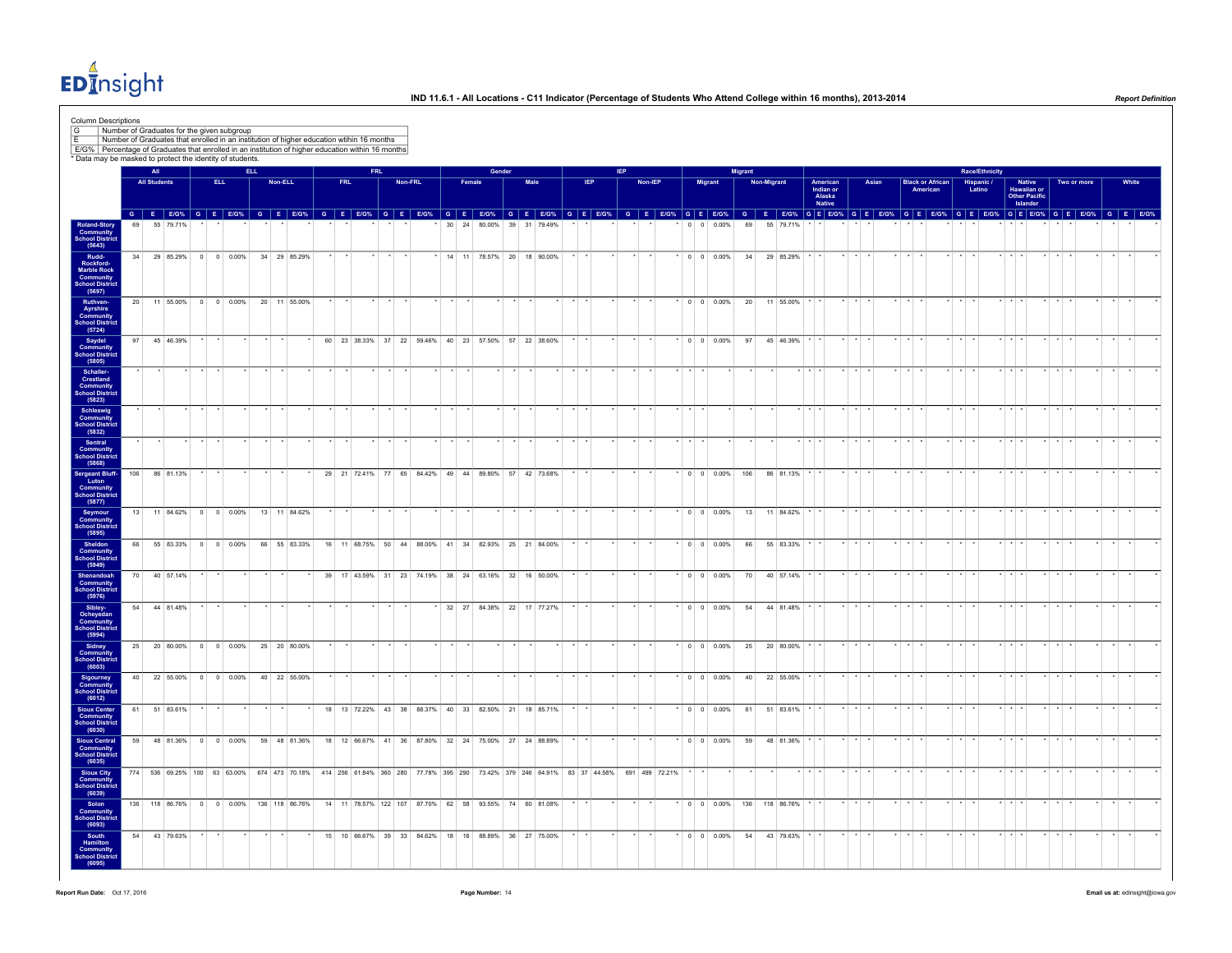$ED<sub>II</sub><sup>4</sup>$ nsight

| Column Descriptions<br>$\sqrt{G}$<br>Number of Graduates for the given subgroup<br>l F<br>E/G% Percentage of Graduates that enrolled in an institution of higher education within 16 months<br>* Data may be masked to protect the identity of students |                 |                     |           |                        |            | Number of Graduates that enrolled in an institution of higher education wtihin 16 months                                      |            |            |         |                                                       |                 |                           |        |    |           |  |     |  |                |                 |                              |                |             |               |             |                                                  |                         |                 |                                     |                 |                       |                         |                                                    |             |       |  |
|---------------------------------------------------------------------------------------------------------------------------------------------------------------------------------------------------------------------------------------------------------|-----------------|---------------------|-----------|------------------------|------------|-------------------------------------------------------------------------------------------------------------------------------|------------|------------|---------|-------------------------------------------------------|-----------------|---------------------------|--------|----|-----------|--|-----|--|----------------|-----------------|------------------------------|----------------|-------------|---------------|-------------|--------------------------------------------------|-------------------------|-----------------|-------------------------------------|-----------------|-----------------------|-------------------------|----------------------------------------------------|-------------|-------|--|
|                                                                                                                                                                                                                                                         |                 | All                 |           |                        | <b>ELL</b> |                                                                                                                               |            | <b>FRL</b> |         |                                                       |                 |                           | Gender |    |           |  |     |  |                |                 |                              | <b>Migrant</b> |             |               |             |                                                  |                         |                 |                                     |                 | <b>Race/Ethnicity</b> |                         |                                                    |             |       |  |
|                                                                                                                                                                                                                                                         |                 | <b>All Students</b> |           | ELL.                   |            | Non-ELL                                                                                                                       | <b>FRL</b> |            | Non-FRL |                                                       |                 | Female                    |        |    | Male      |  | IEP |  | Non-IEP        |                 | Migrant                      |                | Non-Migrant |               |             | American<br>Indian or<br>Alaska<br><b>Native</b> | Asian                   |                 | <b>Black or African</b><br>American |                 | Hispanic /<br>Latino  |                         | Native<br>Hawaiian or<br>Other Pacific<br>Islander | Two or more | White |  |
|                                                                                                                                                                                                                                                         |                 |                     | 55 79 71% |                        |            | GEEOS GEEOS GEEOS GEEOS GEEOS GEEOS GEEOS GEEOS GEEOS GEEOS GEEOS GEEOS GEEOS GEEOS GEEOS GEEOS GEEOS GEEOS GEEOS GEEOS GEEOS |            |            |         |                                                       | 30 <sup>°</sup> | 24                        | 80,00% | 39 | 31 79.49% |  |     |  |                |                 | $0 \t 0 \t 0.00\%$           | 69             |             | 55 79.71%     |             |                                                  |                         |                 |                                     |                 |                       |                         |                                                    |             |       |  |
| Roland-Story<br>Community<br>School District<br>(5643)                                                                                                                                                                                                  |                 |                     |           |                        |            |                                                                                                                               |            |            |         |                                                       |                 |                           |        |    |           |  |     |  |                |                 |                              |                |             |               |             |                                                  |                         |                 |                                     |                 |                       |                         |                                                    |             |       |  |
|                                                                                                                                                                                                                                                         | 34              |                     | 29 85.29% | $0 \t 0 \t 0.00\%$     |            | 34 29 85.29%                                                                                                                  |            |            |         |                                                       |                 | 14 11 78.57% 20 18 90.00% |        |    |           |  |     |  |                |                 | $\cdot$ 0 0 0.00%            | 34             |             | 29 85.29%     |             |                                                  |                         |                 |                                     |                 |                       |                         |                                                    |             |       |  |
| Rudd-<br>Rockford-<br>Marble Rock<br>Community<br>School District<br>(5697)                                                                                                                                                                             |                 |                     |           |                        |            |                                                                                                                               |            |            |         |                                                       |                 |                           |        |    |           |  |     |  |                |                 |                              |                |             |               |             |                                                  |                         |                 |                                     |                 |                       |                         |                                                    |             |       |  |
|                                                                                                                                                                                                                                                         | 20              |                     |           | 11 55.00% 0 0 0.00%    |            | 20 11 55,00%                                                                                                                  |            |            |         |                                                       |                 |                           |        |    |           |  |     |  |                |                 | $*$ 0 0 0.00%                | 20             |             | 11 55.00%     |             |                                                  |                         |                 |                                     |                 |                       |                         |                                                    |             |       |  |
| Ruthven-<br>Ayrshire<br>Community<br>School District<br>(5724)                                                                                                                                                                                          |                 |                     |           |                        |            |                                                                                                                               |            |            |         |                                                       |                 |                           |        |    |           |  |     |  |                |                 |                              |                |             |               |             |                                                  |                         |                 |                                     |                 |                       |                         |                                                    |             |       |  |
| Saydel<br>Community<br><b>School District</b><br>(5805)                                                                                                                                                                                                 | 97              |                     | 45 46.39% |                        |            |                                                                                                                               |            |            |         | 60 23 38.33% 37 22 59.46% 40 23 57.50% 57 22 38.60%   |                 |                           |        |    |           |  |     |  |                |                 | $*$ 0 0 0.00%                |                |             | 97 45 46.39%  |             |                                                  |                         |                 |                                     |                 |                       |                         |                                                    |             |       |  |
| Schaller-<br><b>Crestland</b><br><b>Community</b><br>School District                                                                                                                                                                                    |                 |                     |           |                        |            |                                                                                                                               |            |            |         |                                                       |                 |                           |        |    |           |  |     |  |                |                 |                              |                |             |               |             |                                                  |                         |                 |                                     |                 |                       |                         |                                                    |             |       |  |
| (5823)<br>Schleswig<br>Community                                                                                                                                                                                                                        |                 |                     |           |                        |            |                                                                                                                               |            |            |         |                                                       |                 |                           |        |    |           |  |     |  |                |                 |                              |                |             |               |             |                                                  |                         |                 |                                     |                 |                       |                         |                                                    |             |       |  |
| School District<br>(5832)                                                                                                                                                                                                                               |                 |                     |           |                        |            |                                                                                                                               |            |            |         |                                                       |                 |                           |        |    |           |  |     |  |                |                 |                              |                |             |               |             |                                                  |                         |                 |                                     |                 |                       |                         |                                                    |             |       |  |
| Sentral<br><b>Community</b><br>School District<br>(5868)                                                                                                                                                                                                |                 |                     |           |                        |            |                                                                                                                               |            |            |         |                                                       |                 |                           |        |    |           |  |     |  |                | $\cdot$ $\cdot$ |                              |                |             |               | $*$ $*$ $*$ |                                                  | $\star$ $\star$ $\star$ |                 |                                     | $\star$ $\star$ |                       | $*$ $*$ $*$             |                                                    |             |       |  |
| Sergeant Bluff-<br>Luton                                                                                                                                                                                                                                | 106             |                     | 86 81.13% |                        |            |                                                                                                                               |            |            |         | 29 21 72.41% 77 65 84.42% 49 44 89.80% 57 42 73.68%   |                 |                           |        |    |           |  |     |  |                |                 | $0 \t0 \t0.00\%$ 106         |                |             | 86 81.13%     |             |                                                  |                         |                 |                                     |                 |                       |                         |                                                    |             |       |  |
| Community<br><b>School District</b><br>(5877)                                                                                                                                                                                                           |                 |                     |           |                        |            |                                                                                                                               |            |            |         |                                                       |                 |                           |        |    |           |  |     |  |                |                 |                              |                |             |               |             |                                                  | $\star$ $\star$ $\star$ | $\cdot$ $\cdot$ |                                     |                 |                       | $\cdot$ $\cdot$ $\cdot$ |                                                    |             |       |  |
| Seymour<br>Community<br>School District<br>(5895)                                                                                                                                                                                                       |                 |                     |           | 13 11 84.62% 0 0 0.00% |            | 13 11 84.62%                                                                                                                  |            |            |         |                                                       |                 |                           |        |    |           |  |     |  |                |                 | $*$ 0 0 0.00%                |                |             | 13 11 84.62%  |             |                                                  |                         |                 |                                     |                 |                       |                         |                                                    |             |       |  |
| Sheldon<br>Community<br><b>School District</b><br>(5949)                                                                                                                                                                                                | 66              |                     | 55 83.33% | $0 \t 0 \t 0.00\%$     |            | 66 55 83.33%                                                                                                                  |            |            |         | 16 11 68.75% 50 44 88.00% 41 34 82.93% 25 21 84.00%   |                 |                           |        |    |           |  |     |  |                |                 | $*$ 0 0 0.00%                | 66             |             | 55 83.33%     |             |                                                  |                         |                 |                                     |                 |                       |                         |                                                    |             |       |  |
| Shenandoah<br><b>Community</b><br>School District<br>(5976)                                                                                                                                                                                             | 70              |                     | 40 57.14% |                        |            |                                                                                                                               |            |            |         | 39 17 43.59% 31 23 74.19% 38 24 63.16% 32 16 50.00%   |                 |                           |        |    |           |  |     |  |                |                 | $0 \t 0 \t 0.00\%$           | 70             |             | 40 57.14%     |             |                                                  |                         |                 |                                     |                 |                       |                         |                                                    |             |       |  |
| Sibley-                                                                                                                                                                                                                                                 | 54              |                     | 44 81.48% |                        |            |                                                                                                                               |            |            |         |                                                       |                 | 32 27 84.38% 22 17 77.27% |        |    |           |  |     |  |                |                 | $0 \t 0 \t 0.00\%$           | 54             |             | 44 81.48%     |             |                                                  |                         |                 |                                     |                 |                       |                         |                                                    |             |       |  |
| Ocheyedan<br>Community<br>School District<br>(5994)                                                                                                                                                                                                     |                 |                     |           |                        |            |                                                                                                                               |            |            |         |                                                       |                 |                           |        |    |           |  |     |  |                |                 |                              |                |             |               |             |                                                  |                         |                 |                                     |                 |                       |                         |                                                    |             |       |  |
| Sidney<br>Community                                                                                                                                                                                                                                     | 25              |                     | 20 80.00% | $0 \t 0 \t 0.00\%$     |            | 25 20 80.00%                                                                                                                  |            |            |         |                                                       |                 |                           |        |    |           |  |     |  |                |                 | $0 \t 0 \t 0.00\%$           | 25             |             | 20 80.00%     |             |                                                  |                         |                 |                                     |                 |                       |                         |                                                    |             |       |  |
| School District<br>(6003)                                                                                                                                                                                                                               | 40 <sup>1</sup> |                     |           | 22 55.00% 0 0 0.00%    |            | 40 22 55.00%                                                                                                                  |            |            |         |                                                       |                 |                           |        |    |           |  |     |  |                |                 | $\cdot$ 0 0 0.00%            |                |             | 40 22 55.00%  |             |                                                  |                         |                 |                                     |                 |                       |                         |                                                    |             |       |  |
| Sigourney<br>Community<br><b>School District</b><br>(6012)                                                                                                                                                                                              |                 |                     |           |                        |            |                                                                                                                               |            |            |         |                                                       |                 |                           |        |    |           |  |     |  |                |                 |                              |                |             |               |             |                                                  |                         |                 |                                     |                 |                       |                         |                                                    |             |       |  |
| Sioux Center<br>Community<br>School District<br>(6030)                                                                                                                                                                                                  |                 | 61 51 83.61%        |           |                        |            |                                                                                                                               |            |            |         | 18 13 72.22% 43 38 88.37% 40 33 82.50% 21 18 85.71%   |                 |                           |        |    |           |  |     |  |                |                 | $\cdot$ 0 0 0.00%            |                |             | 61 51 83.61%  |             |                                                  |                         |                 |                                     |                 |                       | $\cdot$ $\cdot$         |                                                    |             |       |  |
| <b>Sioux Central</b><br><b>Community</b><br>School District                                                                                                                                                                                             |                 |                     |           | 59 48 81.36% 0 0 0.00% |            | 59 48 81.36%                                                                                                                  |            |            |         | 18 12 66.67% 41 36 87.80% 32 24 75.00% 27 24 88.89%   |                 |                           |        |    |           |  |     |  |                |                 | $*$ 0 0 0.00%                |                | 59          | 48 81.36% * * |             |                                                  | $\star$                 | $\star$         |                                     | $\star$ $\star$ |                       | $*$ $*$ $*$             |                                                    |             |       |  |
| (6035)<br>Sioux City<br>Community                                                                                                                                                                                                                       |                 |                     |           |                        |            | 774 536 69.25% 100 63 63.00% 674 473 70.18% 414 256 61.84% 360 280 77.78% 395 290 73.42% 379 246 64.91% 83 37 44.58%          |            |            |         |                                                       |                 |                           |        |    |           |  |     |  | 691 499 72.21% |                 |                              |                |             |               |             |                                                  |                         |                 |                                     |                 |                       |                         |                                                    |             |       |  |
| <b>School District</b><br>(6039)                                                                                                                                                                                                                        |                 |                     |           |                        |            |                                                                                                                               |            |            |         |                                                       |                 |                           |        |    |           |  |     |  |                |                 |                              |                |             |               |             |                                                  | $\star$ $\star$ $\star$ | $\star$ $\star$ |                                     | $\cdot$ $\cdot$ |                       | $*$ $*$ $*$             |                                                    |             |       |  |
| Solon<br>Community<br>School District<br>(6093)                                                                                                                                                                                                         |                 |                     |           |                        |            | 136 118 86.76% 0 0 0.00% 136 118 86.76%                                                                                       |            |            |         | 14 11 78.57% 122 107 87.70% 62 58 93.55% 74 60 81.08% |                 |                           |        |    |           |  |     |  |                |                 | $*$ 0 0 0.00% 136 118 86.76% |                |             |               |             |                                                  |                         |                 |                                     |                 |                       |                         |                                                    |             |       |  |
| South<br>Hamilton<br>Community<br><b>School District</b><br>(6095)                                                                                                                                                                                      |                 | 54 43 79.63%        |           |                        |            |                                                                                                                               |            |            |         | 15 10 66.67% 39 33 84.62% 18 16 88.89% 36 27 75.00%   |                 |                           |        |    |           |  |     |  |                |                 | $0 \t 0 \t 0.00\%$           | 54             |             | 43 79.63%     |             |                                                  |                         |                 |                                     |                 |                       |                         |                                                    |             |       |  |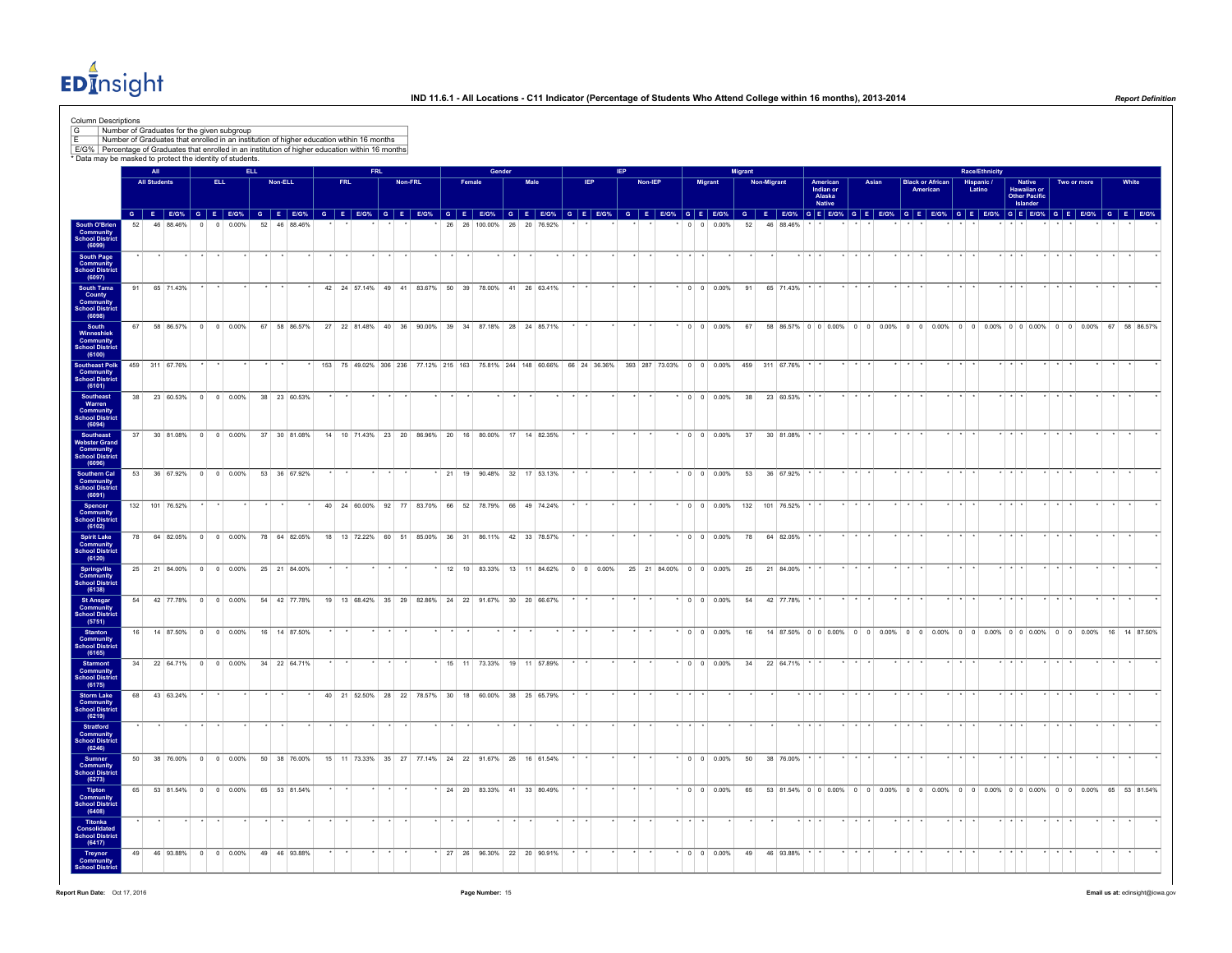

| Column Descriptions<br>G<br>E/G% Percentage of Graduates that enrolled in an institution of higher education within 16 months |    |                     |                |          | Number of Graduates for the given subgroup<br>Number of Graduates that enrolled in an institution of higher education wtihin 16 months                                                                                         |            |         |              |            |            |         |                           |        |               |                                                     |              |  |                          |  |                |                 |                      |                                                                                                                   |                |                    |                     |                                 |                         |                    |                |                                     |                 |                       |                    |                                        |                |                                                                                                |       |              |
|-------------------------------------------------------------------------------------------------------------------------------|----|---------------------|----------------|----------|--------------------------------------------------------------------------------------------------------------------------------------------------------------------------------------------------------------------------------|------------|---------|--------------|------------|------------|---------|---------------------------|--------|---------------|-----------------------------------------------------|--------------|--|--------------------------|--|----------------|-----------------|----------------------|-------------------------------------------------------------------------------------------------------------------|----------------|--------------------|---------------------|---------------------------------|-------------------------|--------------------|----------------|-------------------------------------|-----------------|-----------------------|--------------------|----------------------------------------|----------------|------------------------------------------------------------------------------------------------|-------|--------------|
| * Data may be masked to protect the identity of students.                                                                     |    | All                 |                |          |                                                                                                                                                                                                                                | <b>ELL</b> |         |              |            | <b>FRL</b> |         |                           |        | Gender        |                                                     |              |  |                          |  |                |                 |                      |                                                                                                                   | <b>Migrant</b> |                    |                     |                                 |                         |                    |                |                                     |                 | <b>Race/Ethnicity</b> |                    |                                        |                |                                                                                                |       |              |
|                                                                                                                               |    | <b>All Students</b> |                |          | ELL.                                                                                                                                                                                                                           |            | Non-ELL |              | <b>FRL</b> |            | Non-FRL |                           | Female |               |                                                     | Male         |  | <b>IEP</b>               |  | <b>Non-IEP</b> |                 |                      | <b>Migrant</b>                                                                                                    |                | <b>Non-Migrant</b> |                     | American<br>Indian or<br>Alaska |                         | Asian              |                | <b>Black or African</b><br>American |                 | Hispanic /<br>Latino  |                    | Native<br>Hawaiian or<br>Other Pacific |                | Two or more                                                                                    | White |              |
|                                                                                                                               |    |                     |                |          | G E EIG% G E EIG% G E EIG% G E EIG% G E EIG% G E EIG% G E EIG% G E EIG% G E EIG% G E EIG% G E EIG% G E EIG% G E EIG% G E EIG% G E EIG% G E EIG% G E EIG% G E EIG% G E EIG% G E EIG% G E EIG% G E EIG% G E EIG% G E EIG% G E EI |            |         |              |            |            |         |                           |        |               |                                                     |              |  |                          |  |                |                 |                      |                                                                                                                   |                |                    |                     | <b>Native</b>                   |                         |                    |                |                                     |                 |                       |                    | Islander                               |                |                                                                                                |       |              |
| South O'Brien<br>Community<br>School District<br>(6099)                                                                       | 52 |                     | 46 88 46%      | $\Omega$ | 0.00%<br>$\Omega$                                                                                                                                                                                                              |            |         | 52 46 88 46% |            |            |         |                           |        | 26 26 100.00% |                                                     | 26 20 76.92% |  |                          |  |                |                 | $\Omega$<br>$\Omega$ | 0.00%                                                                                                             | 52             |                    | 46 88 46%           |                                 |                         |                    |                |                                     |                 |                       |                    |                                        |                |                                                                                                |       |              |
| <b>South Page<br/>Community<br/>School District</b>                                                                           |    |                     |                |          |                                                                                                                                                                                                                                |            |         |              |            |            |         |                           |        |               |                                                     |              |  |                          |  |                |                 |                      |                                                                                                                   |                |                    |                     |                                 |                         |                    |                |                                     |                 |                       |                    |                                        |                |                                                                                                |       |              |
| (6097)                                                                                                                        |    |                     |                |          |                                                                                                                                                                                                                                |            |         |              |            |            |         |                           |        |               |                                                     |              |  |                          |  |                |                 |                      |                                                                                                                   |                |                    |                     |                                 |                         |                    |                |                                     |                 |                       |                    |                                        |                |                                                                                                |       |              |
| South Tama<br>County<br>Community<br>School District                                                                          | 91 |                     | 65 71.43%      |          |                                                                                                                                                                                                                                |            |         |              |            |            |         |                           |        |               | 42 24 57.14% 49 41 83.67% 50 39 78.00% 41 26 63.41% |              |  |                          |  |                |                 |                      | $0 0 0.00\%$                                                                                                      | 91             |                    | 65 71.43%           |                                 |                         |                    |                |                                     |                 |                       |                    |                                        |                |                                                                                                |       |              |
| (6098)<br>South                                                                                                               | 67 |                     | 58 86.57%      |          | $0 \quad 0 \quad 0.00\%$                                                                                                                                                                                                       |            |         | 67 58 86.57% |            |            |         | 27 22 81.48% 40 36 90.00% |        | 39 34 87.18%  |                                                     | 28 24 85.71% |  |                          |  |                |                 |                      | $0 0 0.00\%$                                                                                                      | 67             |                    |                     |                                 |                         |                    |                |                                     |                 |                       |                    |                                        |                | 58 86.57% 0 0 0 0.00% 0 0 0.00% 0 0 0.00% 0 0 0.00% 0 0 0.00% 0 0 0.00% 0 0 0.00% 67 58 86.57% |       |              |
| Vinneshiek<br>Community<br>School District<br>(6100)                                                                          |    |                     |                |          |                                                                                                                                                                                                                                |            |         |              |            |            |         |                           |        |               |                                                     |              |  |                          |  |                |                 |                      |                                                                                                                   |                |                    |                     |                                 |                         |                    |                |                                     |                 |                       |                    |                                        |                |                                                                                                |       |              |
| Southeast Polk<br><b>Community</b><br>School District                                                                         |    |                     | 459 311 67.76% |          |                                                                                                                                                                                                                                |            |         |              |            |            |         |                           |        |               |                                                     |              |  |                          |  |                |                 |                      | 153 75 49.02% 306 236 77.12% 215 163 75.81% 244 148 60.66% 66 24 36.36% 393 287 73.03% 0 0 0 0.00% 459 311 67.76% |                |                    |                     |                                 |                         |                    |                |                                     |                 |                       |                    |                                        |                |                                                                                                |       |              |
| (6101)<br><b>Southeast</b>                                                                                                    | 38 |                     |                |          | 23 60.53% 0 0 0.00%                                                                                                                                                                                                            |            |         | 38 23 60.53% |            |            |         |                           |        |               |                                                     |              |  |                          |  |                |                 |                      | $0 \t 0 \t 0.00\%$                                                                                                | 38             |                    | 23 60.53%           |                                 |                         |                    |                |                                     |                 |                       |                    |                                        |                |                                                                                                |       |              |
| Warren<br>Community<br>School District<br>(6094)                                                                              |    |                     |                |          |                                                                                                                                                                                                                                |            |         |              |            |            |         |                           |        |               |                                                     |              |  |                          |  |                |                 |                      |                                                                                                                   |                |                    |                     |                                 |                         |                    |                |                                     |                 |                       |                    |                                        |                |                                                                                                |       |              |
| Southeast<br>Webster Grand                                                                                                    | 37 |                     | 30 81.08%      |          | $0 \t 0 \t 0.00\%$                                                                                                                                                                                                             |            |         | 37 30 81.08% |            |            |         |                           |        |               | 14 10 71.43% 23 20 86.96% 20 16 80.00% 17 14 82.35% |              |  |                          |  |                |                 |                      | $0 \t 0 \t 0.00\%$                                                                                                | 37             |                    | 30 81.08%           |                                 |                         |                    |                |                                     |                 |                       |                    |                                        |                |                                                                                                |       |              |
| <b>Community</b><br>School District<br>(6096)                                                                                 |    |                     |                |          |                                                                                                                                                                                                                                |            |         |              |            |            |         |                           |        |               |                                                     |              |  |                          |  |                |                 |                      |                                                                                                                   |                |                    |                     |                                 |                         |                    |                |                                     |                 |                       |                    |                                        |                |                                                                                                |       |              |
| Southern Cal<br><b>Community</b><br>School District                                                                           |    |                     |                |          | 53 36 67.92% 0 0 0.00% 53 36 67.92%                                                                                                                                                                                            |            |         |              |            |            |         |                           |        |               | * 21 19 90.48% 32 17 53.13%                         |              |  |                          |  |                |                 |                      | $\cdot$ 0 0 0.00%                                                                                                 |                |                    | 53 36 67.92%        |                                 |                         |                    |                |                                     |                 |                       |                    |                                        |                |                                                                                                |       |              |
| (6091)<br>Spencer<br>Community                                                                                                |    |                     | 132 101 76.52% |          |                                                                                                                                                                                                                                |            |         |              |            |            |         |                           |        |               | 40 24 60.00% 92 77 83.70% 66 52 78.79% 66 49 74.24% |              |  |                          |  |                |                 |                      | $0 0 0.00\%$                                                                                                      | 132            |                    | 101 76.52%          |                                 |                         |                    |                |                                     |                 |                       |                    |                                        |                |                                                                                                |       |              |
| School Distric<br>(6102)                                                                                                      |    |                     | 78 64 82.05%   |          | $0 \t 0 \t 0.00\%$                                                                                                                                                                                                             |            |         | 78 64 82.05% |            |            |         |                           |        |               | 18 13 72.22% 60 51 85.00% 36 31 86.11% 42 33 78.57% |              |  |                          |  |                |                 |                      | $\cdot$ 0 0 0.00%                                                                                                 | 78             |                    | 64 82.05%           |                                 |                         |                    |                |                                     |                 |                       |                    |                                        |                |                                                                                                |       |              |
| <b>Spirit Lake</b><br>Community<br>School District<br>(6120)                                                                  |    |                     |                |          |                                                                                                                                                                                                                                |            |         |              |            |            |         |                           |        |               |                                                     |              |  |                          |  |                |                 |                      |                                                                                                                   |                |                    |                     |                                 |                         |                    |                |                                     |                 |                       |                    |                                        |                |                                                                                                |       |              |
| <b>Springville</b><br>Community<br>chool District                                                                             | 25 |                     |                |          | 21 84.00% 0 0 0.00%                                                                                                                                                                                                            |            |         | 25 21 84 00% |            |            |         |                           |        |               | 12 10 83 33% 13 11 84 62%                           |              |  | $0 \quad 0 \quad 0.00\%$ |  |                |                 |                      | $25$ 21 84 00% 0 0 0 00%                                                                                          | 25             |                    | 21 84 00%           |                                 |                         |                    |                |                                     |                 |                       |                    |                                        |                |                                                                                                |       |              |
| (6138)<br><b>St Ansgar</b>                                                                                                    |    |                     |                |          | 54 42 77.78% 0 0 0.00%                                                                                                                                                                                                         |            |         | 54 42 77.78% |            |            |         |                           |        |               | 19 13 68.42% 35 29 82.86% 24 22 91.67% 30 20 66.67% |              |  |                          |  |                |                 |                      | $*$ 0 0 0.00%                                                                                                     | 54             |                    | 42 77.78% * *       |                                 | $\cdot$ $\cdot$ $\cdot$ |                    |                |                                     | $\star$ $\star$ |                       |                    |                                        |                |                                                                                                |       |              |
| <b>Community</b><br>School District<br>(5751)                                                                                 |    |                     |                |          |                                                                                                                                                                                                                                |            |         |              |            |            |         |                           |        |               |                                                     |              |  |                          |  |                |                 |                      |                                                                                                                   |                |                    |                     |                                 |                         |                    |                |                                     |                 |                       |                    |                                        |                |                                                                                                |       |              |
| <b>Stanton</b><br><b>Community</b><br><b>School District</b>                                                                  | 16 |                     |                |          | 14 87.50% 0 0 0.00%                                                                                                                                                                                                            |            |         | 16 14 87.50% |            |            |         |                           |        |               |                                                     |              |  |                          |  |                |                 |                      | $0 \t 0 \t 0.00\%$                                                                                                | 16             |                    |                     |                                 |                         |                    |                |                                     |                 |                       |                    |                                        |                | 14 87.50% 0 0 0.00% 0 0 0.00% 0 0 0.00% 0 0 0.00% 0 0 0.00% 0 0 0.00% 16 14 87.50%             |       |              |
| (6165)<br>Starmont<br>Community<br>School District                                                                            |    |                     |                |          | 34 22 64.71% 0 0 0.00%                                                                                                                                                                                                         |            |         | 34 22 64.71% |            |            |         |                           |        |               | * 15 11 73.33% 19 11 57.89%                         |              |  |                          |  |                |                 |                      | $*$ 0 0 0.00%                                                                                                     | 34             |                    | 22 64.71% * *       |                                 |                         |                    |                |                                     |                 |                       |                    |                                        |                |                                                                                                |       |              |
| (6175)                                                                                                                        | 68 |                     | 43 63.24%      |          |                                                                                                                                                                                                                                |            |         |              |            |            |         |                           |        |               | 40 21 52.50% 28 22 78.57% 30 18 60.00% 38 25 65.79% |              |  |                          |  |                |                 |                      |                                                                                                                   |                |                    |                     |                                 |                         |                    |                |                                     |                 |                       |                    |                                        |                |                                                                                                |       |              |
| Storm Lake<br>Community<br>School District<br>(6219)                                                                          |    |                     |                |          |                                                                                                                                                                                                                                |            |         |              |            |            |         |                           |        |               |                                                     |              |  |                          |  |                |                 |                      |                                                                                                                   |                |                    |                     |                                 |                         |                    |                |                                     |                 |                       |                    |                                        |                |                                                                                                |       |              |
| <b>Stratford</b><br><b>Community</b><br>School District<br>(6246)                                                             |    |                     |                |          |                                                                                                                                                                                                                                |            |         |              |            |            |         |                           |        |               |                                                     |              |  |                          |  |                | $\cdot$ $\cdot$ |                      |                                                                                                                   |                |                    |                     |                                 |                         |                    |                |                                     | $\star$ $\star$ |                       |                    | $\cdots$                               |                |                                                                                                |       |              |
|                                                                                                                               | 50 |                     | 38 76 00%      |          | $0 \t 0 \t 0.00\%$                                                                                                                                                                                                             |            |         | 50 38 76,00% |            |            |         |                           |        |               | 15 11 73.33% 35 27 77.14% 24 22 91.67% 26 16 61.54% |              |  |                          |  |                |                 |                      | $0 0 0.00\%$                                                                                                      | 50             |                    | 38 76.00%           |                                 |                         |                    |                |                                     |                 |                       |                    |                                        |                |                                                                                                |       |              |
| Sumner<br>Community<br>School District<br>(6273)                                                                              |    |                     |                |          |                                                                                                                                                                                                                                |            |         |              |            |            |         |                           |        |               |                                                     |              |  |                          |  |                |                 |                      |                                                                                                                   |                |                    |                     |                                 |                         |                    |                |                                     |                 |                       |                    |                                        |                |                                                                                                |       |              |
| <b>Tipton</b><br>Community<br>School District<br>(6408)                                                                       | 65 |                     | 53 81.54%      |          | $0 \t 0 \t 0.00\%$                                                                                                                                                                                                             | 65         |         | 53 81.54%    |            |            |         |                           |        |               | 24 20 83.33% 41 33 80.49%                           |              |  |                          |  |                |                 |                      | $0 \quad 0 \quad 0.00\%$                                                                                          | 65             |                    | 53 81.54% 0 0 0.00% |                                 |                         | $0 \t 0 \t 0.00\%$ | 0 <sub>0</sub> | 0.00%                               | 0 <sub>0</sub>  |                       | $0.00\%$ 0 0 0.00% |                                        | 0 <sub>0</sub> | 0.00%                                                                                          |       | 65 53 81.54% |
| Titonka<br>Consolidated                                                                                                       |    |                     |                |          |                                                                                                                                                                                                                                |            |         |              |            |            |         |                           |        |               |                                                     |              |  |                          |  |                |                 |                      |                                                                                                                   |                |                    |                     |                                 |                         |                    |                |                                     |                 |                       |                    |                                        |                |                                                                                                |       |              |
| <b>School District</b><br>(6417)<br><b>Treynor</b>                                                                            | 49 |                     | 46 93.88%      | $\circ$  | $0 \ 0.00\%$                                                                                                                                                                                                                   | 49         |         | 46 93.88%    |            |            |         |                           |        |               | 27 26 96.30% 22 20 90.91%                           |              |  |                          |  |                |                 |                      | $*$ 0 0 0.00%                                                                                                     | 49             |                    | 46 93.88%           |                                 |                         |                    |                |                                     |                 |                       |                    |                                        |                |                                                                                                |       |              |
| Community<br>chool Distr                                                                                                      |    |                     |                |          |                                                                                                                                                                                                                                |            |         |              |            |            |         |                           |        |               |                                                     |              |  |                          |  |                |                 |                      |                                                                                                                   |                |                    |                     |                                 |                         |                    |                |                                     |                 |                       |                    |                                        |                |                                                                                                |       |              |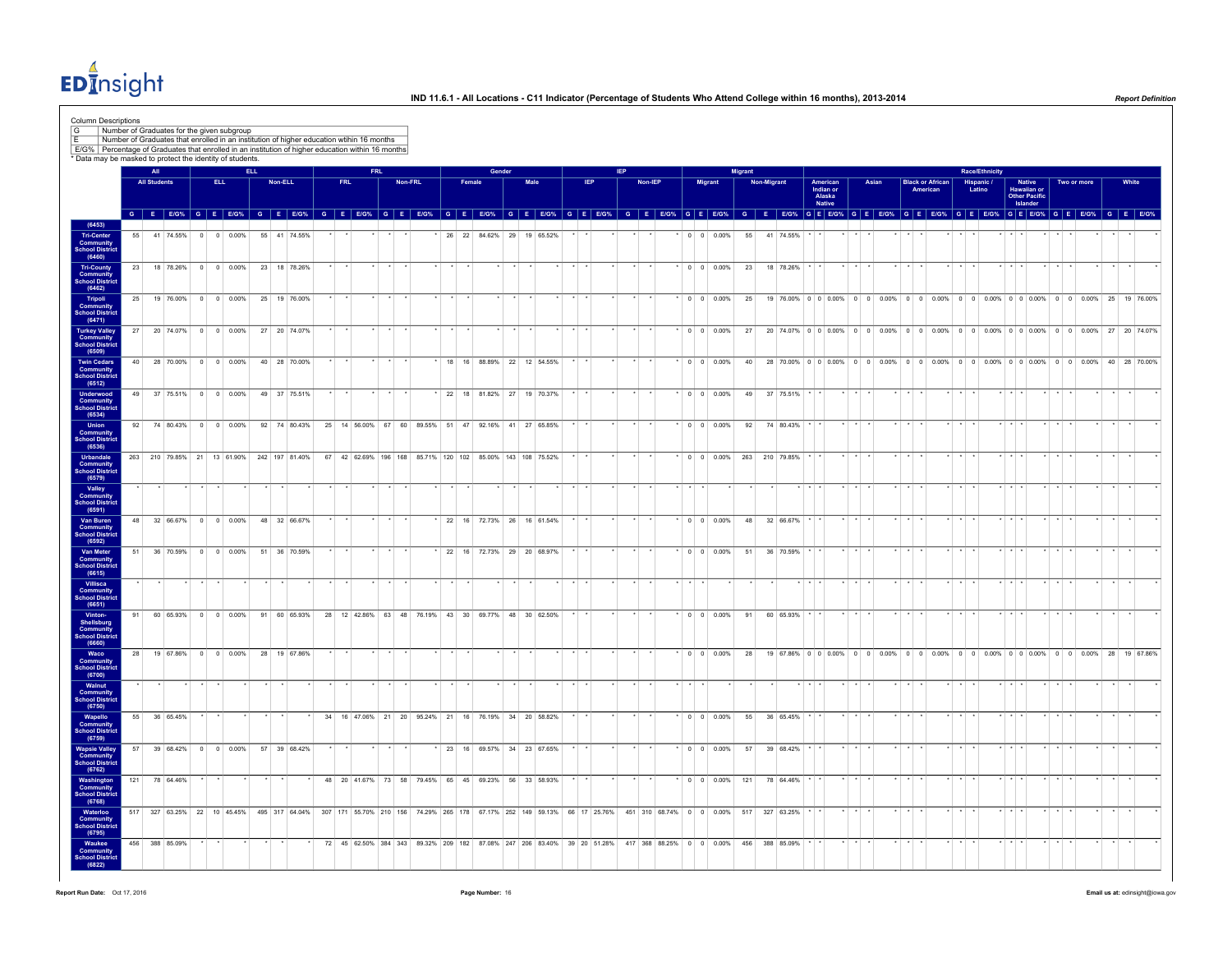$ED<sub>II</sub><sup>4</sup>$ nsight

| * Data may be masked to protect the identity of students. |                 |                     |                |                             |     | Number of Graduates that enrolled in an institution of higher education wtihin 16 months<br>E/G% Percentage of Graduates that enrolled in an institution of higher education within 16 months |  |     |     |         |    |              |        |                                                                                                                |           |            |  |         |                 |                       |     |             |                |             |                               |       |                 |                         |         |                                                                                       |                         |                                          |                 |             |  |         |
|-----------------------------------------------------------|-----------------|---------------------|----------------|-----------------------------|-----|-----------------------------------------------------------------------------------------------------------------------------------------------------------------------------------------------|--|-----|-----|---------|----|--------------|--------|----------------------------------------------------------------------------------------------------------------|-----------|------------|--|---------|-----------------|-----------------------|-----|-------------|----------------|-------------|-------------------------------|-------|-----------------|-------------------------|---------|---------------------------------------------------------------------------------------|-------------------------|------------------------------------------|-----------------|-------------|--|---------|
|                                                           |                 | All                 |                |                             | EU. |                                                                                                                                                                                               |  |     |     |         |    |              | Gender |                                                                                                                |           |            |  |         |                 |                       |     |             |                |             |                               |       |                 |                         |         |                                                                                       |                         |                                          |                 |             |  |         |
|                                                           |                 | <b>All Students</b> |                | <b>ELL</b>                  |     | Non-ELL                                                                                                                                                                                       |  | FRL | FRL | Non-FRL |    | Female       |        |                                                                                                                | Male      | <b>IEP</b> |  | Non-IEP |                 | Migrant               |     | Non-Migrant |                |             | American                      | Asian | <b>American</b> | <b>Black or African</b> |         | <b>Race/Ethnicity</b><br>Hispanic /<br>Latino                                         |                         | <b>Native</b>                            |                 | Two or more |  | White   |
|                                                           |                 |                     |                |                             |     |                                                                                                                                                                                               |  |     |     |         |    |              |        |                                                                                                                |           |            |  |         |                 |                       |     |             |                |             | Indian or<br>Alaska<br>Native |       |                 |                         |         |                                                                                       |                         | Hawaiian or<br>Other Pacific<br>Islander |                 |             |  |         |
|                                                           |                 |                     |                |                             |     | G E E/G% G E E/G% G E E/G% G E E/G% G E E/G% G E E/G% G E E/G% G E E/G% G E E/G%                                                                                                              |  |     |     |         |    |              |        |                                                                                                                |           |            |  |         |                 | G E E/G% G E E/G%     |     |             |                |             |                               |       |                 |                         |         | G E EIG% G E EIG% G E EIG% G E EIG% G E EIG% G E EIG% G E EIG% G E EIG%               |                         |                                          |                 |             |  |         |
| <b>Tri-Center</b><br>55<br>Community<br>School Distric    |                 | 41 74.55%           | $\overline{0}$ | $0 0.00\%$                  |     | 55 41 74.55%                                                                                                                                                                                  |  |     |     |         |    | 26 22 84.62% |        | 29                                                                                                             | 19 65.52% |            |  |         |                 | $0 \t 0 \t 0.00\%$    | 55  |             | 41 74.55%      |             |                               |       |                 |                         |         |                                                                                       |                         |                                          |                 |             |  |         |
| <b>Tri-County</b>                                         | 23              |                     |                | 18 78.26% 0 0 0.00%         |     | 23 18 78.26%                                                                                                                                                                                  |  |     |     |         |    |              |        |                                                                                                                |           |            |  |         |                 | $\cdot$ 0 0 0.00%     | 23  |             | 18 78.26%      |             |                               |       |                 |                         |         |                                                                                       |                         |                                          |                 |             |  |         |
| <b>Community</b><br>School District                       | 25              |                     |                | 19 76.00% 0 0 0.00%         |     | 25 19 76.00%                                                                                                                                                                                  |  |     |     |         |    |              |        |                                                                                                                |           |            |  |         |                 | * o o on%             | 25  |             |                |             |                               |       |                 |                         |         | 19 76.00% 0 0 0.00% 0 0 0.00% 0 0 0.00% 0 0 0.00% 0 0 0.00% 0 0 0.00% 25 19 76.00%    |                         |                                          |                 |             |  |         |
| Tripoli<br>Community<br>School District                   |                 |                     |                |                             |     |                                                                                                                                                                                               |  |     |     |         |    |              |        |                                                                                                                |           |            |  |         |                 |                       |     |             |                |             |                               |       |                 |                         |         |                                                                                       |                         |                                          |                 |             |  |         |
| <b>Turkey Valley</b><br>Community<br>School District      | 27              |                     |                | 20 74.07% 0 0 0.00%         |     | 27 20 74.07%                                                                                                                                                                                  |  |     |     |         |    |              |        |                                                                                                                |           |            |  |         |                 | $\cdot$ 0 0 0.00%     | 27  |             |                |             |                               |       |                 |                         |         | 20 74.07% 0 0 0.00% 0 0 0.00% 0 0 0.00% 0 0 0.00% 0 0 0.00% 0 0 0.00% 27 20 74.07%    |                         |                                          |                 |             |  |         |
| <b>Twin Cedars</b>                                        | 40 <sup>1</sup> |                     |                | 28 70.00% 0 0 0.00%         |     | 40 28 70.00%                                                                                                                                                                                  |  |     |     |         |    |              |        | 18 16 88.89% 22 12 54.55%                                                                                      |           |            |  |         |                 | $\cdot$ 0 0 0.00%     |     |             |                |             |                               |       |                 |                         |         | 40 28 70.00% 0 0 0.00% 0 0 0.00% 0 0 0.00% 0 0 0.00% 0 0 0.00% 0 0 0.00% 40 28 70.00% |                         |                                          |                 |             |  |         |
| <b>Community</b><br>School District<br>Underwood<br>49    |                 |                     |                | 37 75.51% 0 0 0.00%         |     | 49 37 75.51%                                                                                                                                                                                  |  |     |     |         |    |              |        | 22 18 81.82% 27 19 70.37%                                                                                      |           |            |  |         |                 | $*$ 0 0 0.00%         | 49  |             | 37 75.51%      |             |                               |       |                 |                         |         |                                                                                       |                         |                                          |                 |             |  |         |
| <b>Community</b><br>School Distric                        |                 |                     |                |                             |     |                                                                                                                                                                                               |  |     |     |         |    |              |        |                                                                                                                |           |            |  |         |                 |                       |     |             |                |             |                               |       |                 |                         |         |                                                                                       |                         |                                          |                 |             |  |         |
| Union<br>Community<br>School District                     | 92              |                     |                | 74 80.43% 0 0 0.00%         |     | 92 74 80.43%                                                                                                                                                                                  |  |     |     |         |    |              |        | 25 14 56.00% 67 60 89.55% 51 47 92.16% 41 27 65.85%                                                            |           |            |  |         |                 | $\cdot$ 0 0 0.00%     | 92  |             | 74 80.43%      |             |                               |       |                 |                         |         |                                                                                       |                         |                                          |                 |             |  |         |
| <b>Urbandale</b><br>Community                             |                 |                     |                | 263 210 79.85% 21 13 61.90% |     | 242 197 81.40%                                                                                                                                                                                |  |     |     |         |    |              |        | 67 42 62.69% 196 168 85.71% 120 102 85.00% 143 108 75.52%                                                      |           |            |  |         |                 | $\cdot$ 0 0 0.00%     |     |             | 263 210 79.85% |             |                               |       |                 |                         |         |                                                                                       |                         |                                          |                 |             |  |         |
| <b>School District</b>                                    |                 |                     |                |                             |     |                                                                                                                                                                                               |  |     |     |         |    |              |        |                                                                                                                |           |            |  |         |                 |                       |     |             |                |             |                               |       |                 |                         |         |                                                                                       | $x + x + x$             |                                          |                 |             |  |         |
| <b>Community</b><br>School District                       |                 |                     |                |                             |     |                                                                                                                                                                                               |  |     |     |         |    |              |        |                                                                                                                |           |            |  |         |                 |                       |     |             |                |             |                               |       |                 |                         |         |                                                                                       |                         |                                          |                 |             |  |         |
| Van Buren<br>Community<br>School District                 | 48              |                     |                | 32 66.67% 0 0 0.00%         |     | 48 32 66.67%                                                                                                                                                                                  |  |     |     |         |    |              |        | 22 16 72.73% 26 16 61.54%                                                                                      |           |            |  |         |                 | $\cdot$ 0 0 0 0 0 0 % | 48  |             | 32 66.67%      |             |                               |       |                 |                         |         |                                                                                       |                         |                                          |                 |             |  |         |
| Van Meter                                                 | 51              |                     |                | 36 70.59% 0 0 0.00%         |     | 51 36 70.59%                                                                                                                                                                                  |  |     |     |         |    |              |        | 22 16 72.73% 29 20 68.97%                                                                                      |           |            |  |         |                 | $\cdot$ 0 0 0.00%     | 51  |             | 36 70.59%      |             |                               |       |                 |                         |         |                                                                                       |                         |                                          |                 |             |  |         |
| Community<br>School District<br>(6615)<br>Villisca        |                 |                     |                |                             |     |                                                                                                                                                                                               |  |     |     |         |    |              |        |                                                                                                                |           |            |  |         |                 |                       |     |             |                |             |                               |       |                 |                         |         |                                                                                       |                         |                                          |                 |             |  |         |
| Community<br>chool District                               |                 |                     |                |                             |     |                                                                                                                                                                                               |  |     |     |         |    |              |        |                                                                                                                |           |            |  |         |                 |                       |     |             |                |             |                               |       |                 |                         |         |                                                                                       |                         |                                          |                 |             |  |         |
| 91<br>Shellsburg<br>Community<br>School District          |                 | 60 65.93%           | $\theta$       | $0 0.00\%$                  |     | 91 60 65.93%                                                                                                                                                                                  |  |     |     |         |    |              |        | 28 12 42.86% 63 48 76.19% 43 30 69.77% 48 30 62.50%                                                            |           |            |  |         |                 | $\cdot$ 0 0 0.00%     | 91  |             | 60 65.93%      |             |                               |       |                 |                         |         |                                                                                       |                         |                                          |                 |             |  |         |
| Waco<br>Community                                         | 28              |                     |                | 19 67.86% 0 0 0.00%         |     | 28 19 67.86%                                                                                                                                                                                  |  |     |     |         |    |              |        |                                                                                                                |           |            |  |         |                 | $\cdot$ 0 0 0.00%     | 28  |             |                |             |                               |       |                 |                         |         | 19 67.86% 0 0 0.00% 0 0 0.00% 0 0 0.00% 0 0 0.00% 0 0 0.00% 0 0 0.00% 28 19 67.86%    |                         |                                          |                 |             |  |         |
| <b>School Distric</b>                                     |                 |                     |                |                             |     |                                                                                                                                                                                               |  |     |     |         |    |              |        |                                                                                                                |           |            |  |         | $\star$ $\star$ |                       |     |             |                | $*$ $*$ $*$ |                               |       |                 |                         | $*$ $*$ |                                                                                       | $*$ $*$ $*$             |                                          | $\star$ $\star$ |             |  | $\star$ |
| Community<br>School District<br>(6750)                    |                 |                     |                |                             |     |                                                                                                                                                                                               |  |     |     |         |    |              |        |                                                                                                                |           |            |  |         |                 |                       |     |             |                |             |                               |       |                 |                         |         |                                                                                       |                         |                                          |                 |             |  |         |
| Wapello<br><b>Community</b><br>School District            | 55              | 36 65.45%           |                |                             |     |                                                                                                                                                                                               |  |     |     |         |    |              |        | 34 16 47.06% 21 20 95.24% 21 16 76.19% 34 20 58.82%                                                            |           |            |  |         |                 | $\cdot$ 0 0 0.00%     | 55  |             | 36 65.45%      |             |                               |       |                 |                         |         |                                                                                       |                         |                                          |                 |             |  |         |
| Wapsie Valley<br>Community<br>57                          |                 | 39 68.42%           | $\overline{0}$ | $\circ$<br>0.00%            |     | 57 39 68.42%                                                                                                                                                                                  |  |     |     |         | 23 | 16           |        | 69.57% 34 23 67.65%                                                                                            |           |            |  |         |                 | $0 \t 0 \t 0.00\%$    | 57  |             | 39 68.42%      |             |                               |       |                 |                         |         |                                                                                       |                         |                                          |                 |             |  |         |
| School District<br>(6762)<br>Washington<br>121            |                 | 78 64.46%           |                |                             |     |                                                                                                                                                                                               |  |     |     |         |    |              |        | 48 20 41.67% 73 58 79.45% 65 45 69.23% 56 33 58.93%                                                            |           |            |  |         |                 | $\cdot$ 0 0 0.00%     | 121 |             | 78 64.46%      |             |                               |       |                 |                         |         |                                                                                       | $\star$                 |                                          |                 |             |  |         |
| Community<br><b>School District</b>                       |                 |                     |                |                             |     |                                                                                                                                                                                               |  |     |     |         |    |              |        |                                                                                                                |           |            |  |         |                 |                       |     |             |                |             |                               |       |                 |                         |         |                                                                                       |                         |                                          |                 |             |  |         |
| Waterloo<br>Community<br>School Distric                   |                 |                     |                |                             |     | 517 327 63.25% 22 10 45.45% 495 317 64.04% 307 171 55.70% 210 156 74.29% 265 178 67.17% 252 149 59.13% 66 17 25.76% 451 310 68.74% 0 0 0.00% 517                                              |  |     |     |         |    |              |        |                                                                                                                |           |            |  |         |                 |                       |     |             | 327 63.25%     |             |                               |       |                 |                         |         |                                                                                       | $\cdot$ $\cdot$ $\cdot$ |                                          |                 |             |  |         |
| Waukee<br>Community<br><b>School District</b>             |                 | 456 388 85.09%      |                |                             |     |                                                                                                                                                                                               |  |     |     |         |    |              |        | 72 45 62.50% 384 343 89.32% 209 182 87.08% 247 206 83.40% 39 20 51.28% 417 368 88.25% 0 0 0.00% 456 388 85.09% |           |            |  |         |                 |                       |     |             |                |             |                               |       |                 |                         |         |                                                                                       |                         |                                          |                 |             |  |         |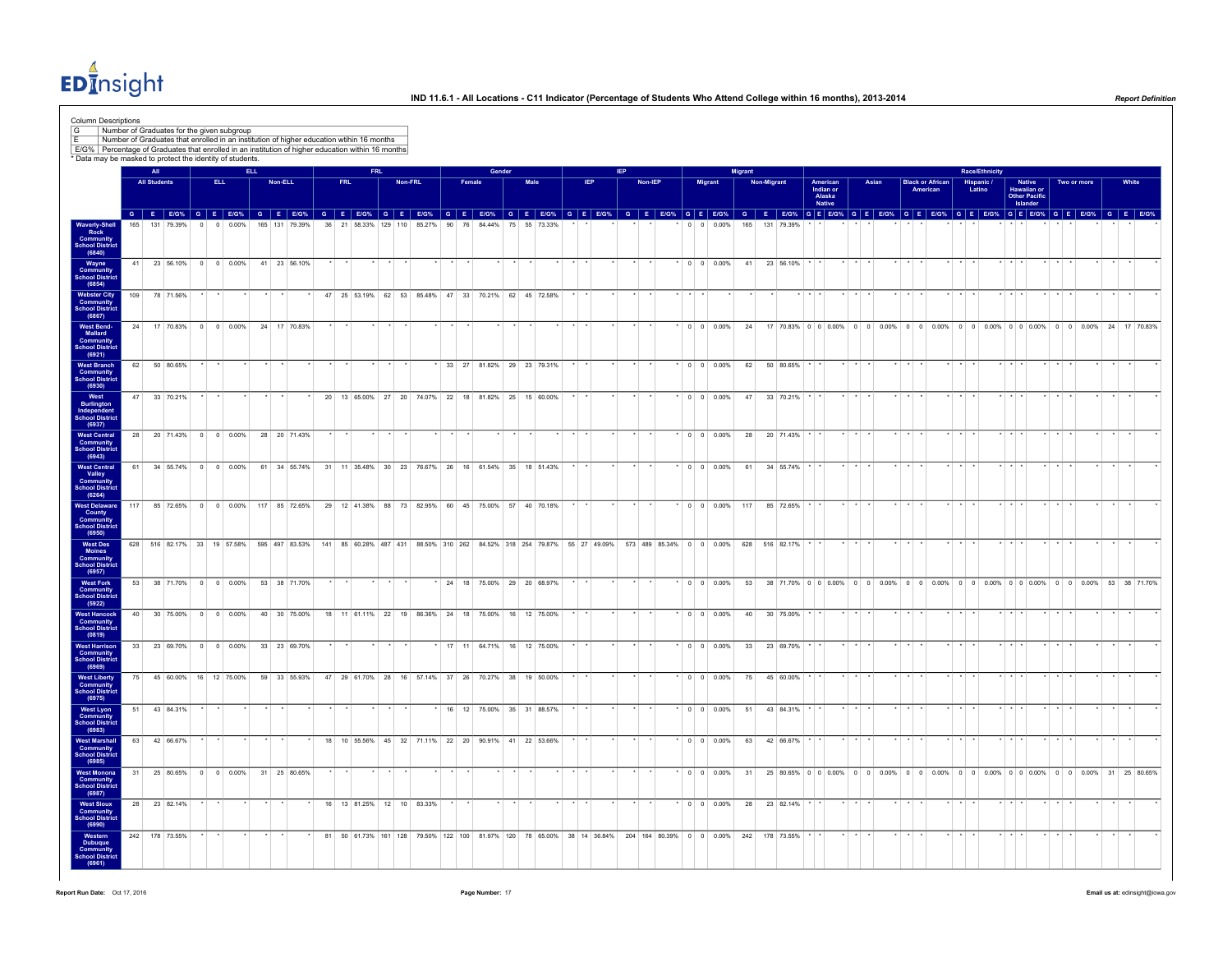$ED<sub>II</sub><sup>4</sup>$ nsight

| Column Descriptions<br>G                                                                                                                                       | Number of Graduates for the given subgroup                                               |     |                     |  |          |                                            |            |         |                |  |      |                                                     |            |         |         |    |    |        |        |      |                             |  |                                                                         |  |                |  |                          |                                                                                                               |                |                    |                  |                                                  |                         |       |                         |                                     |                 |                       |             |                                                    |                 |             |                    |                                                                                                                                                                                                                                |  |
|----------------------------------------------------------------------------------------------------------------------------------------------------------------|------------------------------------------------------------------------------------------|-----|---------------------|--|----------|--------------------------------------------|------------|---------|----------------|--|------|-----------------------------------------------------|------------|---------|---------|----|----|--------|--------|------|-----------------------------|--|-------------------------------------------------------------------------|--|----------------|--|--------------------------|---------------------------------------------------------------------------------------------------------------|----------------|--------------------|------------------|--------------------------------------------------|-------------------------|-------|-------------------------|-------------------------------------|-----------------|-----------------------|-------------|----------------------------------------------------|-----------------|-------------|--------------------|--------------------------------------------------------------------------------------------------------------------------------------------------------------------------------------------------------------------------------|--|
| E/G% Percentage of Graduates that enrolled in an institution of higher education within 16 months<br>* Data may be masked to protect the identity of students. | Number of Graduates that enrolled in an institution of higher education wtihin 16 months |     |                     |  |          |                                            |            |         |                |  |      |                                                     |            |         |         |    |    |        |        |      |                             |  |                                                                         |  |                |  |                          |                                                                                                               |                |                    |                  |                                                  |                         |       |                         |                                     |                 |                       |             |                                                    |                 |             |                    |                                                                                                                                                                                                                                |  |
|                                                                                                                                                                |                                                                                          |     | All                 |  |          |                                            | <b>ELL</b> |         |                |  |      |                                                     | <b>FRL</b> |         |         |    |    |        | Gender |      |                             |  |                                                                         |  |                |  |                          |                                                                                                               | <b>Migrant</b> |                    |                  |                                                  |                         |       |                         |                                     |                 | <b>Race/Ethnicity</b> |             |                                                    |                 |             |                    |                                                                                                                                                                                                                                |  |
|                                                                                                                                                                |                                                                                          |     | <b>All Students</b> |  | ELL.     |                                            |            | Non-ELL |                |  | FRL. |                                                     |            |         | Non-FRL |    |    | Female |        | Male |                             |  | IEP.                                                                    |  | <b>Non-IEP</b> |  | Migrant                  |                                                                                                               |                | <b>Non-Migrant</b> |                  | American<br>Indian or<br>Alaska<br><b>Native</b> |                         | Asian |                         | <b>Black or African</b><br>American |                 | Hispanic /<br>Latino  |             | Native<br>Hawaiian or<br>Other Pacific<br>Islander |                 | Two or more | White              |                                                                                                                                                                                                                                |  |
|                                                                                                                                                                |                                                                                          | 165 | 131 79 39%          |  | $\Omega$ | 0.00%                                      |            |         | 165 131 79 39% |  |      | 36 21 58.33% 129 110 85.27%                         |            |         |         | 90 | 76 |        | 84 44% |      |                             |  |                                                                         |  |                |  | $0 \quad 0 \quad 0.00\%$ |                                                                                                               | 165            |                    | 131 79 39%       |                                                  |                         |       |                         |                                     |                 |                       |             |                                                    |                 |             |                    | G E EIG% G E EIG% G E EIG% G E EIG% G E EIG% G E EIG% G E EIG% G E EIG% G E EIG% G E EIG% G E EIG% G E EIG% G E EIG% G E EIG% G E EIG% G E EIG% G E EIG% G E EIG% G E EIG% G E EIG% G E EIG% G E EIG% G E EIG% G E EIG% G E EI |  |
| Waverly-Shell<br>Rock<br>Community<br>School District<br>(6840)                                                                                                |                                                                                          |     |                     |  |          |                                            |            |         |                |  |      |                                                     |            |         |         |    |    |        |        |      | 75 55 73.33%                |  |                                                                         |  |                |  |                          |                                                                                                               |                |                    |                  |                                                  |                         |       |                         |                                     |                 |                       |             |                                                    |                 |             |                    |                                                                                                                                                                                                                                |  |
| Wayne<br>Community<br><b>School District</b>                                                                                                                   |                                                                                          |     |                     |  |          | 41 23 56.10% 0 0 0.00% 41 23 56.10%        |            |         |                |  |      |                                                     |            |         |         |    |    |        |        |      |                             |  |                                                                         |  |                |  | $*$ 0 0 0.00%            |                                                                                                               |                |                    | 41 23 56.10% * * |                                                  |                         |       |                         |                                     |                 |                       | $\star$     |                                                    |                 |             |                    |                                                                                                                                                                                                                                |  |
| (6854)<br><b>Webster City</b><br>Commu<br><b>School Distric</b>                                                                                                |                                                                                          | 109 | 78 71.56%           |  |          |                                            |            |         |                |  |      | 47 25 53.19% 62 53 85.48% 47 33 70.21% 62 45 72.58% |            |         |         |    |    |        |        |      |                             |  |                                                                         |  |                |  |                          |                                                                                                               |                |                    |                  |                                                  |                         |       |                         |                                     |                 |                       |             |                                                    |                 |             |                    |                                                                                                                                                                                                                                |  |
| (6867)<br>West Bend-<br>Mallard<br><b>Community</b><br>School District                                                                                         |                                                                                          |     |                     |  |          | 24 17 70.83% 0 0 0.00%                     |            |         | 24 17 70.83%   |  |      |                                                     |            |         |         |    |    |        |        |      |                             |  |                                                                         |  |                |  | $*$ 0 0 0.00%            |                                                                                                               | 24             |                    |                  |                                                  |                         |       |                         |                                     |                 |                       |             |                                                    |                 |             |                    | 17 70.83% 0 0 0.00% 0 0 0.00% 0 0 0.00% 0 0 0.00% 0 0 0.00% 0 0 0.00% 24 17 70.83%                                                                                                                                             |  |
| (6921)<br>West Branch<br><b>Community</b><br><b>School District</b>                                                                                            |                                                                                          | 62  | 50 80.65%           |  |          |                                            |            |         |                |  |      |                                                     |            |         |         |    |    |        |        |      | 33 27 81.82% 29 23 79.31%   |  |                                                                         |  |                |  | $0 \t 0 \t 0.00\%$       |                                                                                                               | 62             |                    | 50 80.65%        |                                                  |                         |       |                         |                                     |                 |                       |             |                                                    |                 |             |                    |                                                                                                                                                                                                                                |  |
| (6930)<br>West<br>Burlington<br>Independent<br>School District                                                                                                 |                                                                                          |     | 47 33 70.21%        |  |          |                                            |            |         |                |  |      | 20 13 65.00% 27 20 74.07% 22 18 81.82% 25 15 60.00% |            |         |         |    |    |        |        |      |                             |  |                                                                         |  |                |  | $\cdot$ 0 0 0.00%        |                                                                                                               |                |                    | 47 33 70.21% * * |                                                  |                         |       |                         |                                     |                 |                       |             |                                                    |                 |             |                    |                                                                                                                                                                                                                                |  |
| (6937)<br><b>West Central</b><br>Community                                                                                                                     |                                                                                          | 28  | 20 71.43%           |  |          | $0 \t 0 \t 0.00\%$                         |            |         | 28 20 71.43%   |  |      |                                                     |            |         |         |    |    |        |        |      |                             |  |                                                                         |  |                |  | $0 \t 0 \t 0.00\%$       |                                                                                                               | 28             |                    | 20 71.43%        |                                                  |                         |       |                         |                                     |                 |                       |             |                                                    |                 |             |                    |                                                                                                                                                                                                                                |  |
| <b>School District</b><br>(6943)<br><b>West Central</b>                                                                                                        |                                                                                          | 61  |                     |  |          | 34 55.74% 0 0 0.00%                        |            |         | 61 34 55.74%   |  |      | 31 11 35.48% 30 23 76.67% 26 16 61.54% 35 18 51.43% |            |         |         |    |    |        |        |      |                             |  |                                                                         |  |                |  | $0 \t 0 \t 0.00\%$       |                                                                                                               | 61             |                    | 34 55.74%        |                                                  |                         |       |                         |                                     |                 |                       |             |                                                    |                 |             |                    |                                                                                                                                                                                                                                |  |
| Valley<br>Community<br>School District<br>(6264)                                                                                                               |                                                                                          |     |                     |  |          |                                            |            |         |                |  |      |                                                     |            |         |         |    |    |        |        |      |                             |  |                                                                         |  |                |  |                          |                                                                                                               |                |                    |                  |                                                  |                         |       |                         |                                     |                 |                       |             |                                                    |                 |             |                    |                                                                                                                                                                                                                                |  |
| <b>West Delaware</b><br>County<br>Community<br>School District<br>(6950)                                                                                       |                                                                                          | 117 | 85 72.65%           |  |          | $0 \t 0 \t 0.00\%$                         | 117        |         | 85 72.65%      |  |      | 29 12 41.38% 88 73 82.95% 60 45 75.00% 57           |            |         |         |    |    |        |        |      | 40 70.18%                   |  |                                                                         |  |                |  | $0 \t 0 \t 0.00\%$       |                                                                                                               | 117            |                    | 85 72.65%        |                                                  |                         |       |                         |                                     |                 |                       |             |                                                    |                 |             |                    |                                                                                                                                                                                                                                |  |
| West Des<br>Moines<br>Community<br><b>School District</b><br>(6957)                                                                                            |                                                                                          |     |                     |  |          | 628 516 82.17% 33 19 57.58% 595 497 83.53% |            |         |                |  |      |                                                     |            |         |         |    |    |        |        |      |                             |  | 141 85 60.28% 487 431 88.50% 310 262 84.52% 318 254 79.87% 55 27 49.09% |  |                |  | 573 489 85.34% 0 0 0.00% |                                                                                                               |                |                    | 628 516 82.17%   |                                                  |                         |       |                         |                                     |                 |                       |             |                                                    |                 |             |                    |                                                                                                                                                                                                                                |  |
| <b>West Fork</b><br><b>Community</b><br>School District<br>(5922)                                                                                              |                                                                                          |     |                     |  |          | 53 38 71.70% 0 0 0.00% 53 38 71.70%        |            |         |                |  |      |                                                     |            | $\star$ |         |    |    |        |        |      | * 24 18 75.00% 29 20 68.97% |  |                                                                         |  |                |  |                          |                                                                                                               |                |                    |                  |                                                  |                         |       |                         |                                     |                 |                       |             |                                                    |                 |             |                    | * 0 0 0.00% 53 38 71.70% 0 0 0.00% 0 0 0.00% 0 0 0.00% 0 0 0.00% 0 0 0.00% 0 0 0.00% 53 38 71.70%                                                                                                                              |  |
| <b>West Hancock</b><br>Community<br>School District<br>(0819)                                                                                                  |                                                                                          |     |                     |  |          | 40 30 75.00% 0 0 0.00%                     |            |         | 40 30 75.00%   |  |      | 18 11 61 11% 22 19 8636% 24 18 7500% 16 12 7500%    |            |         |         |    |    |        |        |      |                             |  |                                                                         |  |                |  | $00$ $00$                |                                                                                                               |                |                    | 40 30 75.00%     |                                                  |                         |       |                         |                                     |                 |                       |             |                                                    |                 |             |                    |                                                                                                                                                                                                                                |  |
| West Harrison<br>Community<br>School District<br>(6969)                                                                                                        |                                                                                          | 33  |                     |  |          | 23 69.70% 0 0 0.00%                        |            |         | 33 23 69.70%   |  |      |                                                     |            |         |         |    |    |        |        |      | 17 11 64.71% 16 12 75.00%   |  |                                                                         |  |                |  | $0 \t 0 \t 0.00\%$       |                                                                                                               | 33             |                    | 23 69.70%        |                                                  |                         |       |                         |                                     |                 |                       |             |                                                    |                 |             |                    |                                                                                                                                                                                                                                |  |
| <b>West Liberty</b><br>Community<br><b>School District</b><br>(6975)                                                                                           |                                                                                          | 75  |                     |  |          | 45 60.00% 16 12 75.00%                     |            |         | 59 33 55 93%   |  |      | 47 29 61.70% 28 16 57.14% 37 26 70.27% 38 19 50.00% |            |         |         |    |    |        |        |      |                             |  |                                                                         |  |                |  | $ 0 00.00\% $            |                                                                                                               | 75             |                    | 45 60.00%        |                                                  |                         |       |                         |                                     |                 |                       |             |                                                    |                 |             |                    |                                                                                                                                                                                                                                |  |
| <b>West Lyon</b><br>Community<br><b>School Distric</b><br>(6983)                                                                                               |                                                                                          |     | 51 43 84.31%        |  |          |                                            |            |         |                |  |      |                                                     |            |         |         |    |    |        |        |      | * 16 12 75.00% 35 31 88.57% |  |                                                                         |  |                |  | $\cdot$ 0 0 0.00%        |                                                                                                               |                |                    | 51 43 84.31%     |                                                  |                         |       |                         |                                     |                 |                       |             |                                                    |                 |             |                    |                                                                                                                                                                                                                                |  |
| West Marshall<br><b>Community</b><br>School District<br>(6985)                                                                                                 |                                                                                          |     | 63 42 66.67%        |  |          |                                            |            |         |                |  |      | 18 10 55.56% 45 32 71.11% 22 20 90.91% 41 22 53.66% |            |         |         |    |    |        |        |      |                             |  |                                                                         |  |                |  | $*$ 0 0 0.00%            |                                                                                                               |                |                    | 63 42 66.67% * * |                                                  | $\star$ $\star$ $\star$ |       | $\star$ $\star$ $\star$ |                                     | $\cdot$ $\cdot$ |                       | $*$ $*$ $*$ |                                                    | $\cdot$ $\cdot$ |             | $\star$<br>$\star$ |                                                                                                                                                                                                                                |  |
| West Monona<br>Community<br><b>School District</b><br>(6987)                                                                                                   |                                                                                          | 31  |                     |  |          | 25 80.65% 0 0 0.00% 31 25 80.65%           |            |         |                |  |      |                                                     |            |         |         |    |    |        |        |      |                             |  |                                                                         |  |                |  | $0 \quad 0 \quad 0.00\%$ |                                                                                                               | 31             |                    |                  |                                                  |                         |       |                         |                                     |                 |                       |             |                                                    |                 |             |                    | 25 80.65% 0 0 0.00% 0 0 0.00% 0 0 0.00% 0 0 0.00% 0 0 0.00% 0 0 0.00% 31 25 80.65%                                                                                                                                             |  |
| <b>West Sioux</b><br>Community<br>School District<br>(6990)                                                                                                    |                                                                                          |     | 28 23 82.14%        |  |          |                                            |            |         |                |  |      | 16 13 81.25% 12 10 83.33%                           |            |         |         |    |    |        |        |      |                             |  |                                                                         |  |                |  | $*$ 0 0 0.00%            |                                                                                                               |                |                    | 28 23 82.14% * * |                                                  | $*$ $*$ $*$             |       |                         |                                     |                 |                       | $*$ $*$ $*$ |                                                    |                 |             |                    |                                                                                                                                                                                                                                |  |
| Western<br>Dubuque<br>Community<br><b>School District</b><br>(6961)                                                                                            |                                                                                          |     | 242 178 73.55%      |  |          |                                            |            |         |                |  |      |                                                     |            |         |         |    |    |        |        |      |                             |  |                                                                         |  |                |  |                          | 81 50 61.73% 161 128 79.50% 122 100 81.97% 120 78 65.00% 38 14 36.84% 204 164 80.39% 0 0 0.00% 242 178 73.55% |                |                    |                  |                                                  |                         |       |                         |                                     |                 |                       |             |                                                    |                 |             |                    |                                                                                                                                                                                                                                |  |